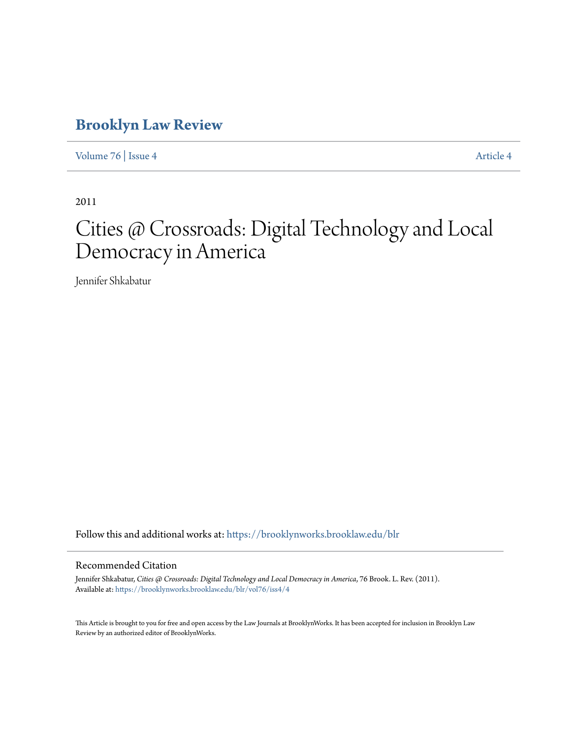# **[Brooklyn Law Review](https://brooklynworks.brooklaw.edu/blr?utm_source=brooklynworks.brooklaw.edu%2Fblr%2Fvol76%2Fiss4%2F4&utm_medium=PDF&utm_campaign=PDFCoverPages)**

[Volume 76](https://brooklynworks.brooklaw.edu/blr/vol76?utm_source=brooklynworks.brooklaw.edu%2Fblr%2Fvol76%2Fiss4%2F4&utm_medium=PDF&utm_campaign=PDFCoverPages) | [Issue 4](https://brooklynworks.brooklaw.edu/blr/vol76/iss4?utm_source=brooklynworks.brooklaw.edu%2Fblr%2Fvol76%2Fiss4%2F4&utm_medium=PDF&utm_campaign=PDFCoverPages) [Article 4](https://brooklynworks.brooklaw.edu/blr/vol76/iss4/4?utm_source=brooklynworks.brooklaw.edu%2Fblr%2Fvol76%2Fiss4%2F4&utm_medium=PDF&utm_campaign=PDFCoverPages)

2011

# Cities @ Crossroads: Digital Technology and Local Democracy in America

Jennifer Shkabatur

Follow this and additional works at: [https://brooklynworks.brooklaw.edu/blr](https://brooklynworks.brooklaw.edu/blr?utm_source=brooklynworks.brooklaw.edu%2Fblr%2Fvol76%2Fiss4%2F4&utm_medium=PDF&utm_campaign=PDFCoverPages)

# Recommended Citation

Jennifer Shkabatur, *Cities @ Crossroads: Digital Technology and Local Democracy in America*, 76 Brook. L. Rev. (2011). Available at: [https://brooklynworks.brooklaw.edu/blr/vol76/iss4/4](https://brooklynworks.brooklaw.edu/blr/vol76/iss4/4?utm_source=brooklynworks.brooklaw.edu%2Fblr%2Fvol76%2Fiss4%2F4&utm_medium=PDF&utm_campaign=PDFCoverPages)

This Article is brought to you for free and open access by the Law Journals at BrooklynWorks. It has been accepted for inclusion in Brooklyn Law Review by an authorized editor of BrooklynWorks.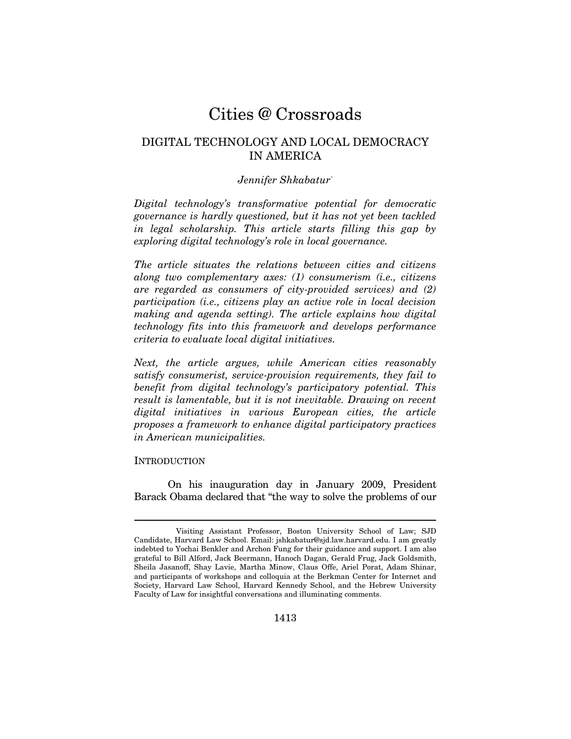# Cities @ Crossroads

# DIGITAL TECHNOLOGY AND LOCAL DEMOCRACY IN AMERICA

# *Jennifer Shkabatur\**

*Digital technology's transformative potential for democratic governance is hardly questioned, but it has not yet been tackled in legal scholarship. This article starts filling this gap by exploring digital technology's role in local governance.* 

*The article situates the relations between cities and citizens along two complementary axes: (1) consumerism (i.e., citizens are regarded as consumers of city-provided services) and (2) participation (i.e., citizens play an active role in local decision making and agenda setting). The article explains how digital technology fits into this framework and develops performance criteria to evaluate local digital initiatives.* 

*Next, the article argues, while American cities reasonably satisfy consumerist, service-provision requirements, they fail to benefit from digital technology's participatory potential. This result is lamentable, but it is not inevitable. Drawing on recent digital initiatives in various European cities, the article proposes a framework to enhance digital participatory practices in American municipalities.* 

#### INTRODUCTION

On his inauguration day in January 2009, President Barack Obama declared that "the way to solve the problems of our

Visiting Assistant Professor, Boston University School of Law; SJD Candidate, Harvard Law School. Email: jshkabatur@sjd.law.harvard.edu. I am greatly indebted to Yochai Benkler and Archon Fung for their guidance and support. I am also grateful to Bill Alford, Jack Beermann, Hanoch Dagan, Gerald Frug, Jack Goldsmith, Sheila Jasanoff, Shay Lavie, Martha Minow, Claus Offe, Ariel Porat, Adam Shinar, and participants of workshops and colloquia at the Berkman Center for Internet and Society, Harvard Law School, Harvard Kennedy School, and the Hebrew University Faculty of Law for insightful conversations and illuminating comments.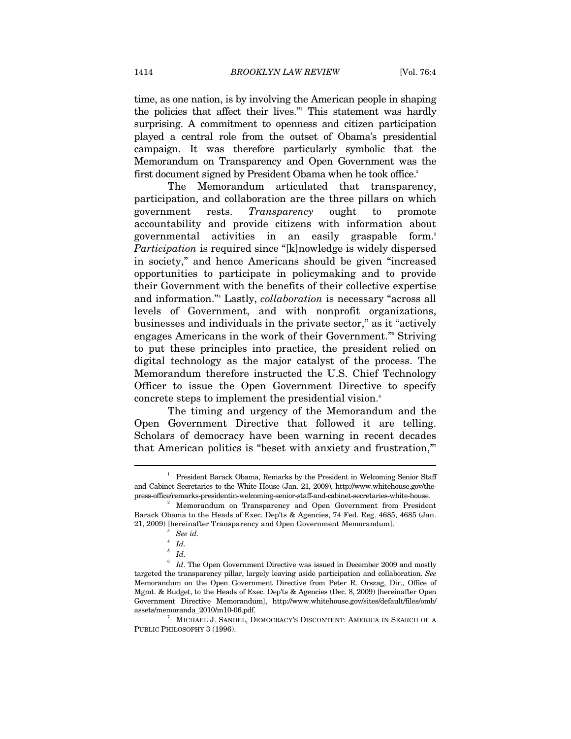time, as one nation, is by involving the American people in shaping the policies that affect their lives." This statement was hardly surprising. A commitment to openness and citizen participation played a central role from the outset of Obama's presidential campaign. It was therefore particularly symbolic that the Memorandum on Transparency and Open Government was the first document signed by President Obama when he took office.<sup>2</sup>

The Memorandum articulated that transparency, participation, and collaboration are the three pillars on which government rests. *Transparency* ought to promote accountability and provide citizens with information about governmental activities in an easily graspable form.<sup>3</sup> *Participation* is required since "[k]nowledge is widely dispersed in society," and hence Americans should be given "increased opportunities to participate in policymaking and to provide their Government with the benefits of their collective expertise and information."4 Lastly, *collaboration* is necessary "across all levels of Government, and with nonprofit organizations, businesses and individuals in the private sector," as it "actively engages Americans in the work of their Government."<sup>5</sup> Striving to put these principles into practice, the president relied on digital technology as the major catalyst of the process. The Memorandum therefore instructed the U.S. Chief Technology Officer to issue the Open Government Directive to specify concrete steps to implement the presidential vision.<sup>6</sup>

The timing and urgency of the Memorandum and the Open Government Directive that followed it are telling. Scholars of democracy have been warning in recent decades that American politics is "beset with anxiety and frustration,"7

<sup>1</sup> President Barack Obama, Remarks by the President in Welcoming Senior Staff and Cabinet Secretaries to the White House (Jan. 21, 2009), http://www.whitehouse.gov/thepress-office/remarks-presidentin-welcoming-senior-staff-and-cabinet-secretaries-white-house.

<sup>&</sup>lt;sup>2</sup> Memorandum on Transparency and Open Government from President Barack Obama to the Heads of Exec. Dep'ts & Agencies, 74 Fed. Reg. 4685, 4685 (Jan. 21, 2009) [hereinafter Transparency and Open Government Memorandum]. 3 *See id.*<sup>4</sup>

*Id.* 

<sup>5</sup>  *Id.*

 $6$  Id. The Open Government Directive was issued in December 2009 and mostly targeted the transparency pillar, largely leaving aside participation and collaboration. *See* Memorandum on the Open Government Directive from Peter R. Orszag, Dir., Office of Mgmt. & Budget, to the Heads of Exec. Dep'ts & Agencies (Dec. 8, 2009) [hereinafter Open Government Directive Memorandum], http://www.whitehouse.gov/sites/default/files/omb/ assets/memoranda\_2010/m10-06.pdf. 7

 $^7$  –MICHAEL J. SANDEL, DEMOCRACY'S DISCONTENT: AMERICA IN SEARCH OF  $\cal A$ PUBLIC PHILOSOPHY 3 (1996).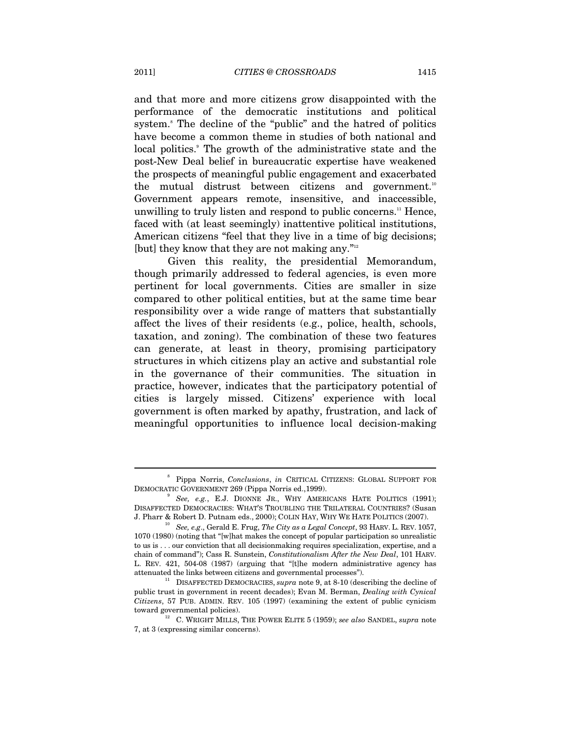and that more and more citizens grow disappointed with the performance of the democratic institutions and political system.<sup>8</sup> The decline of the "public" and the hatred of politics have become a common theme in studies of both national and local politics.<sup>9</sup> The growth of the administrative state and the post-New Deal belief in bureaucratic expertise have weakened the prospects of meaningful public engagement and exacerbated the mutual distrust between citizens and government.<sup>10</sup> Government appears remote, insensitive, and inaccessible, unwilling to truly listen and respond to public concerns.<sup>11</sup> Hence, faced with (at least seemingly) inattentive political institutions, American citizens "feel that they live in a time of big decisions; [but] they know that they are not making any."<sup>12</sup>

Given this reality, the presidential Memorandum, though primarily addressed to federal agencies, is even more pertinent for local governments. Cities are smaller in size compared to other political entities, but at the same time bear responsibility over a wide range of matters that substantially affect the lives of their residents (e.g., police, health, schools, taxation, and zoning). The combination of these two features can generate, at least in theory, promising participatory structures in which citizens play an active and substantial role in the governance of their communities. The situation in practice, however, indicates that the participatory potential of cities is largely missed. Citizens' experience with local government is often marked by apathy, frustration, and lack of meaningful opportunities to influence local decision-making

<sup>8</sup> Pippa Norris, *Conclusions*, *in* CRITICAL CITIZENS: GLOBAL SUPPORT FOR DEMOCRATIC GOVERNMENT 269 (Pippa Norris ed.,1999). 9

<sup>&</sup>lt;sup>9</sup> See, e.g., E.J. DIONNE JR., WHY AMERICANS HATE POLITICS (1991); DISAFFECTED DEMOCRACIES: WHAT'S TROUBLING THE TRILATERAL COUNTRIES? (Susan J. Pharr & Robert D. Putnam eds., 2000); COLIN HAY, WHY WE HATE POLITICS (2007). 10 *See, e.g*., Gerald E. Frug, *The City as a Legal Concept*, 93 HARV. L. REV. 1057,

<sup>1070 (1980) (</sup>noting that "[w]hat makes the concept of popular participation so unrealistic to us is . . . our conviction that all decisionmaking requires specialization, expertise, and a chain of command"); Cass R. Sunstein, *Constitutionalism After the New Deal*, 101 HARV. L. REV. 421, 504-08 (1987) (arguing that "[t]he modern administrative agency has

<sup>&</sup>lt;sup>11</sup> DISAFFECTED DEMOCRACIES, *supra* note 9, at 8-10 (describing the decline of public trust in government in recent decades); Evan M. Berman, *Dealing with Cynical Citizens*, 57 PUB. ADMIN. REV. 105 (1997) (examining the extent of public cynicism

toward governmental policies). 12 C. WRIGHT MILLS, THE POWER ELITE 5 (1959); *see also* SANDEL, *supra* note 7, at 3 (expressing similar concerns).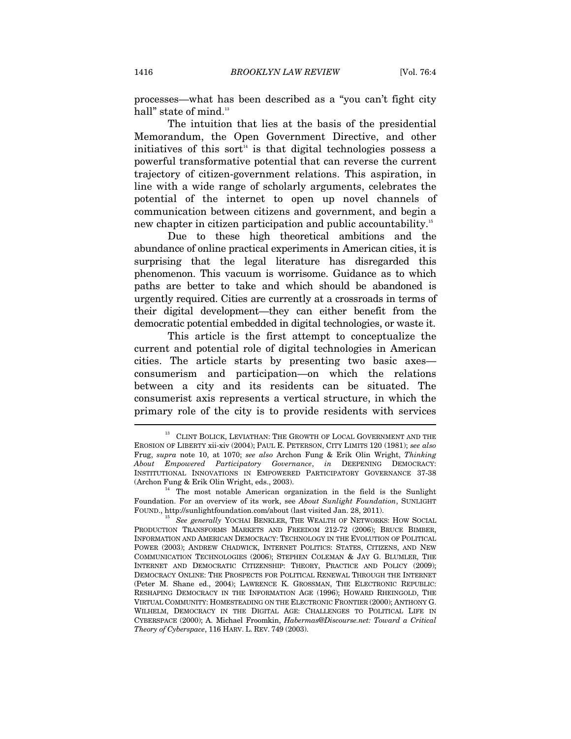processes—what has been described as a "you can't fight city hall" state of mind.<sup>13</sup>

The intuition that lies at the basis of the presidential Memorandum, the Open Government Directive, and other initiatives of this sort<sup> $14$ </sup> is that digital technologies possess a powerful transformative potential that can reverse the current trajectory of citizen-government relations. This aspiration, in line with a wide range of scholarly arguments, celebrates the potential of the internet to open up novel channels of communication between citizens and government, and begin a new chapter in citizen participation and public accountability.15

Due to these high theoretical ambitions and the abundance of online practical experiments in American cities, it is surprising that the legal literature has disregarded this phenomenon. This vacuum is worrisome. Guidance as to which paths are better to take and which should be abandoned is urgently required. Cities are currently at a crossroads in terms of their digital development—they can either benefit from the democratic potential embedded in digital technologies, or waste it.

This article is the first attempt to conceptualize the current and potential role of digital technologies in American cities. The article starts by presenting two basic axes consumerism and participation—on which the relations between a city and its residents can be situated. The consumerist axis represents a vertical structure, in which the primary role of the city is to provide residents with services

 $^{13}\;$  CLINT BOLICK, LEVIATHAN: THE GROWTH OF LOCAL GOVERNMENT AND THE EROSION OF LIBERTY xii-xiv (2004); PAUL E. PETERSON, CITY LIMITS 120 (1981); *see also* Frug, *supra* note 10, at 1070; *see also* Archon Fung & Erik Olin Wright, *Thinking About Empowered Participatory Governance*, *in* DEEPENING DEMOCRACY: INSTITUTIONAL INNOVATIONS IN EMPOWERED PARTICIPATORY GOVERNANCE 37-38

<sup>(</sup>Archon Fung & Erik Olin Wright, eds., 2003). The most notable American organization in the field is the Sunlight Foundation. For an overview of its work, see *About Sunlight Foundation*, SUNLIGHT

<sup>&</sup>lt;sup>15</sup> See generally YOCHAI BENKLER, THE WEALTH OF NETWORKS: HOW SOCIAL PRODUCTION TRANSFORMS MARKETS AND FREEDOM 212-72 (2006); BRUCE BIMBER, INFORMATION AND AMERICAN DEMOCRACY: TECHNOLOGY IN THE EVOLUTION OF POLITICAL POWER (2003); ANDREW CHADWICK, INTERNET POLITICS: STATES, CITIZENS, AND NEW COMMUNICATION TECHNOLOGIES (2006); STEPHEN COLEMAN & JAY G. BLUMLER, THE INTERNET AND DEMOCRATIC CITIZENSHIP: THEORY, PRACTICE AND POLICY (2009); DEMOCRACY ONLINE: THE PROSPECTS FOR POLITICAL RENEWAL THROUGH THE INTERNET (Peter M. Shane ed., 2004); LAWRENCE K. GROSSMAN, THE ELECTRONIC REPUBLIC: RESHAPING DEMOCRACY IN THE INFORMATION AGE (1996); HOWARD RHEINGOLD, THE VIRTUAL COMMUNITY: HOMESTEADING ON THE ELECTRONIC FRONTIER (2000); ANTHONY G. WILHELM, DEMOCRACY IN THE DIGITAL AGE: CHALLENGES TO POLITICAL LIFE IN CYBERSPACE (2000); A. Michael Froomkin, *Habermas@Discourse.net: Toward a Critical Theory of Cyberspace*, 116 HARV. L. REV. 749 (2003).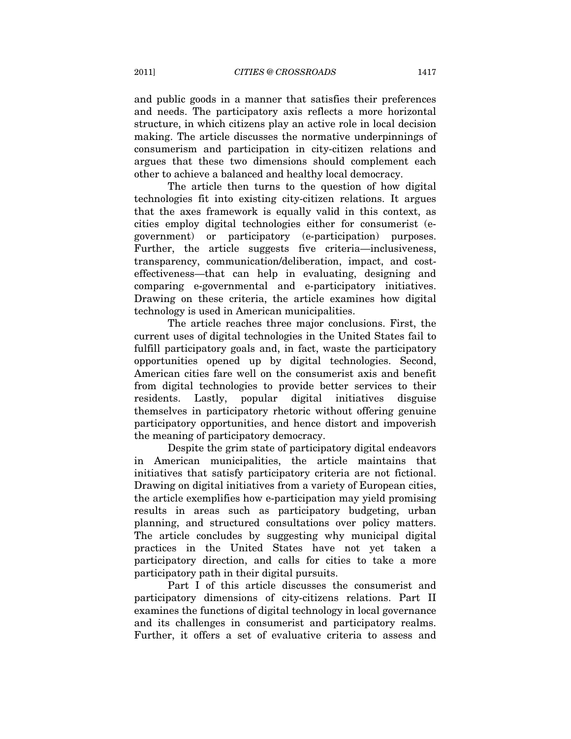and public goods in a manner that satisfies their preferences and needs. The participatory axis reflects a more horizontal structure, in which citizens play an active role in local decision making. The article discusses the normative underpinnings of consumerism and participation in city-citizen relations and argues that these two dimensions should complement each other to achieve a balanced and healthy local democracy.

The article then turns to the question of how digital technologies fit into existing city-citizen relations. It argues that the axes framework is equally valid in this context, as cities employ digital technologies either for consumerist (egovernment) or participatory (e-participation) purposes. Further, the article suggests five criteria—inclusiveness, transparency, communication/deliberation, impact, and costeffectiveness—that can help in evaluating, designing and comparing e-governmental and e-participatory initiatives. Drawing on these criteria, the article examines how digital technology is used in American municipalities.

The article reaches three major conclusions. First, the current uses of digital technologies in the United States fail to fulfill participatory goals and, in fact, waste the participatory opportunities opened up by digital technologies. Second, American cities fare well on the consumerist axis and benefit from digital technologies to provide better services to their residents. Lastly, popular digital initiatives disguise themselves in participatory rhetoric without offering genuine participatory opportunities, and hence distort and impoverish the meaning of participatory democracy.

Despite the grim state of participatory digital endeavors in American municipalities, the article maintains that initiatives that satisfy participatory criteria are not fictional. Drawing on digital initiatives from a variety of European cities, the article exemplifies how e-participation may yield promising results in areas such as participatory budgeting, urban planning, and structured consultations over policy matters. The article concludes by suggesting why municipal digital practices in the United States have not yet taken a participatory direction, and calls for cities to take a more participatory path in their digital pursuits.

Part I of this article discusses the consumerist and participatory dimensions of city-citizens relations. Part II examines the functions of digital technology in local governance and its challenges in consumerist and participatory realms. Further, it offers a set of evaluative criteria to assess and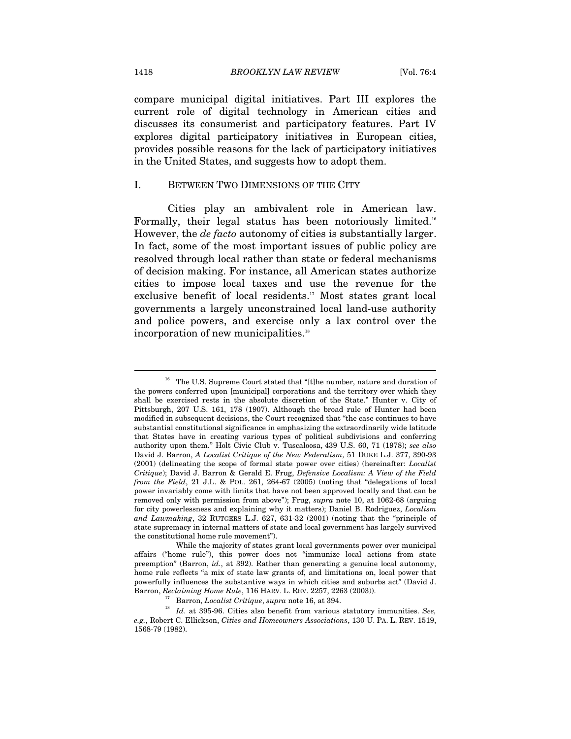compare municipal digital initiatives. Part III explores the current role of digital technology in American cities and discusses its consumerist and participatory features. Part IV explores digital participatory initiatives in European cities, provides possible reasons for the lack of participatory initiatives in the United States, and suggests how to adopt them.

### I. BETWEEN TWO DIMENSIONS OF THE CITY

Cities play an ambivalent role in American law. Formally, their legal status has been notoriously limited.<sup>16</sup> However, the *de facto* autonomy of cities is substantially larger. In fact, some of the most important issues of public policy are resolved through local rather than state or federal mechanisms of decision making. For instance, all American states authorize cities to impose local taxes and use the revenue for the exclusive benefit of local residents.<sup>17</sup> Most states grant local governments a largely unconstrained local land-use authority and police powers, and exercise only a lax control over the incorporation of new municipalities.<sup>18</sup>

 $16$  The U.S. Supreme Court stated that "[t]he number, nature and duration of the powers conferred upon [municipal] corporations and the territory over which they shall be exercised rests in the absolute discretion of the State." Hunter v. City of Pittsburgh, 207 U.S. 161, 178 (1907). Although the broad rule of Hunter had been modified in subsequent decisions, the Court recognized that "the case continues to have substantial constitutional significance in emphasizing the extraordinarily wide latitude that States have in creating various types of political subdivisions and conferring authority upon them." Holt Civic Club v. Tuscaloosa, 439 U.S. 60, 71 (1978); *see also* David J. Barron, *A Localist Critique of the New Federalism*, 51 DUKE L.J. 377, 390-93 (2001) (delineating the scope of formal state power over cities) (hereinafter: *Localist Critique*); David J. Barron & Gerald E. Frug, *Defensive Localism: A View of the Field from the Field*, 21 J.L. & POL. 261, 264-67 (2005) (noting that "delegations of local power invariably come with limits that have not been approved locally and that can be removed only with permission from above"); Frug, *supra* note 10, at 1062-68 (arguing for city powerlessness and explaining why it matters); Daniel B. Rodriguez, *Localism and Lawmaking*, 32 RUTGERS L.J. 627, 631-32 (2001) (noting that the "principle of state supremacy in internal matters of state and local government has largely survived the constitutional home rule movement").

While the majority of states grant local governments power over municipal affairs ("home rule"), this power does not "immunize local actions from state preemption" (Barron, *id.*, at 392). Rather than generating a genuine local autonomy, home rule reflects "a mix of state law grants of, and limitations on, local power that powerfully influences the substantive ways in which cities and suburbs act" (David J.

Barron, Reclaiming Home Rule, 116 HARV. L. REV. 2257, 2263 (2003)).<br><sup>17</sup> Barron, *Localist Critique*, *supra* note 16, at 394.<br><sup>18</sup> Id. at 395-96. Cities also benefit from various statutory immunities. See, *e.g.*, Robert C. Ellickson, *Cities and Homeowners Associations*, 130 U. PA. L. REV. 1519, 1568-79 (1982).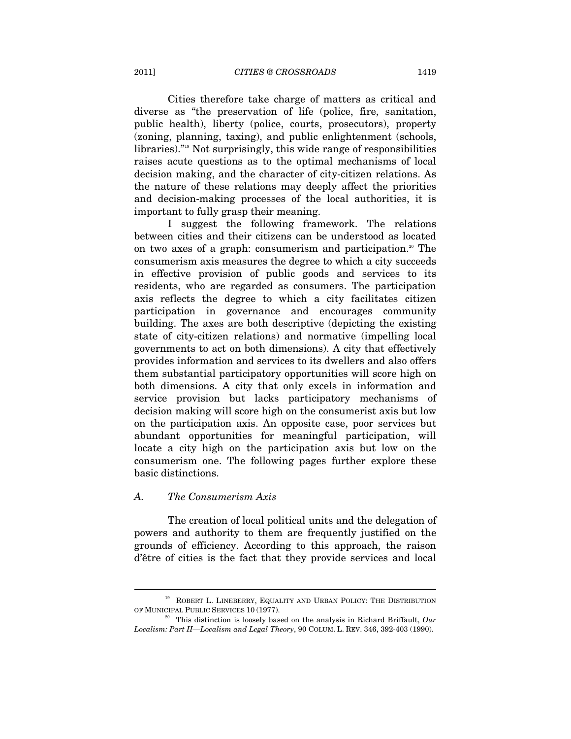Cities therefore take charge of matters as critical and diverse as "the preservation of life (police, fire, sanitation, public health), liberty (police, courts, prosecutors), property (zoning, planning, taxing), and public enlightenment (schools, libraries)."19 Not surprisingly, this wide range of responsibilities raises acute questions as to the optimal mechanisms of local decision making, and the character of city-citizen relations. As the nature of these relations may deeply affect the priorities and decision-making processes of the local authorities, it is important to fully grasp their meaning.

I suggest the following framework. The relations between cities and their citizens can be understood as located on two axes of a graph: consumerism and participation.<sup>20</sup> The consumerism axis measures the degree to which a city succeeds in effective provision of public goods and services to its residents, who are regarded as consumers. The participation axis reflects the degree to which a city facilitates citizen participation in governance and encourages community building. The axes are both descriptive (depicting the existing state of city-citizen relations) and normative (impelling local governments to act on both dimensions). A city that effectively provides information and services to its dwellers and also offers them substantial participatory opportunities will score high on both dimensions. A city that only excels in information and service provision but lacks participatory mechanisms of decision making will score high on the consumerist axis but low on the participation axis. An opposite case, poor services but abundant opportunities for meaningful participation, will locate a city high on the participation axis but low on the consumerism one. The following pages further explore these basic distinctions.

#### *A. The Consumerism Axis*

The creation of local political units and the delegation of powers and authority to them are frequently justified on the grounds of efficiency. According to this approach, the raison d'être of cities is the fact that they provide services and local

 $^{19}\,$  ROBERT L. LINEBERRY, EQUALITY AND URBAN POLICY: THE DISTRIBUTION OF MUNICIPAL PUBLIC SERVICES 10 (1977).

 $^{20}$  This distinction is loosely based on the analysis in Richard Briffault,  $Our$ *Localism: Part II—Localism and Legal Theory*, 90 COLUM. L. REV. 346, 392-403 (1990).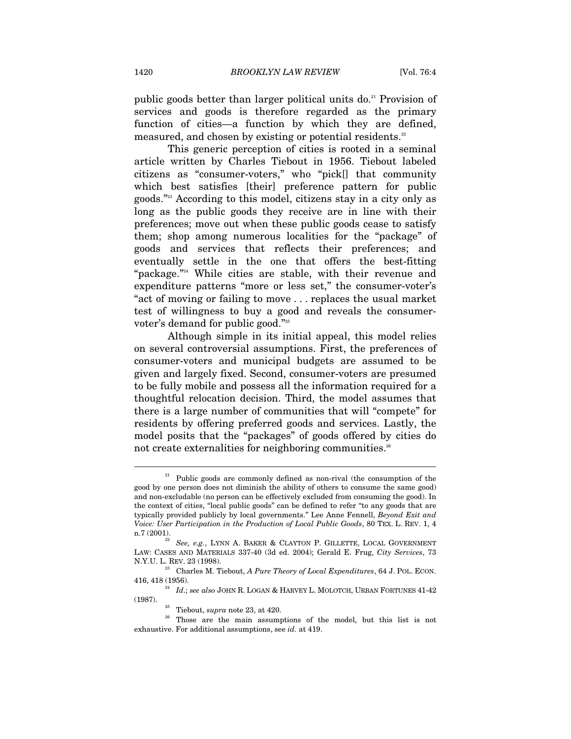public goods better than larger political units do.<sup>21</sup> Provision of services and goods is therefore regarded as the primary function of cities—a function by which they are defined, measured, and chosen by existing or potential residents.<sup>22</sup>

This generic perception of cities is rooted in a seminal article written by Charles Tiebout in 1956. Tiebout labeled citizens as "consumer-voters," who "pick[] that community which best satisfies [their] preference pattern for public goods."23 According to this model, citizens stay in a city only as long as the public goods they receive are in line with their preferences; move out when these public goods cease to satisfy them; shop among numerous localities for the "package" of goods and services that reflects their preferences; and eventually settle in the one that offers the best-fitting "package."24 While cities are stable, with their revenue and expenditure patterns "more or less set," the consumer-voter's "act of moving or failing to move . . . replaces the usual market test of willingness to buy a good and reveals the consumervoter's demand for public good."<sup>25</sup>

Although simple in its initial appeal, this model relies on several controversial assumptions. First, the preferences of consumer-voters and municipal budgets are assumed to be given and largely fixed. Second, consumer-voters are presumed to be fully mobile and possess all the information required for a thoughtful relocation decision. Third, the model assumes that there is a large number of communities that will "compete" for residents by offering preferred goods and services. Lastly, the model posits that the "packages" of goods offered by cities do not create externalities for neighboring communities.<sup>26</sup>

 $21$  Public goods are commonly defined as non-rival (the consumption of the good by one person does not diminish the ability of others to consume the same good) and non-excludable (no person can be effectively excluded from consuming the good). In the context of cities, "local public goods" can be defined to refer "to any goods that are typically provided publicly by local governments." Lee Anne Fennell, *Beyond Exit and Voice: User Participation in the Production of Local Public Goods*, 80 TEX. L. REV. 1, 4 n.7 (2001).

See, e.g., LYNN A. BAKER & CLAYTON P. GILLETTE, LOCAL GOVERNMENT LAW: CASES AND MATERIALS 337-40 (3d ed. 2004); Gerald E. Frug, *City Services*, 73 N.Y.U. L. REV. 23 (1998). 23 Charles M. Tiebout, *A Pure Theory of Local Expenditures*, 64 J. POL. ECON.

 $\,$  416, 418 (1956).  $^{24}$   $\,$   $Id.;$   $see$   $also$  JOHN R. LOGAN & HARVEY L. MOLOTCH, URBAN FORTUNES 41-42  $\,$ (1987).

<sup>&</sup>lt;sup>25</sup> Tiebout, *supra* note 23, at 420.<br><sup>26</sup> Those are the main assumptions of the model, but this list is not exhaustive. For additional assumptions, see *id.* at 419.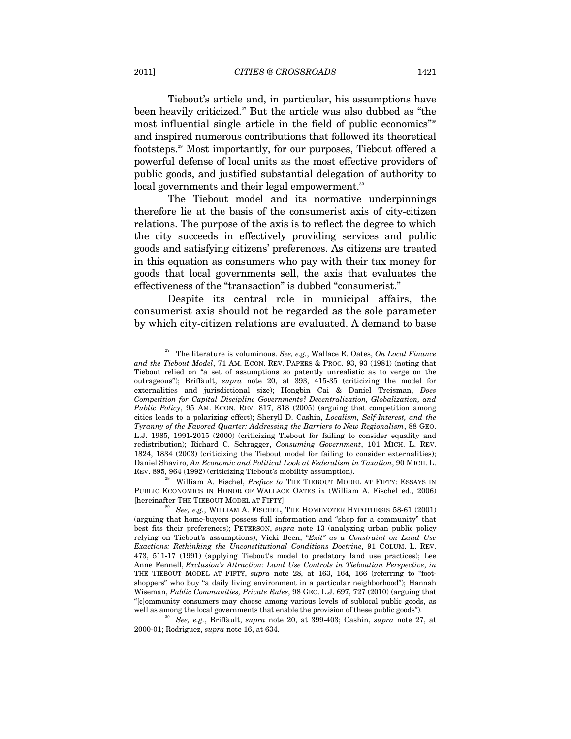Tiebout's article and, in particular, his assumptions have been heavily criticized.<sup>27</sup> But the article was also dubbed as "the most influential single article in the field of public economics"<sup>28</sup> and inspired numerous contributions that followed its theoretical footsteps.29 Most importantly, for our purposes, Tiebout offered a powerful defense of local units as the most effective providers of public goods, and justified substantial delegation of authority to local governments and their legal empowerment.<sup>30</sup>

The Tiebout model and its normative underpinnings therefore lie at the basis of the consumerist axis of city-citizen relations. The purpose of the axis is to reflect the degree to which the city succeeds in effectively providing services and public goods and satisfying citizens' preferences. As citizens are treated in this equation as consumers who pay with their tax money for goods that local governments sell, the axis that evaluates the effectiveness of the "transaction" is dubbed "consumerist."

Despite its central role in municipal affairs, the consumerist axis should not be regarded as the sole parameter by which city-citizen relations are evaluated. A demand to base

PUBLIC ECONOMICS IN HONOR OF WALLACE OATES ix (William A. Fischel ed., 2006) [hereinafter THE TIEBOUT MODEL AT FIFTY]. 29 *See, e.g.*, WILLIAM A. FISCHEL, THE HOMEVOTER HYPOTHESIS 58-61 (2001)

<sup>27</sup> The literature is voluminous. *See, e.g.*, Wallace E. Oates, *On Local Finance and the Tiebout Model*, 71 AM. ECON. REV. PAPERS & PROC. 93, 93 (1981) (noting that Tiebout relied on "a set of assumptions so patently unrealistic as to verge on the outrageous"); Briffault, *supra* note 20, at 393, 415-35 (criticizing the model for externalities and jurisdictional size); Hongbin Cai & Daniel Treisman, *Does Competition for Capital Discipline Governments? Decentralization, Globalization, and Public Policy*, 95 AM. ECON. REV. 817, 818 (2005) (arguing that competition among cities leads to a polarizing effect); Sheryll D. Cashin, *Localism, Self-Interest, and the Tyranny of the Favored Quarter: Addressing the Barriers to New Regionalism*, 88 GEO. L.J. 1985, 1991-2015 (2000) (criticizing Tiebout for failing to consider equality and redistribution); Richard C. Schragger, *Consuming Government*, 101 MICH. L. REV. 1824, 1834 (2003) (criticizing the Tiebout model for failing to consider externalities); Daniel Shaviro, *An Economic and Political Look at Federalism in Taxation*, 90 MICH. L. REV. 895, 964 (1992) (criticizing Tiebout's mobility assumption). 28 William A. Fischel, *Preface to* THE TIEBOUT MODEL AT FIFTY: ESSAYS IN

<sup>(</sup>arguing that home-buyers possess full information and "shop for a community" that best fits their preferences); PETERSON, *supra* note 13 (analyzing urban public policy relying on Tiebout's assumptions); Vicki Been, *"Exit" as a Constraint on Land Use Exactions: Rethinking the Unconstitutional Conditions Doctrine*, 91 COLUM. L. REV. 473, 511-17 (1991) (applying Tiebout's model to predatory land use practices); Lee Anne Fennell, *Exclusion's Attraction: Land Use Controls in Tieboutian Perspective*, *in*  THE TIEBOUT MODEL AT FIFTY, *supra* note 28, at 163, 164, 166 (referring to "footshoppers" who buy "a daily living environment in a particular neighborhood"); Hannah Wiseman, *Public Communities, Private Rules*, 98 GEO. L.J. 697, 727 (2010) (arguing that "[c]ommunity consumers may choose among various levels of sublocal public goods, as well as among the local governments that enable the provision of these public goods"). 30 *See, e.g.*, Briffault, *supra* note 20, at 399-403; Cashin, *supra* note 27, at

<sup>2000-01;</sup> Rodriguez, *supra* note 16, at 634.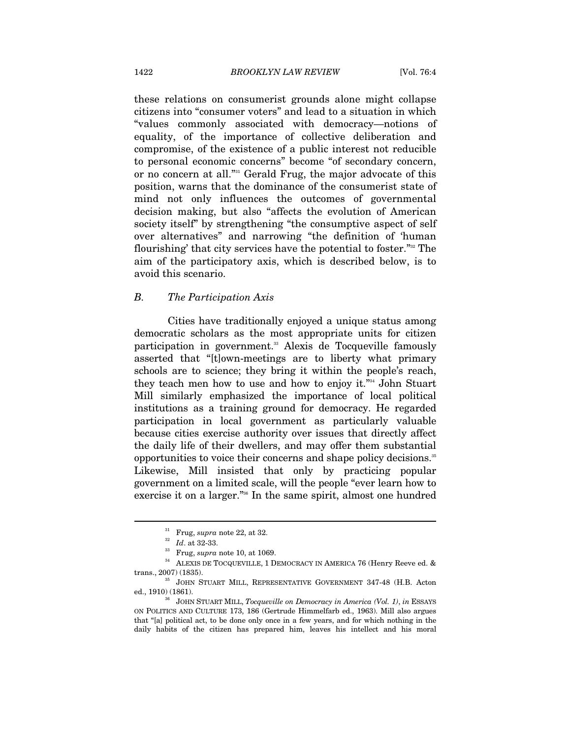these relations on consumerist grounds alone might collapse citizens into "consumer voters" and lead to a situation in which "values commonly associated with democracy—notions of equality, of the importance of collective deliberation and compromise, of the existence of a public interest not reducible to personal economic concerns" become "of secondary concern, or no concern at all."<sup>31</sup> Gerald Frug, the major advocate of this position, warns that the dominance of the consumerist state of mind not only influences the outcomes of governmental decision making, but also "affects the evolution of American society itself" by strengthening "the consumptive aspect of self over alternatives" and narrowing "the definition of 'human flourishing' that city services have the potential to foster."32 The aim of the participatory axis, which is described below, is to avoid this scenario.

# *B. The Participation Axis*

Cities have traditionally enjoyed a unique status among democratic scholars as the most appropriate units for citizen participation in government.<sup>33</sup> Alexis de Tocqueville famously asserted that "[t]own-meetings are to liberty what primary schools are to science; they bring it within the people's reach, they teach men how to use and how to enjoy it."34 John Stuart Mill similarly emphasized the importance of local political institutions as a training ground for democracy. He regarded participation in local government as particularly valuable because cities exercise authority over issues that directly affect the daily life of their dwellers, and may offer them substantial opportunities to voice their concerns and shape policy decisions.<sup>35</sup> Likewise, Mill insisted that only by practicing popular government on a limited scale, will the people "ever learn how to exercise it on a larger."36 In the same spirit, almost one hundred

<sup>&</sup>lt;sup>31</sup> Frug, *supra* note 22, at 32.<br>
<sup>32</sup> *Id.* at 32-33.<br>
<sup>33</sup> Frug, *supra* note 10, at 1069.<br>
<sup>34</sup> ALEXIS DE TOCQUEVILLE, 1 DEMOCRACY IN AMERICA 76 (Henry Reeve ed. & trans., 2007) (1835).

JOHN STUART MILL, REPRESENTATIVE GOVERNMENT 347-48 (H.B. Acton ed., 1910) (1861). 36 JOHN STUART MILL, *Tocqueville on Democracy in America (Vol. 1)*, *in* ESSAYS

ON POLITICS AND CULTURE 173, 186 (Gertrude Himmelfarb ed., 1963). Mill also argues that "[a] political act, to be done only once in a few years, and for which nothing in the daily habits of the citizen has prepared him, leaves his intellect and his moral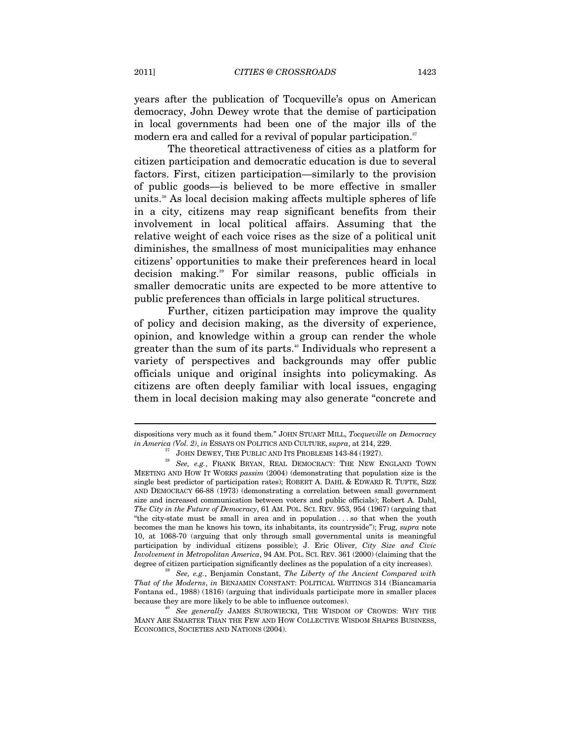years after the publication of Tocqueville's opus on American democracy, John Dewey wrote that the demise of participation in local governments had been one of the major ills of the modern era and called for a revival of popular participation.<sup>37</sup>

The theoretical attractiveness of cities as a platform for citizen participation and democratic education is due to several factors. First, citizen participation—similarly to the provision of public goods—is believed to be more effective in smaller units.<sup>38</sup> As local decision making affects multiple spheres of life in a city, citizens may reap significant benefits from their involvement in local political affairs. Assuming that the relative weight of each voice rises as the size of a political unit diminishes, the smallness of most municipalities may enhance citizens' opportunities to make their preferences heard in local decision making.39 For similar reasons, public officials in smaller democratic units are expected to be more attentive to public preferences than officials in large political structures.

Further, citizen participation may improve the quality of policy and decision making, as the diversity of experience, opinion, and knowledge within a group can render the whole greater than the sum of its parts.<sup>40</sup> Individuals who represent a variety of perspectives and backgrounds may offer public officials unique and original insights into policymaking. As citizens are often deeply familiar with local issues, engaging them in local decision making may also generate "concrete and

 $\overline{a}$ 

dispositions very much as it found them." JOHN STUART MILL, *Tocqueville on Democracy* 

 $\emph{im America (Vol. 2), in ESSAYS ON POLITICS AND CULTURE, *supra*, at 214, 229.}$  JOHN DEWEY, THE PUBLIC AND ITS PROBLEMS 143-84 (1927).  $^{38}$  See, e.g., FRANK BRYAN, REAL DEMOCRACY: THE NEW ENGLAND TOWN MEETING AND HOW IT WORKS *passim* (2004) (demonstrating that population size is the single best predictor of participation rates); ROBERT A. DAHL & EDWARD R. TUFTE, SIZE AND DEMOCRACY 66-88 (1973) (demonstrating a correlation between small government size and increased communication between voters and public officials); Robert A. Dahl, *The City in the Future of Democracy*, 61 AM. POL. SCI. REV. 953, 954 (1967) (arguing that "the city-state must be small in area and in population . . . so that when the youth becomes the man he knows his town, its inhabitants, its countryside"); Frug, *supra* note 10, at 1068-70 (arguing that only through small governmental units is meaningful participation by individual citizens possible); J. Eric Oliver, *City Size and Civic Involvement in Metropolitan America*, 94 AM. POL. SCI. REV. 361 (2000) (claiming that the degree of citizen participation significantly declines as the population of a city increases). 39 *See, e.g.*, Benjamin Constant, *The Liberty of the Ancient Compared with* 

*That of the Moderns*, *in* BENJAMIN CONSTANT: POLITICAL WRITINGS 314 (Biancamaria Fontana ed., 1988) (1816) (arguing that individuals participate more in smaller places because they are more likely to be able to influence outcomes). 40 *See generally* JAMES SUROWIECKI, THE WISDOM OF CROWDS: WHY THE

MANY ARE SMARTER THAN THE FEW AND HOW COLLECTIVE WISDOM SHAPES BUSINESS, ECONOMICS, SOCIETIES AND NATIONS (2004).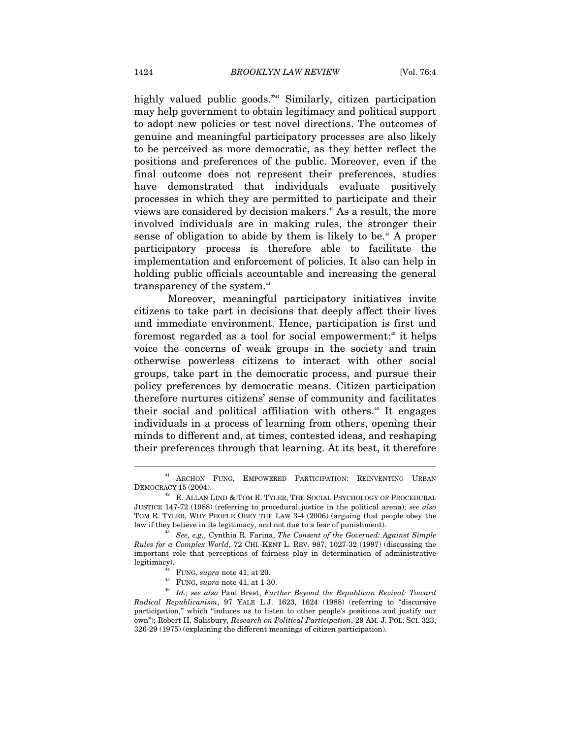highly valued public goods."<sup>41</sup> Similarly, citizen participation may help government to obtain legitimacy and political support to adopt new policies or test novel directions. The outcomes of genuine and meaningful participatory processes are also likely to be perceived as more democratic, as they better reflect the positions and preferences of the public. Moreover, even if the final outcome does not represent their preferences, studies have demonstrated that individuals evaluate positively processes in which they are permitted to participate and their views are considered by decision makers.42 As a result, the more involved individuals are in making rules, the stronger their sense of obligation to abide by them is likely to be.<sup>43</sup> A proper participatory process is therefore able to facilitate the implementation and enforcement of policies. It also can help in holding public officials accountable and increasing the general transparency of the system.<sup>44</sup>

Moreover, meaningful participatory initiatives invite citizens to take part in decisions that deeply affect their lives and immediate environment. Hence, participation is first and foremost regarded as a tool for social empowerment:<sup> $45$ </sup> it helps voice the concerns of weak groups in the society and train otherwise powerless citizens to interact with other social groups, take part in the democratic process, and pursue their policy preferences by democratic means. Citizen participation therefore nurtures citizens' sense of community and facilitates their social and political affiliation with others.<sup>46</sup> It engages individuals in a process of learning from others, opening their minds to different and, at times, contested ideas, and reshaping their preferences through that learning. At its best, it therefore

<sup>41</sup> ARCHON FUNG, EMPOWERED PARTICIPATION: REINVENTING URBAN

DEMOCRACY 15 (2004).  $^{42}$  E. ALLAN LIND & TOM R. TYLER, THE SOCIAL PSYCHOLOGY OF PROCEDURAL JUSTICE 147-72 (1988) (referring to procedural justice in the political arena); *see also*  TOM R. TYLER, WHY PEOPLE OBEY THE LAW 3-4 (2006) (arguing that people obey the law if they believe in its legitimacy, and not due to a fear of punishment). 43 *See, e.g.*, Cynthia R. Farina, *The Consent of the Governed: Against Simple* 

*Rules for a Complex World*, 72 CHI.-KENT L. REV. 987, 1027-32 (1997) (discussing the important role that perceptions of fairness play in determination of administrative

legitimacy). 44 FUNG, *supra* note 41, at 20. 45 FUNG, *supra* note 41, at 1-30. 46 *Id.*; *see also* Paul Brest, *Further Beyond the Republican Revival: Toward Radical Republicanism*, 97 YALE L.J. 1623, 1624 (1988) (referring to "discursive participation," which "induces us to listen to other people's positions and justify our own"); Robert H. Salisbury, *Research on Political Participation*, 29 AM. J. POL. SCI. 323, 326-29 (1975) (explaining the different meanings of citizen participation).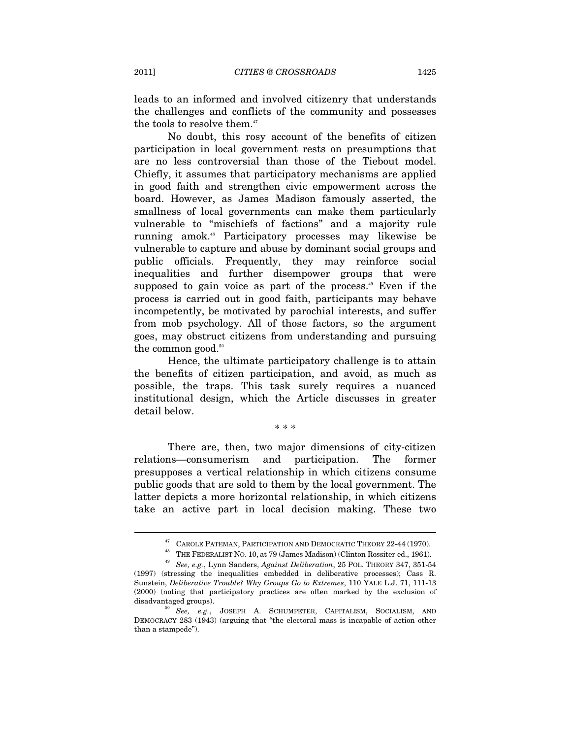leads to an informed and involved citizenry that understands the challenges and conflicts of the community and possesses the tools to resolve them.<sup>47</sup>

No doubt, this rosy account of the benefits of citizen participation in local government rests on presumptions that are no less controversial than those of the Tiebout model. Chiefly, it assumes that participatory mechanisms are applied in good faith and strengthen civic empowerment across the board. However, as James Madison famously asserted, the smallness of local governments can make them particularly vulnerable to "mischiefs of factions" and a majority rule running amok.48 Participatory processes may likewise be vulnerable to capture and abuse by dominant social groups and public officials. Frequently, they may reinforce social inequalities and further disempower groups that were supposed to gain voice as part of the process.<sup>49</sup> Even if the process is carried out in good faith, participants may behave incompetently, be motivated by parochial interests, and suffer from mob psychology. All of those factors, so the argument goes, may obstruct citizens from understanding and pursuing the common good. $50$ 

Hence, the ultimate participatory challenge is to attain the benefits of citizen participation, and avoid, as much as possible, the traps. This task surely requires a nuanced institutional design, which the Article discusses in greater detail below.

\* \* \*

There are, then, two major dimensions of city-citizen relations—consumerism and participation. The former presupposes a vertical relationship in which citizens consume public goods that are sold to them by the local government. The latter depicts a more horizontal relationship, in which citizens take an active part in local decision making. These two

<sup>&</sup>lt;sup>47</sup> CAROLE PATEMAN, PARTICIPATION AND DEMOCRATIC THEORY 22-44 (1970).<br><sup>48</sup> THE FEDERALIST NO. 10, at 79 (James Madison) (Clinton Rossiter ed., 1961).<br><sup>49</sup> *See, e.g.*, Lynn Sanders, *Against Deliberation*, 25 POL. THEORY

<sup>(1997) (</sup>stressing the inequalities embedded in deliberative processes); Cass R. Sunstein, *Deliberative Trouble? Why Groups Go to Extremes*, 110 YALE L.J. 71, 111-13 (2000) (noting that participatory practices are often marked by the exclusion of

disadvantaged groups). 50 *See, e.g.*, JOSEPH A. SCHUMPETER, CAPITALISM, SOCIALISM, AND DEMOCRACY 283 (1943) (arguing that "the electoral mass is incapable of action other than a stampede").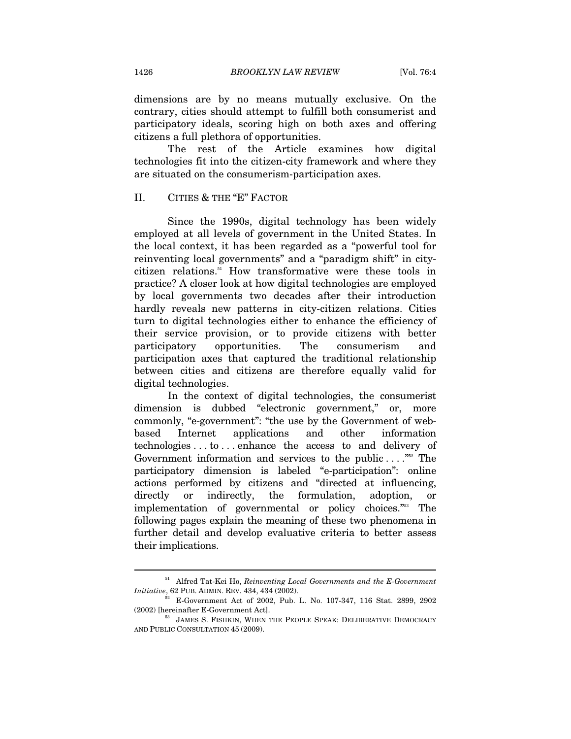dimensions are by no means mutually exclusive. On the contrary, cities should attempt to fulfill both consumerist and participatory ideals, scoring high on both axes and offering citizens a full plethora of opportunities.

The rest of the Article examines how digital technologies fit into the citizen-city framework and where they are situated on the consumerism-participation axes.

# II. CITIES & THE "E" FACTOR

Since the 1990s, digital technology has been widely employed at all levels of government in the United States. In the local context, it has been regarded as a "powerful tool for reinventing local governments" and a "paradigm shift" in citycitizen relations.51 How transformative were these tools in practice? A closer look at how digital technologies are employed by local governments two decades after their introduction hardly reveals new patterns in city-citizen relations. Cities turn to digital technologies either to enhance the efficiency of their service provision, or to provide citizens with better participatory opportunities. The consumerism and participation axes that captured the traditional relationship between cities and citizens are therefore equally valid for digital technologies.

In the context of digital technologies, the consumerist dimension is dubbed "electronic government," or, more commonly, "e-government": "the use by the Government of webbased Internet applications and other information technologies . . . to . . . enhance the access to and delivery of Government information and services to the public  $\dots$ ."<sup>52</sup> The participatory dimension is labeled "e-participation": online actions performed by citizens and "directed at influencing, directly or indirectly, the formulation, adoption, or implementation of governmental or policy choices."53 The following pages explain the meaning of these two phenomena in further detail and develop evaluative criteria to better assess their implications.

<sup>51</sup> Alfred Tat-Kei Ho, *Reinventing Local Governments and the E-Government Initiative*, 62 PUB. ADMIN. REV. 434, 434 (2002).<br><sup>52</sup> E-Government Act of 2002, Pub. L. No. 107-347, 116 Stat. 2899, 2902

 $(2002)$  [hereinafter E-Government Act].  $$^{53}$$  JAMES S. FISHKIN, WHEN THE PEOPLE SPEAK: DELIBERATIVE DEMOCRACY

AND PUBLIC CONSULTATION 45 (2009).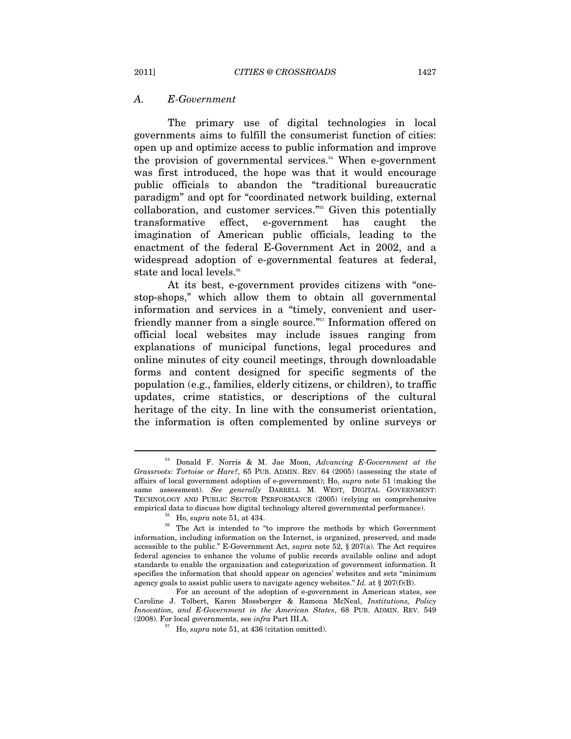#### *A. E-Government*

The primary use of digital technologies in local governments aims to fulfill the consumerist function of cities: open up and optimize access to public information and improve the provision of governmental services. $54$  When e-government was first introduced, the hope was that it would encourage public officials to abandon the "traditional bureaucratic paradigm" and opt for "coordinated network building, external collaboration, and customer services."55 Given this potentially transformative effect, e-government has caught the imagination of American public officials, leading to the enactment of the federal E-Government Act in 2002, and a widespread adoption of e-governmental features at federal, state and local levels.<sup>56</sup>

At its best, e-government provides citizens with "onestop-shops," which allow them to obtain all governmental information and services in a "timely, convenient and userfriendly manner from a single source."<sup>557</sup> Information offered on official local websites may include issues ranging from explanations of municipal functions, legal procedures and online minutes of city council meetings, through downloadable forms and content designed for specific segments of the population (e.g., families, elderly citizens, or children), to traffic updates, crime statistics, or descriptions of the cultural heritage of the city. In line with the consumerist orientation, the information is often complemented by online surveys or

<sup>54</sup> Donald F. Norris & M. Jae Moon, *Advancing E-Government at the Grassroots: Tortoise or Hare?*, 65 PUB. ADMIN. REV. 64 (2005) (assessing the state of affairs of local government adoption of e-government); Ho, *supra* note 51 (making the same assessment). *See generally* DARRELL M. WEST, DIGITAL GOVERNMENT: TECHNOLOGY AND PUBLIC SECTOR PERFORMANCE (2005) (relying on comprehensive

<sup>&</sup>lt;sup>55</sup> Ho, *supra* note 51, at 434.  $\frac{56}{16}$  The Act is intended to "to improve the methods by which Government information, including information on the Internet, is organized, preserved, and made accessible to the public." E-Government Act, *supra* note 52, § 207(a). The Act requires federal agencies to enhance the volume of public records available online and adopt standards to enable the organization and categorization of government information. It specifies the information that should appear on agencies' websites and sets "minimum agency goals to assist public users to navigate agency websites." *Id.* at § 207(f)(B).

For an account of the adoption of e-government in American states, see Caroline J. Tolbert, Karen Mossberger & Ramona McNeal, *Institutions, Policy Innovation, and E-Government in the American States*, 68 PUB. ADMIN. REV. 549 (2008). For local governments, see *infra* Part III.A.<br> $^{57}$  Ho, *supra* note 51, at 436 (citation omitted).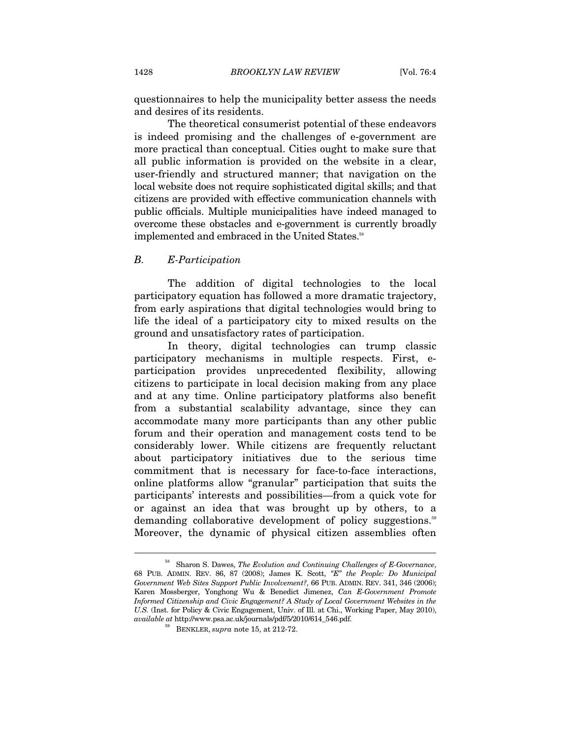questionnaires to help the municipality better assess the needs and desires of its residents.

The theoretical consumerist potential of these endeavors is indeed promising and the challenges of e-government are more practical than conceptual. Cities ought to make sure that all public information is provided on the website in a clear, user-friendly and structured manner; that navigation on the local website does not require sophisticated digital skills; and that citizens are provided with effective communication channels with public officials. Multiple municipalities have indeed managed to overcome these obstacles and e-government is currently broadly implemented and embraced in the United States.<sup>58</sup>

# *B. E-Participation*

The addition of digital technologies to the local participatory equation has followed a more dramatic trajectory, from early aspirations that digital technologies would bring to life the ideal of a participatory city to mixed results on the ground and unsatisfactory rates of participation.

In theory, digital technologies can trump classic participatory mechanisms in multiple respects. First, eparticipation provides unprecedented flexibility, allowing citizens to participate in local decision making from any place and at any time. Online participatory platforms also benefit from a substantial scalability advantage, since they can accommodate many more participants than any other public forum and their operation and management costs tend to be considerably lower. While citizens are frequently reluctant about participatory initiatives due to the serious time commitment that is necessary for face-to-face interactions, online platforms allow "granular" participation that suits the participants' interests and possibilities—from a quick vote for or against an idea that was brought up by others, to a demanding collaborative development of policy suggestions.<sup>59</sup> Moreover, the dynamic of physical citizen assemblies often

<sup>58</sup> Sharon S. Dawes, *The Evolution and Continuing Challenges of E-Governance*, 68 PUB. ADMIN. REV. 86, 87 (2008); James K. Scott, *"E" the People: Do Municipal Government Web Sites Support Public Involvement?*, 66 PUB. ADMIN. REV. 341, 346 (2006); Karen Mossberger, Yonghong Wu & Benedict Jimenez, *Can E-Government Promote Informed Citizenship and Civic Engagement? A Study of Local Government Websites in the U.S.* (Inst. for Policy & Civic Engagement, Univ. of Ill. at Chi., Working Paper, May 2010), *available at* http://www.psa.ac.uk/journals/pdf/5/2010/614\_546.pdf. 59 BENKLER, *supra* note 15, at 212-72.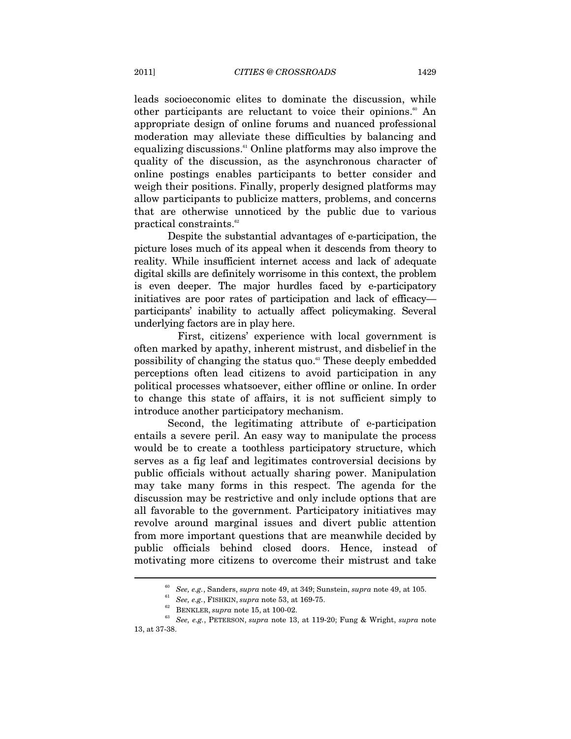leads socioeconomic elites to dominate the discussion, while other participants are reluctant to voice their opinions.<sup>60</sup> An appropriate design of online forums and nuanced professional moderation may alleviate these difficulties by balancing and equalizing discussions.<sup>61</sup> Online platforms may also improve the quality of the discussion, as the asynchronous character of online postings enables participants to better consider and weigh their positions. Finally, properly designed platforms may allow participants to publicize matters, problems, and concerns that are otherwise unnoticed by the public due to various practical constraints.<sup>62</sup>

Despite the substantial advantages of e-participation, the picture loses much of its appeal when it descends from theory to reality. While insufficient internet access and lack of adequate digital skills are definitely worrisome in this context, the problem is even deeper. The major hurdles faced by e-participatory initiatives are poor rates of participation and lack of efficacy participants' inability to actually affect policymaking. Several underlying factors are in play here.

First, citizens' experience with local government is often marked by apathy, inherent mistrust, and disbelief in the possibility of changing the status quo.63 These deeply embedded perceptions often lead citizens to avoid participation in any political processes whatsoever, either offline or online. In order to change this state of affairs, it is not sufficient simply to introduce another participatory mechanism.

Second, the legitimating attribute of e-participation entails a severe peril. An easy way to manipulate the process would be to create a toothless participatory structure, which serves as a fig leaf and legitimates controversial decisions by public officials without actually sharing power. Manipulation may take many forms in this respect. The agenda for the discussion may be restrictive and only include options that are all favorable to the government. Participatory initiatives may revolve around marginal issues and divert public attention from more important questions that are meanwhile decided by public officials behind closed doors. Hence, instead of motivating more citizens to overcome their mistrust and take

<sup>60</sup> *See, e.g.*, Sanders, *supra* note 49, at 349; Sunstein, *supra* note 49, at 105. 61 *See, e.g.*, FISHKIN, *supra* note 53, at 169-75. 62 BENKLER, *supra* note 15, at 100-02.

<sup>63</sup> *See, e.g.*, PETERSON, *supra* note 13, at 119-20; Fung & Wright, *supra* note 13, at 37-38.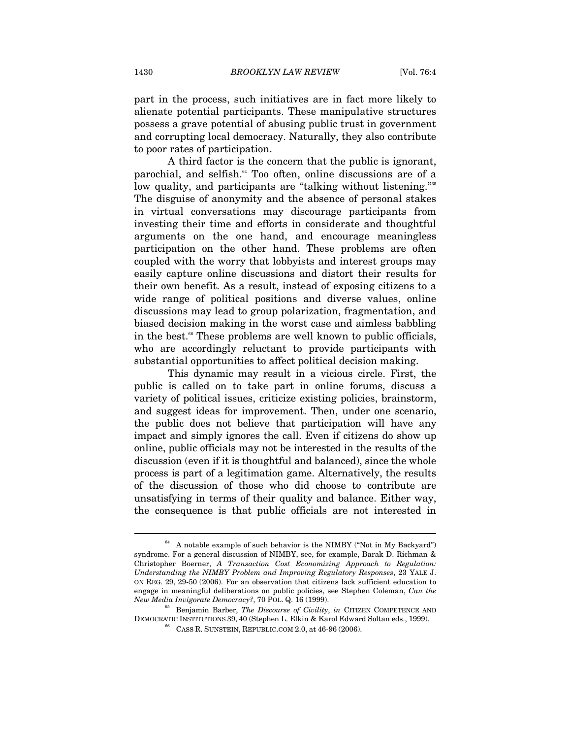part in the process, such initiatives are in fact more likely to alienate potential participants. These manipulative structures possess a grave potential of abusing public trust in government and corrupting local democracy. Naturally, they also contribute to poor rates of participation.

A third factor is the concern that the public is ignorant, parochial, and selfish.<sup>64</sup> Too often, online discussions are of a low quality, and participants are "talking without listening."<sup>65</sup> The disguise of anonymity and the absence of personal stakes in virtual conversations may discourage participants from investing their time and efforts in considerate and thoughtful arguments on the one hand, and encourage meaningless participation on the other hand. These problems are often coupled with the worry that lobbyists and interest groups may easily capture online discussions and distort their results for their own benefit. As a result, instead of exposing citizens to a wide range of political positions and diverse values, online discussions may lead to group polarization, fragmentation, and biased decision making in the worst case and aimless babbling in the best.<sup>66</sup> These problems are well known to public officials, who are accordingly reluctant to provide participants with substantial opportunities to affect political decision making.

This dynamic may result in a vicious circle. First, the public is called on to take part in online forums, discuss a variety of political issues, criticize existing policies, brainstorm, and suggest ideas for improvement. Then, under one scenario, the public does not believe that participation will have any impact and simply ignores the call. Even if citizens do show up online, public officials may not be interested in the results of the discussion (even if it is thoughtful and balanced), since the whole process is part of a legitimation game. Alternatively, the results of the discussion of those who did choose to contribute are unsatisfying in terms of their quality and balance. Either way, the consequence is that public officials are not interested in

 $64$  A notable example of such behavior is the NIMBY ("Not in My Backyard") syndrome. For a general discussion of NIMBY, see, for example, Barak D. Richman & Christopher Boerner, *A Transaction Cost Economizing Approach to Regulation: Understanding the NIMBY Problem and Improving Regulatory Responses*, 23 YALE J. ON REG. 29, 29-50 (2006). For an observation that citizens lack sufficient education to engage in meaningful deliberations on public policies, see Stephen Coleman, *Can the New Media Invigorate Democracy?*, 70 POL. Q. 16 (1999).<br><sup>65</sup> Benjamin Barber, *The Discourse of Civility*, *in* CITIZEN COMPETENCE AND

DEMOCRATIC INSTITUTIONS 39, 40 (Stephen L. Elkin & Karol Edward Soltan eds., 1999).<br><sup>66</sup> CASS R. SUNSTEIN, REPUBLIC.COM 2.0, at 46-96 (2006).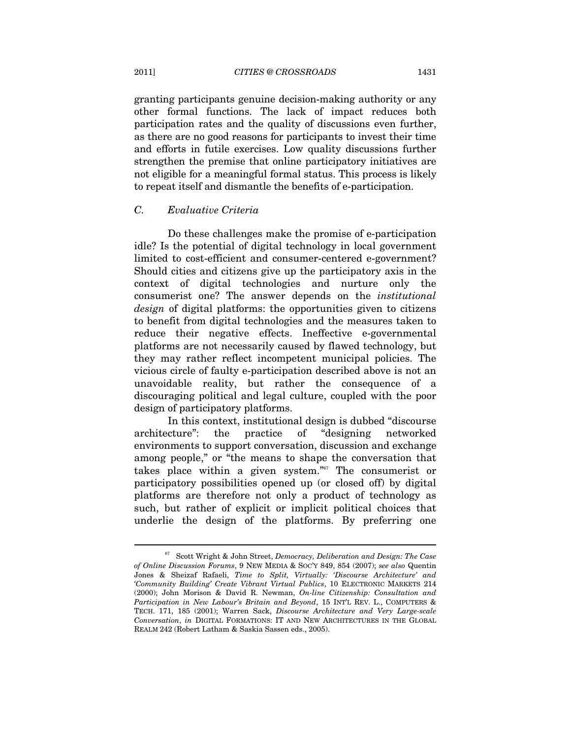granting participants genuine decision-making authority or any other formal functions. The lack of impact reduces both participation rates and the quality of discussions even further, as there are no good reasons for participants to invest their time and efforts in futile exercises. Low quality discussions further strengthen the premise that online participatory initiatives are not eligible for a meaningful formal status. This process is likely to repeat itself and dismantle the benefits of e-participation.

# *C. Evaluative Criteria*

Do these challenges make the promise of e-participation idle? Is the potential of digital technology in local government limited to cost-efficient and consumer-centered e-government? Should cities and citizens give up the participatory axis in the context of digital technologies and nurture only the consumerist one? The answer depends on the *institutional design* of digital platforms: the opportunities given to citizens to benefit from digital technologies and the measures taken to reduce their negative effects. Ineffective e-governmental platforms are not necessarily caused by flawed technology, but they may rather reflect incompetent municipal policies. The vicious circle of faulty e-participation described above is not an unavoidable reality, but rather the consequence of a discouraging political and legal culture, coupled with the poor design of participatory platforms.

In this context, institutional design is dubbed "discourse architecture": the practice of "designing networked environments to support conversation, discussion and exchange among people," or "the means to shape the conversation that takes place within a given system."67 The consumerist or participatory possibilities opened up (or closed off) by digital platforms are therefore not only a product of technology as such, but rather of explicit or implicit political choices that underlie the design of the platforms. By preferring one

<sup>67</sup> Scott Wright & John Street, *Democracy, Deliberation and Design: The Case of Online Discussion Forums*, 9 NEW MEDIA & SOC'Y 849, 854 (2007); *see also* Quentin Jones & Sheizaf Rafaeli, *Time to Split, Virtually: 'Discourse Architecture' and 'Community Building' Create Vibrant Virtual Publics*, 10 ELECTRONIC MARKETS 214 (2000); John Morison & David R. Newman, *On-line Citizenship: Consultation and Participation in New Labour's Britain and Beyond*, 15 INT'L REV. L., COMPUTERS & TECH. 171, 185 (2001); Warren Sack, *Discourse Architecture and Very Large-scale Conversation*, *in* DIGITAL FORMATIONS: IT AND NEW ARCHITECTURES IN THE GLOBAL REALM 242 (Robert Latham & Saskia Sassen eds., 2005).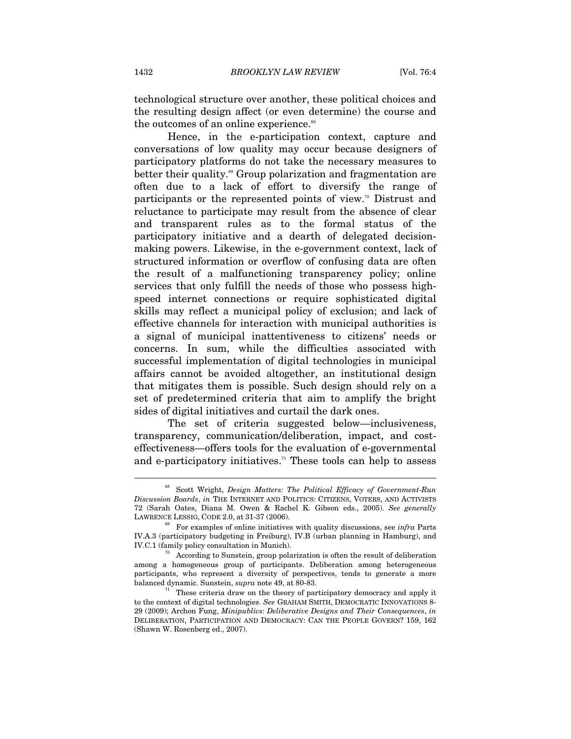technological structure over another, these political choices and the resulting design affect (or even determine) the course and the outcomes of an online experience.<sup>68</sup>

Hence, in the e-participation context, capture and conversations of low quality may occur because designers of participatory platforms do not take the necessary measures to better their quality.<sup>69</sup> Group polarization and fragmentation are often due to a lack of effort to diversify the range of participants or the represented points of view.<sup>70</sup> Distrust and reluctance to participate may result from the absence of clear and transparent rules as to the formal status of the participatory initiative and a dearth of delegated decisionmaking powers. Likewise, in the e-government context, lack of structured information or overflow of confusing data are often the result of a malfunctioning transparency policy; online services that only fulfill the needs of those who possess highspeed internet connections or require sophisticated digital skills may reflect a municipal policy of exclusion; and lack of effective channels for interaction with municipal authorities is a signal of municipal inattentiveness to citizens' needs or concerns. In sum, while the difficulties associated with successful implementation of digital technologies in municipal affairs cannot be avoided altogether, an institutional design that mitigates them is possible. Such design should rely on a set of predetermined criteria that aim to amplify the bright sides of digital initiatives and curtail the dark ones.

The set of criteria suggested below—inclusiveness, transparency, communication/deliberation, impact, and costeffectiveness—offers tools for the evaluation of e-governmental and e-participatory initiatives.<sup> $n$ </sup> These tools can help to assess

<sup>68</sup> Scott Wright, *Design Matters: The Political Efficacy of Government-Run Discussion Boards*, *in* THE INTERNET AND POLITICS: CITIZENS, VOTERS, AND ACTIVISTS 72 (Sarah Oates, Diana M. Owen & Rachel K. Gibson eds., 2005). *See generally* LAWRENCE LESSIG, CODE 2.0, at 31-37 (2006). 69 For examples of online initiatives with quality discussions, see *infra* Parts

IV.A.3 (participatory budgeting in Freiburg), IV.B (urban planning in Hamburg), and IV.C.1 (family policy consultation in Munich).<br><sup>70</sup> According to Sunstein, group polarization is often the result of deliberation

among a homogeneous group of participants. Deliberation among heterogeneous participants, who represent a diversity of perspectives, tends to generate a more balanced dynamic. Sunstein, *supra* note 49, at 80-83.<br><sup>71</sup> These criteria draw on the theory of participatory democracy and apply it

to the context of digital technologies. *See* GRAHAM SMITH, DEMOCRATIC INNOVATIONS 8- 29 (2009); Archon Fung, *Minipublics: Deliberative Designs and Their Consequences*, *in*  DELIBERATION, PARTICIPATION AND DEMOCRACY: CAN THE PEOPLE GOVERN? 159, 162 (Shawn W. Rosenberg ed., 2007).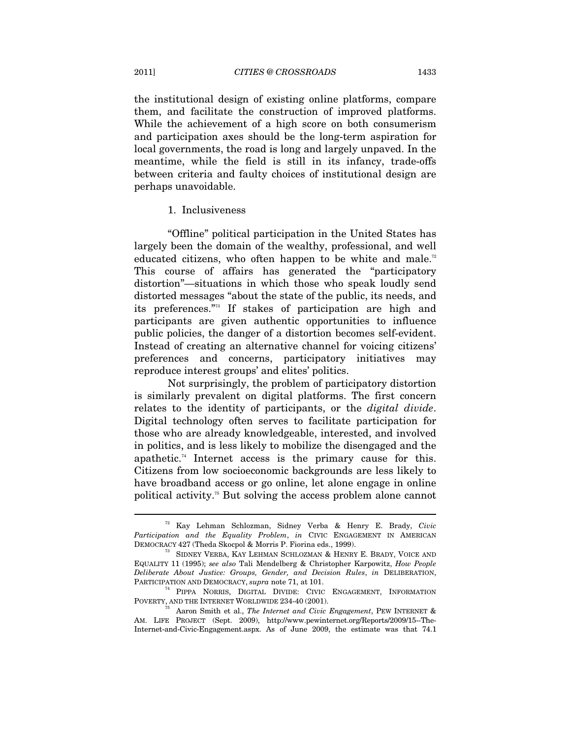the institutional design of existing online platforms, compare them, and facilitate the construction of improved platforms. While the achievement of a high score on both consumerism and participation axes should be the long-term aspiration for local governments, the road is long and largely unpaved. In the meantime, while the field is still in its infancy, trade-offs between criteria and faulty choices of institutional design are perhaps unavoidable.

# 1. Inclusiveness

"Offline" political participation in the United States has largely been the domain of the wealthy, professional, and well educated citizens, who often happen to be white and male.<sup>72</sup> This course of affairs has generated the "participatory distortion"—situations in which those who speak loudly send distorted messages "about the state of the public, its needs, and its preferences."73 If stakes of participation are high and participants are given authentic opportunities to influence public policies, the danger of a distortion becomes self-evident. Instead of creating an alternative channel for voicing citizens' preferences and concerns, participatory initiatives may reproduce interest groups' and elites' politics.

Not surprisingly, the problem of participatory distortion is similarly prevalent on digital platforms. The first concern relates to the identity of participants, or the *digital divide*. Digital technology often serves to facilitate participation for those who are already knowledgeable, interested, and involved in politics, and is less likely to mobilize the disengaged and the apathetic.74 Internet access is the primary cause for this. Citizens from low socioeconomic backgrounds are less likely to have broadband access or go online, let alone engage in online political activity.75 But solving the access problem alone cannot

<sup>72</sup> Kay Lehman Schlozman, Sidney Verba & Henry E. Brady, *Civic Participation and the Equality Problem*, *in* CIVIC ENGAGEMENT IN AMERICAN DEMOCRACY 427 (Theda Skocpol & Morris P. Fiorina eds., 1999). 73 SIDNEY VERBA, KAY LEHMAN SCHLOZMAN & HENRY E. BRADY, VOICE AND

EQUALITY 11 (1995); *see also* Tali Mendelberg & Christopher Karpowitz, *How People Deliberate About Justice: Groups, Gender, and Decision Rules*, *in* DELIBERATION, PARTICIPATION AND DEMOCRACY, *supra* note 71, at 101. 74 PIPPA NORRIS, DIGITAL DIVIDE: CIVIC ENGAGEMENT, INFORMATION

POVERTY, AND THE INTERNET WORLDWIDE 234-40 (2001).

<sup>75</sup> Aaron Smith et al., *The Internet and Civic Engagement*, PEW INTERNET & AM. LIFE PROJECT (Sept. 2009), http://www.pewinternet.org/Reports/2009/15--The-Internet-and-Civic-Engagement.aspx. As of June 2009, the estimate was that 74.1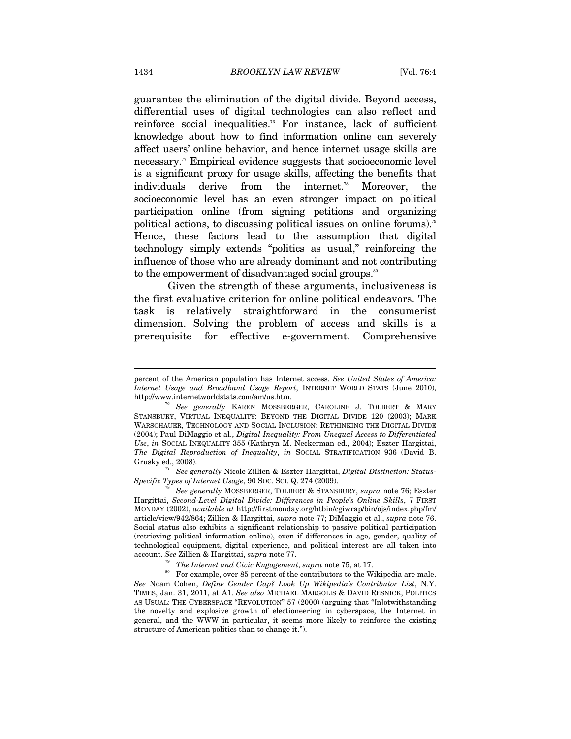guarantee the elimination of the digital divide. Beyond access, differential uses of digital technologies can also reflect and reinforce social inequalities.76 For instance, lack of sufficient knowledge about how to find information online can severely affect users' online behavior, and hence internet usage skills are necessary.<sup>77</sup> Empirical evidence suggests that socioeconomic level is a significant proxy for usage skills, affecting the benefits that individuals derive from the internet.<sup>78</sup> Moreover, the socioeconomic level has an even stronger impact on political participation online (from signing petitions and organizing political actions, to discussing political issues on online forums).79 Hence, these factors lead to the assumption that digital technology simply extends "politics as usual," reinforcing the influence of those who are already dominant and not contributing to the empowerment of disadvantaged social groups.<sup>80</sup>

Given the strength of these arguments, inclusiveness is the first evaluative criterion for online political endeavors. The task is relatively straightforward in the consumerist dimension. Solving the problem of access and skills is a prerequisite for effective e-government. Comprehensive

<sup>77</sup> *See generally* Nicole Zillien & Eszter Hargittai, *Digital Distinction: Status-*<br>Specific Types of Internet Usage, 90 Soc. Sci. Q. 274 (2009).

*See generally* MOSSBERGER, TOLBERT & STANSBURY, *supra* note 76; Eszter Hargittai, *Second-Level Digital Divide: Differences in People's Online Skills*, 7 FIRST MONDAY (2002), *available at* http://firstmonday.org/htbin/cgiwrap/bin/ojs/index.php/fm/ article/view/942/864; Zillien & Hargittai, *supra* note 77; DiMaggio et al., *supra* note 76. Social status also exhibits a significant relationship to passive political participation (retrieving political information online), even if differences in age, gender, quality of technological equipment, digital experience, and political interest are all taken into account. *See* Zillien & Hargittai, *supra* note 77.<br><sup>79</sup> The Internet and Civic Engagement, *supra* note 75, at 17.<br><sup>80</sup> For example, over 85 percent of the contributors to the Wikipedia are male.

*See* Noam Cohen, *Define Gender Gap? Look Up Wikipedia's Contributor List*, N.Y. TIMES, Jan. 31, 2011, at A1. *See also* MICHAEL MARGOLIS & DAVID RESNICK, POLITICS AS USUAL: THE CYBERSPACE "REVOLUTION" 57 (2000) (arguing that "[n]otwithstanding the novelty and explosive growth of electioneering in cyberspace, the Internet in general, and the WWW in particular, it seems more likely to reinforce the existing structure of American politics than to change it.").

 $\overline{a}$ 

percent of the American population has Internet access. *See United States of America: Internet Usage and Broadband Usage Report*, INTERNET WORLD STATS (June 2010), http://www.internetworldstats.com/am/us.htm. 76 *See generally* KAREN MOSSBERGER, CAROLINE J. TOLBERT & MARY

STANSBURY, VIRTUAL INEQUALITY: BEYOND THE DIGITAL DIVIDE 120 (2003); MARK WARSCHAUER, TECHNOLOGY AND SOCIAL INCLUSION: RETHINKING THE DIGITAL DIVIDE (2004); Paul DiMaggio et al., *Digital Inequality: From Unequal Access to Differentiated Use*, *in* SOCIAL INEQUALITY 355 (Kathryn M. Neckerman ed., 2004); Eszter Hargittai, *The Digital Reproduction of Inequality*, *in* SOCIAL STRATIFICATION 936 (David B.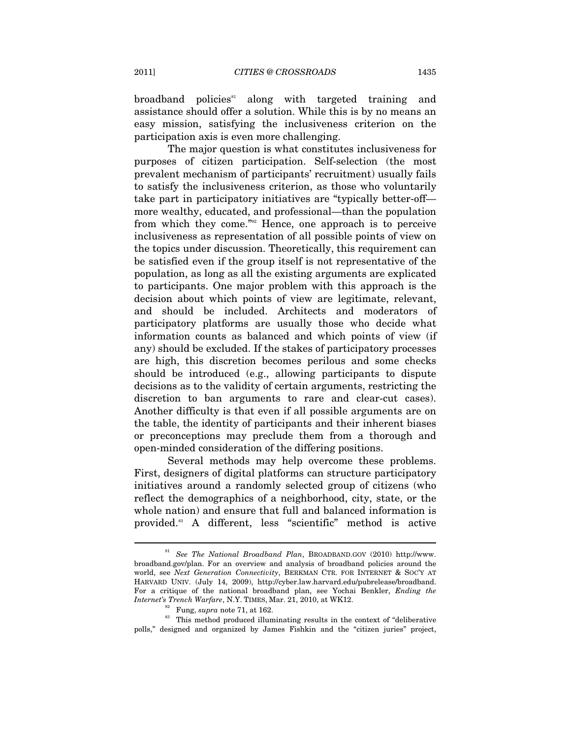$broadband$  policies<sup>81</sup> along with targeted training and assistance should offer a solution. While this is by no means an easy mission, satisfying the inclusiveness criterion on the participation axis is even more challenging.

The major question is what constitutes inclusiveness for purposes of citizen participation. Self-selection (the most prevalent mechanism of participants' recruitment) usually fails to satisfy the inclusiveness criterion, as those who voluntarily take part in participatory initiatives are "typically better-off more wealthy, educated, and professional—than the population from which they come."82 Hence, one approach is to perceive inclusiveness as representation of all possible points of view on the topics under discussion. Theoretically, this requirement can be satisfied even if the group itself is not representative of the population, as long as all the existing arguments are explicated to participants. One major problem with this approach is the decision about which points of view are legitimate, relevant, and should be included. Architects and moderators of participatory platforms are usually those who decide what information counts as balanced and which points of view (if any) should be excluded. If the stakes of participatory processes are high, this discretion becomes perilous and some checks should be introduced (e.g., allowing participants to dispute decisions as to the validity of certain arguments, restricting the discretion to ban arguments to rare and clear-cut cases). Another difficulty is that even if all possible arguments are on the table, the identity of participants and their inherent biases or preconceptions may preclude them from a thorough and open-minded consideration of the differing positions.

Several methods may help overcome these problems. First, designers of digital platforms can structure participatory initiatives around a randomly selected group of citizens (who reflect the demographics of a neighborhood, city, state, or the whole nation) and ensure that full and balanced information is provided.83 A different, less "scientific" method is active

<sup>81</sup> *See The National Broadband Plan*, BROADBAND.GOV (2010) http://www. broadband.gov/plan. For an overview and analysis of broadband policies around the world, see *Next Generation Connectivity*, BERKMAN CTR. FOR INTERNET & SOC'Y AT HARVARD UNIV. (July 14, 2009), http://cyber.law.harvard.edu/pubrelease/broadband. For a critique of the national broadband plan, see Yochai Benkler, *Ending the* 

*Internet's Trench Warfare*, N.Y. TIMES, Mar. 21, 2010, at WK12.<br><sup>82</sup> Fung, *supra* note 71, at 162.<br><sup>83</sup> This method produced illuminating results in the context of "deliberative polls," designed and organized by James Fishkin and the "citizen juries" project,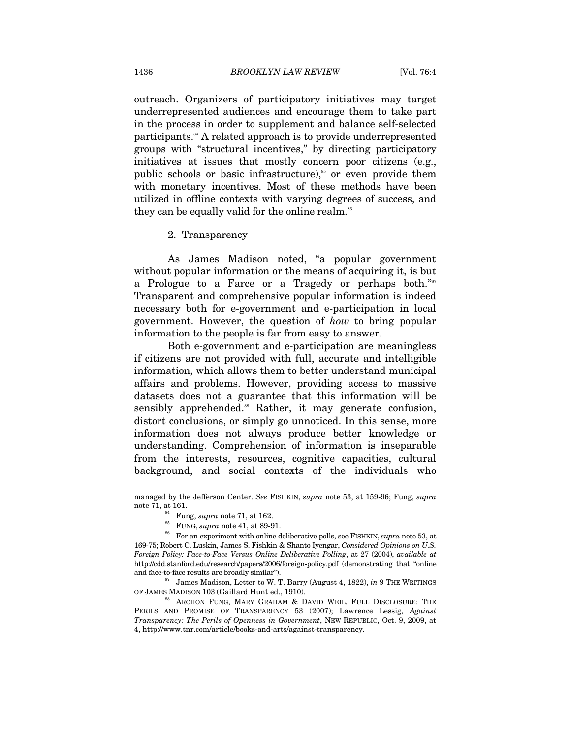outreach. Organizers of participatory initiatives may target underrepresented audiences and encourage them to take part in the process in order to supplement and balance self-selected participants.84 A related approach is to provide underrepresented groups with "structural incentives," by directing participatory initiatives at issues that mostly concern poor citizens (e.g., public schools or basic infrastructure), $\delta$ <sup>55</sup> or even provide them with monetary incentives. Most of these methods have been utilized in offline contexts with varying degrees of success, and they can be equally valid for the online realm.<sup>86</sup>

#### 2. Transparency

As James Madison noted, "a popular government without popular information or the means of acquiring it, is but a Prologue to a Farce or a Tragedy or perhaps both."<sup>87</sup> Transparent and comprehensive popular information is indeed necessary both for e-government and e-participation in local government. However, the question of *how* to bring popular information to the people is far from easy to answer.

Both e-government and e-participation are meaningless if citizens are not provided with full, accurate and intelligible information, which allows them to better understand municipal affairs and problems. However, providing access to massive datasets does not a guarantee that this information will be sensibly apprehended.<sup>88</sup> Rather, it may generate confusion, distort conclusions, or simply go unnoticed. In this sense, more information does not always produce better knowledge or understanding. Comprehension of information is inseparable from the interests, resources, cognitive capacities, cultural background, and social contexts of the individuals who

 $\overline{a}$ 

managed by the Jefferson Center. *See* FISHKIN, *supra* note 53, at 159-96; Fung, *supra*  note 71, at 161.<br><sup>85</sup> Fung, *supra* note 71, at 162.<br><sup>85</sup> FUNG, *supra* note 41, at 89-91.<br><sup>86</sup> For an experiment with online deliberative polls, see FISHKIN, *supra* note 53, at

<sup>169-75;</sup> Robert C. Luskin, James S. Fishkin & Shanto Iyengar, *Considered Opinions on U.S. Foreign Policy: Face-to-Face Versus Online Deliberative Polling*, at 27 (2004), *available at* http://cdd.stanford.edu/research/papers/2006/foreign-policy.pdf (demonstrating that "online and face-to-face results are broadly similar").<br><sup>87</sup> James Madison, Letter to W. T. Barry (August 4, 1822), *in* 9 THE WRITINGS

OF JAMES MADISON 103 (Gaillard Hunt ed., 1910).<br><sup>88</sup> ARCHON FUNG, MARY GRAHAM & DAVID WEIL, FULL DISCLOSURE: THE

PERILS AND PROMISE OF TRANSPARENCY 53 (2007); Lawrence Lessig, *Against Transparency: The Perils of Openness in Government*, NEW REPUBLIC, Oct. 9, 2009, at 4, http://www.tnr.com/article/books-and-arts/against-transparency.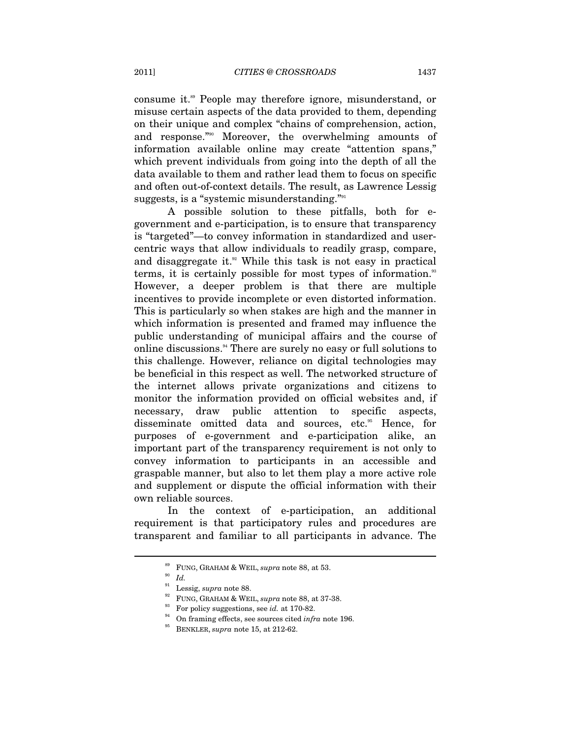consume it.89 People may therefore ignore, misunderstand, or misuse certain aspects of the data provided to them, depending on their unique and complex "chains of comprehension, action, and response."90 Moreover, the overwhelming amounts of information available online may create "attention spans," which prevent individuals from going into the depth of all the data available to them and rather lead them to focus on specific and often out-of-context details. The result, as Lawrence Lessig suggests, is a "systemic misunderstanding."<sup>91</sup>

A possible solution to these pitfalls, both for egovernment and e-participation, is to ensure that transparency is "targeted"—to convey information in standardized and usercentric ways that allow individuals to readily grasp, compare, and disaggregate it.<sup>92</sup> While this task is not easy in practical terms, it is certainly possible for most types of information.<sup>33</sup> However, a deeper problem is that there are multiple incentives to provide incomplete or even distorted information. This is particularly so when stakes are high and the manner in which information is presented and framed may influence the public understanding of municipal affairs and the course of online discussions.94 There are surely no easy or full solutions to this challenge. However, reliance on digital technologies may be beneficial in this respect as well. The networked structure of the internet allows private organizations and citizens to monitor the information provided on official websites and, if necessary, draw public attention to specific aspects, disseminate omitted data and sources, etc.<sup>95</sup> Hence, for purposes of e-government and e-participation alike, an important part of the transparency requirement is not only to convey information to participants in an accessible and graspable manner, but also to let them play a more active role and supplement or dispute the official information with their own reliable sources.

In the context of e-participation, an additional requirement is that participatory rules and procedures are transparent and familiar to all participants in advance. The

 $\overset{\text{89}}{10}$  FUNG, GRAHAM & WEIL, *supra* note 88, at 53.<br>  $Id.$  <br>  $\overset{\text{90}}{1}$  Lessig,  $supra$  note 88.

<sup>&</sup>lt;sup>92</sup> FUNG, GRAHAM & WEIL, *supra* note 88, at 37-38.<br>
<sup>93</sup> For policy suggestions, see *id.* at 170-82.<br>
<sup>94</sup> On framing effects, see sources cited *infra* note 196.<br>
<sup>95</sup> BENKLER, *supra* note 15, at 212-62.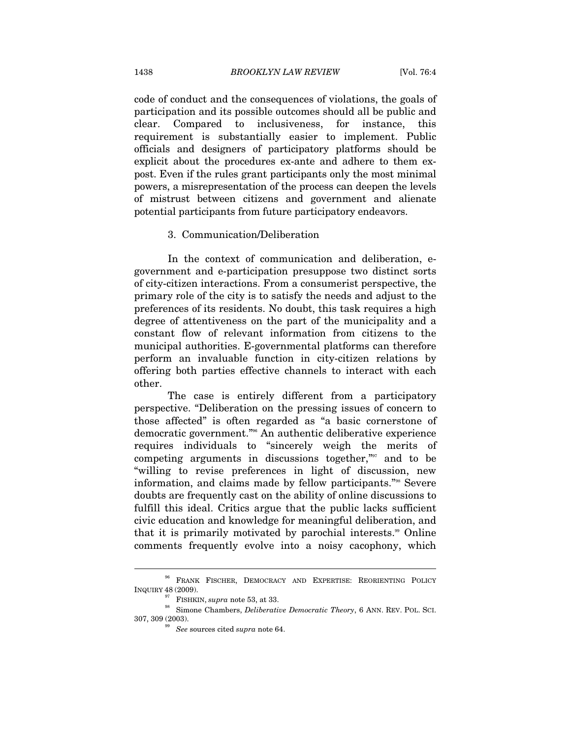code of conduct and the consequences of violations, the goals of participation and its possible outcomes should all be public and clear. Compared to inclusiveness, for instance, this requirement is substantially easier to implement. Public officials and designers of participatory platforms should be explicit about the procedures ex-ante and adhere to them expost. Even if the rules grant participants only the most minimal powers, a misrepresentation of the process can deepen the levels of mistrust between citizens and government and alienate potential participants from future participatory endeavors.

# 3. Communication/Deliberation

In the context of communication and deliberation, egovernment and e-participation presuppose two distinct sorts of city-citizen interactions. From a consumerist perspective, the primary role of the city is to satisfy the needs and adjust to the preferences of its residents. No doubt, this task requires a high degree of attentiveness on the part of the municipality and a constant flow of relevant information from citizens to the municipal authorities. E-governmental platforms can therefore perform an invaluable function in city-citizen relations by offering both parties effective channels to interact with each other.

The case is entirely different from a participatory perspective. "Deliberation on the pressing issues of concern to those affected" is often regarded as "a basic cornerstone of democratic government."96 An authentic deliberative experience requires individuals to "sincerely weigh the merits of competing arguments in discussions together,"97 and to be "willing to revise preferences in light of discussion, new information, and claims made by fellow participants."98 Severe doubts are frequently cast on the ability of online discussions to fulfill this ideal. Critics argue that the public lacks sufficient civic education and knowledge for meaningful deliberation, and that it is primarily motivated by parochial interests.<sup>99</sup> Online comments frequently evolve into a noisy cacophony, which

 $^{96}$ FRANK FISCHER, DEMOCRACY AND EXPERTISE: REORIENTING POLICY INQUIRY 48 (2009).

<sup>&</sup>lt;sup>97</sup> FISHKIN, *supra* note 53, at 33. 98 Simone Chambers, *Deliberative Democratic Theory*, 6 ANN. REV. POL. SCI. 307, 309 (2003). 99 *See* sources cited *supra* note 64.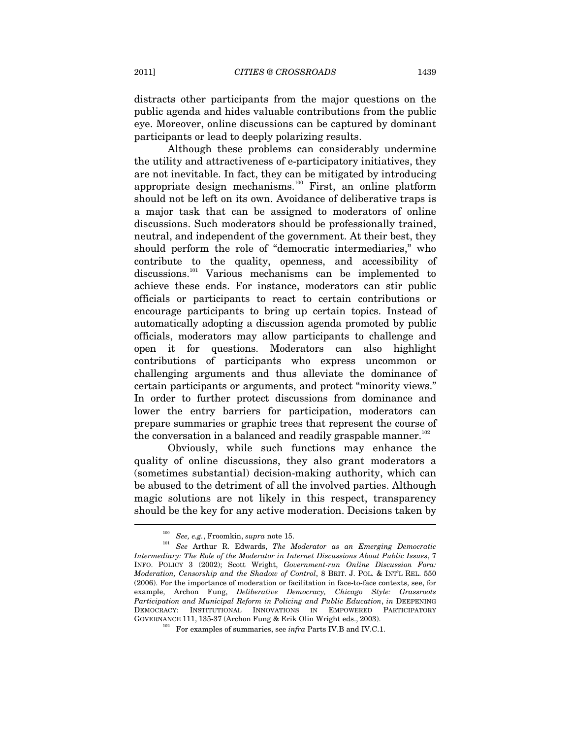distracts other participants from the major questions on the public agenda and hides valuable contributions from the public eye. Moreover, online discussions can be captured by dominant participants or lead to deeply polarizing results.

Although these problems can considerably undermine the utility and attractiveness of e-participatory initiatives, they are not inevitable. In fact, they can be mitigated by introducing appropriate design mechanisms.<sup>100</sup> First, an online platform should not be left on its own. Avoidance of deliberative traps is a major task that can be assigned to moderators of online discussions. Such moderators should be professionally trained, neutral, and independent of the government. At their best, they should perform the role of "democratic intermediaries," who contribute to the quality, openness, and accessibility of discussions.<sup>101</sup> Various mechanisms can be implemented to achieve these ends. For instance, moderators can stir public officials or participants to react to certain contributions or encourage participants to bring up certain topics. Instead of automatically adopting a discussion agenda promoted by public officials, moderators may allow participants to challenge and open it for questions. Moderators can also highlight contributions of participants who express uncommon or challenging arguments and thus alleviate the dominance of certain participants or arguments, and protect "minority views." In order to further protect discussions from dominance and lower the entry barriers for participation, moderators can prepare summaries or graphic trees that represent the course of the conversation in a balanced and readily graspable manner.<sup>102</sup>

Obviously, while such functions may enhance the quality of online discussions, they also grant moderators a (sometimes substantial) decision-making authority, which can be abused to the detriment of all the involved parties. Although magic solutions are not likely in this respect, transparency should be the key for any active moderation. Decisions taken by

<sup>100</sup> *See, e.g.*, Froomkin, *supra* note 15. 101 *See* Arthur R. Edwards, *The Moderator as an Emerging Democratic Intermediary: The Role of the Moderator in Internet Discussions About Public Issues*, 7 INFO. POLICY 3 (2002); Scott Wright, *Government-run Online Discussion Fora: Moderation, Censorship and the Shadow of Control*, 8 BRIT. J. POL. & INT'L REL. 550 (2006). For the importance of moderation or facilitation in face-to-face contexts, see, for example, Archon Fung, *Deliberative Democracy, Chicago Style: Grassroots Participation and Municipal Reform in Policing and Public Education*, *in* DEEPENING DEMOCRACY: INSTITUTIONAL INNOVATIONS IN EMPOWERED PARTICIPATORY GOVERNANCE 111, 135-37 (Archon Fung & Erik Olin Wright eds., 2003). 102 For examples of summaries, see *infra* Parts IV.B and IV.C.1.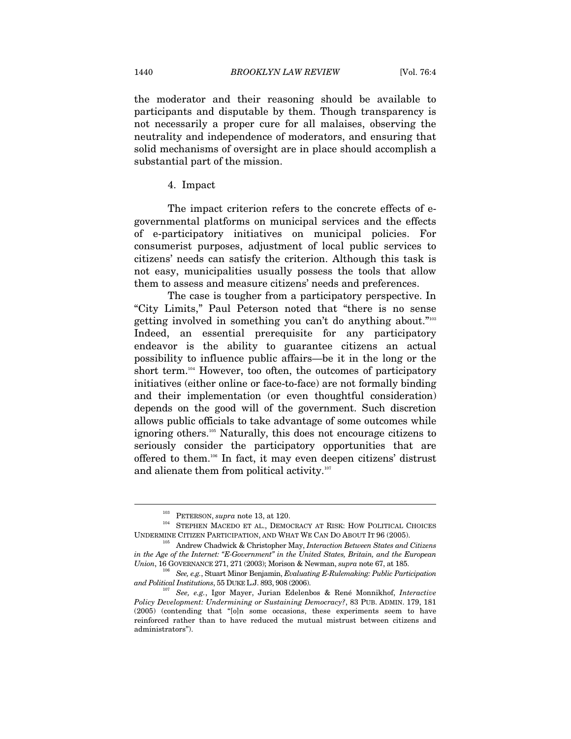the moderator and their reasoning should be available to participants and disputable by them. Though transparency is not necessarily a proper cure for all malaises, observing the neutrality and independence of moderators, and ensuring that solid mechanisms of oversight are in place should accomplish a substantial part of the mission.

4. Impact

The impact criterion refers to the concrete effects of egovernmental platforms on municipal services and the effects of e-participatory initiatives on municipal policies. For consumerist purposes, adjustment of local public services to citizens' needs can satisfy the criterion. Although this task is not easy, municipalities usually possess the tools that allow them to assess and measure citizens' needs and preferences.

The case is tougher from a participatory perspective. In "City Limits," Paul Peterson noted that "there is no sense getting involved in something you can't do anything about."103 Indeed, an essential prerequisite for any participatory endeavor is the ability to guarantee citizens an actual possibility to influence public affairs—be it in the long or the short term.<sup>104</sup> However, too often, the outcomes of participatory initiatives (either online or face-to-face) are not formally binding and their implementation (or even thoughtful consideration) depends on the good will of the government. Such discretion allows public officials to take advantage of some outcomes while ignoring others.105 Naturally, this does not encourage citizens to seriously consider the participatory opportunities that are offered to them.106 In fact, it may even deepen citizens' distrust and alienate them from political activity.<sup>107</sup>

 $^{103}$  PETERSON,  $supra$  note 13, at 120.  $^{104}$  STEPHEN MACEDO ET AL., DEMOCRACY AT RISK: HOW POLITICAL CHOICES UNDERMINE CITIZEN PARTICIPATION, AND WHAT WE CAN DO ABOUT IT 96 (2005). 105 Andrew Chadwick & Christopher May, *Interaction Between States and Citizens* 

*in the Age of the Internet: "E-Government" in the United States, Britain, and the European Union*, 16 GOVERNANCE 271, 271 (2003); Morison & Newman, *supra* note 67, at 185.<br><sup>106</sup> See, e.g., Stuart Minor Benjamin, *Evaluating E-Rulemaking: Public Participation* 

*and Political Institutions*, 55 DUKE L.J. 893, 908 (2006). 107 *See, e.g.*, Igor Mayer, Jurian Edelenbos & René Monnikhof, *Interactive* 

*Policy Development: Undermining or Sustaining Democracy?*, 83 PUB. ADMIN. 179, 181 (2005) (contending that "[o]n some occasions, these experiments seem to have reinforced rather than to have reduced the mutual mistrust between citizens and administrators").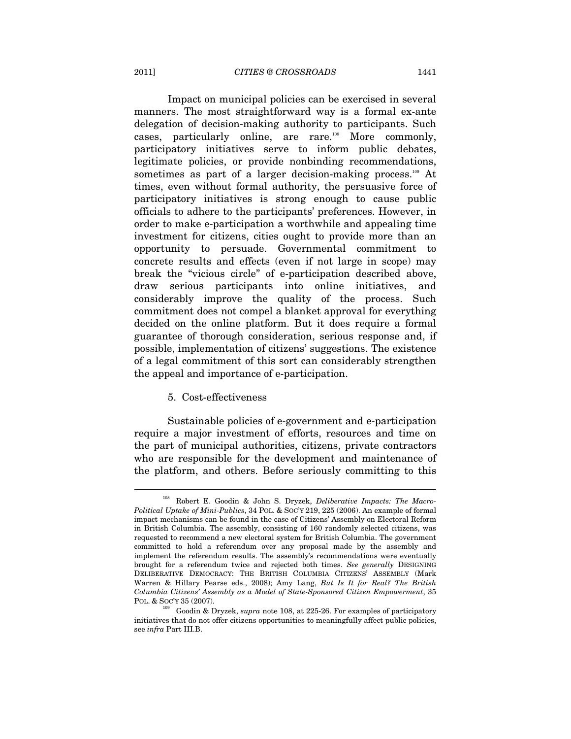Impact on municipal policies can be exercised in several manners. The most straightforward way is a formal ex-ante delegation of decision-making authority to participants. Such cases, particularly online, are rare.<sup>108</sup> More commonly, participatory initiatives serve to inform public debates, legitimate policies, or provide nonbinding recommendations, sometimes as part of a larger decision-making process.<sup>109</sup> At times, even without formal authority, the persuasive force of participatory initiatives is strong enough to cause public officials to adhere to the participants' preferences. However, in order to make e-participation a worthwhile and appealing time investment for citizens, cities ought to provide more than an opportunity to persuade. Governmental commitment to concrete results and effects (even if not large in scope) may break the "vicious circle" of e-participation described above, draw serious participants into online initiatives, and considerably improve the quality of the process. Such commitment does not compel a blanket approval for everything decided on the online platform. But it does require a formal guarantee of thorough consideration, serious response and, if possible, implementation of citizens' suggestions. The existence of a legal commitment of this sort can considerably strengthen the appeal and importance of e-participation.

#### 5. Cost-effectiveness

Sustainable policies of e-government and e-participation require a major investment of efforts, resources and time on the part of municipal authorities, citizens, private contractors who are responsible for the development and maintenance of the platform, and others. Before seriously committing to this

<sup>108</sup> Robert E. Goodin & John S. Dryzek, *Deliberative Impacts: The Macro-Political Uptake of Mini-Publics*, 34 POL. & SOC'Y 219, 225 (2006). An example of formal impact mechanisms can be found in the case of Citizens' Assembly on Electoral Reform in British Columbia. The assembly, consisting of 160 randomly selected citizens, was requested to recommend a new electoral system for British Columbia. The government committed to hold a referendum over any proposal made by the assembly and implement the referendum results. The assembly's recommendations were eventually brought for a referendum twice and rejected both times. *See generally* DESIGNING DELIBERATIVE DEMOCRACY: THE BRITISH COLUMBIA CITIZENS' ASSEMBLY (Mark Warren & Hillary Pearse eds., 2008); Amy Lang, *But Is It for Real? The British Columbia Citizens' Assembly as a Model of State-Sponsored Citizen Empowerment*, 35 POL. & SOC'Y 35 (2007). 109 Goodin & Dryzek, *supra* note 108, at 225-26. For examples of participatory

initiatives that do not offer citizens opportunities to meaningfully affect public policies, see *infra* Part III.B.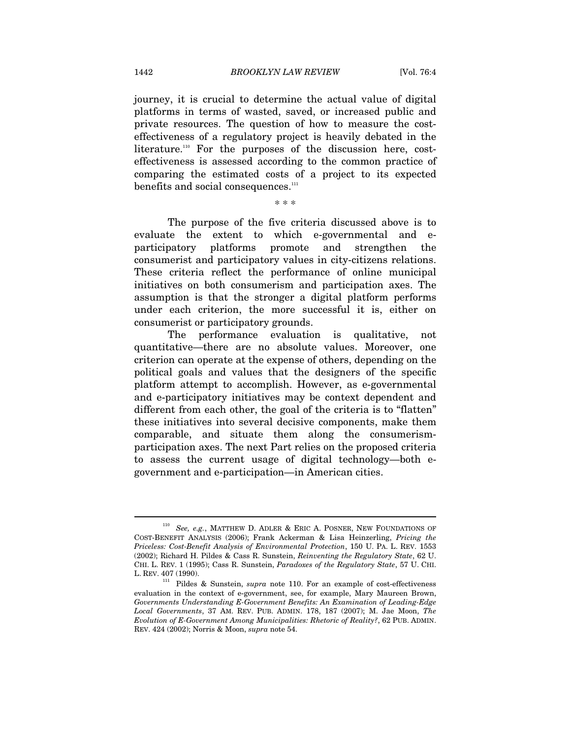journey, it is crucial to determine the actual value of digital platforms in terms of wasted, saved, or increased public and private resources. The question of how to measure the costeffectiveness of a regulatory project is heavily debated in the literature.<sup>110</sup> For the purposes of the discussion here, costeffectiveness is assessed according to the common practice of comparing the estimated costs of a project to its expected benefits and social consequences.<sup>111</sup>

\* \* \*

The purpose of the five criteria discussed above is to evaluate the extent to which e-governmental and eparticipatory platforms promote and strengthen the consumerist and participatory values in city-citizens relations. These criteria reflect the performance of online municipal initiatives on both consumerism and participation axes. The assumption is that the stronger a digital platform performs under each criterion, the more successful it is, either on consumerist or participatory grounds.

The performance evaluation is qualitative, not quantitative—there are no absolute values. Moreover, one criterion can operate at the expense of others, depending on the political goals and values that the designers of the specific platform attempt to accomplish. However, as e-governmental and e-participatory initiatives may be context dependent and different from each other, the goal of the criteria is to "flatten" these initiatives into several decisive components, make them comparable, and situate them along the consumerismparticipation axes. The next Part relies on the proposed criteria to assess the current usage of digital technology—both egovernment and e-participation—in American cities.

<sup>110</sup> *See, e.g.*, MATTHEW D. ADLER & ERIC A. POSNER, NEW FOUNDATIONS OF COST-BENEFIT ANALYSIS (2006); Frank Ackerman & Lisa Heinzerling, *Pricing the Priceless: Cost-Benefit Analysis of Environmental Protection*, 150 U. PA. L. REV. 1553 (2002); Richard H. Pildes & Cass R. Sunstein, *Reinventing the Regulatory State*, 62 U. CHI. L. REV. 1 (1995); Cass R. Sunstein, *Paradoxes of the Regulatory State*, 57 U. CHI. L. REV. 407 (1990).

<sup>111</sup> Pildes & Sunstein, *supra* note 110. For an example of cost-effectiveness evaluation in the context of e-government, see, for example, Mary Maureen Brown, *Governments Understanding E-Government Benefits: An Examination of Leading-Edge Local Governments*, 37 AM. REV. PUB. ADMIN. 178, 187 (2007); M. Jae Moon, *The Evolution of E-Government Among Municipalities: Rhetoric of Reality?*, 62 PUB. ADMIN. REV. 424 (2002); Norris & Moon, *supra* note 54.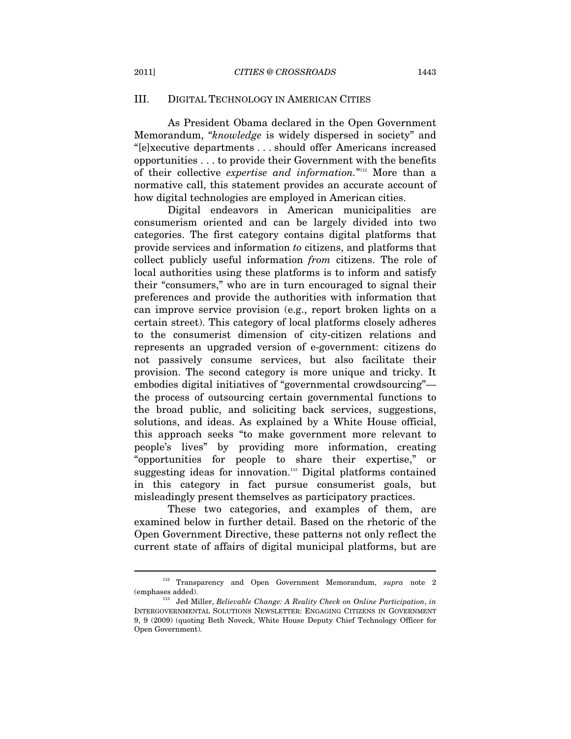# III. DIGITAL TECHNOLOGY IN AMERICAN CITIES

As President Obama declared in the Open Government Memorandum, "*knowledge* is widely dispersed in society" and "[e]xecutive departments . . . should offer Americans increased opportunities . . . to provide their Government with the benefits of their collective *expertise and information*."<sup>112</sup> More than a normative call, this statement provides an accurate account of how digital technologies are employed in American cities.

Digital endeavors in American municipalities are consumerism oriented and can be largely divided into two categories. The first category contains digital platforms that provide services and information *to* citizens, and platforms that collect publicly useful information *from* citizens. The role of local authorities using these platforms is to inform and satisfy their "consumers," who are in turn encouraged to signal their preferences and provide the authorities with information that can improve service provision (e.g., report broken lights on a certain street). This category of local platforms closely adheres to the consumerist dimension of city-citizen relations and represents an upgraded version of e-government: citizens do not passively consume services, but also facilitate their provision. The second category is more unique and tricky. It embodies digital initiatives of "governmental crowdsourcing" the process of outsourcing certain governmental functions to the broad public, and soliciting back services, suggestions, solutions, and ideas. As explained by a White House official, this approach seeks "to make government more relevant to people's lives" by providing more information, creating "opportunities for people to share their expertise," or suggesting ideas for innovation.<sup>113</sup> Digital platforms contained in this category in fact pursue consumerist goals, but misleadingly present themselves as participatory practices.

These two categories, and examples of them, are examined below in further detail. Based on the rhetoric of the Open Government Directive, these patterns not only reflect the current state of affairs of digital municipal platforms, but are

<sup>112</sup> Transparency and Open Government Memorandum, *supra* note 2 (emphases added). 113 Jed Miller, *Believable Change: A Reality Check on Online Participation*, *in* 

INTERGOVERNMENTAL SOLUTIONS NEWSLETTER: ENGAGING CITIZENS IN GOVERNMENT 9, 9 (2009) (quoting Beth Noveck, White House Deputy Chief Technology Officer for Open Government).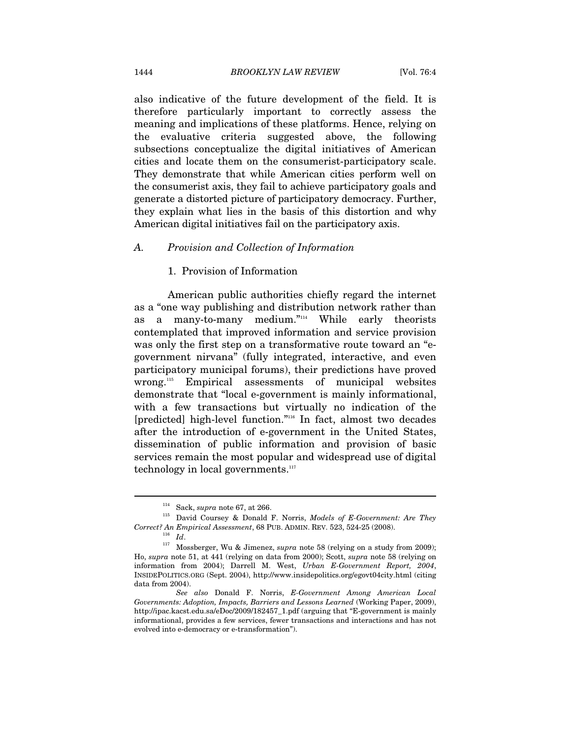also indicative of the future development of the field. It is therefore particularly important to correctly assess the meaning and implications of these platforms. Hence, relying on the evaluative criteria suggested above, the following subsections conceptualize the digital initiatives of American cities and locate them on the consumerist-participatory scale. They demonstrate that while American cities perform well on the consumerist axis, they fail to achieve participatory goals and generate a distorted picture of participatory democracy. Further, they explain what lies in the basis of this distortion and why American digital initiatives fail on the participatory axis.

#### *A. Provision and Collection of Information*

### 1. Provision of Information

American public authorities chiefly regard the internet as a "one way publishing and distribution network rather than as a many-to-many medium."<sup>114</sup> While early theorists contemplated that improved information and service provision was only the first step on a transformative route toward an "egovernment nirvana" (fully integrated, interactive, and even participatory municipal forums), their predictions have proved wrong.115 Empirical assessments of municipal websites demonstrate that "local e-government is mainly informational, with a few transactions but virtually no indication of the [predicted] high-level function."116 In fact, almost two decades after the introduction of e-government in the United States, dissemination of public information and provision of basic services remain the most popular and widespread use of digital technology in local governments.<sup>117</sup>

<sup>&</sup>lt;sup>114</sup> Sack, *supra* note 67, at 266.<br><sup>115</sup> David Coursey & Donald F. Norris, *Models of E-Government: Are They* 

*Correct? An Empirical Assessment*, 68 PUB. ADMIN. REV. 523, 524-25 (2008).<br><sup>116</sup> *Id*. 117 Mossberger, Wu & Jimenez, *supra* note 58 (relying on a study from 2009); Ho, *supra* note 51, at 441 (relying on data from 2000); Scott, *supra* note 58 (relying on information from 2004); Darrell M. West, *Urban E-Government Report, 2004*, INSIDEPOLITICS.ORG (Sept. 2004), http://www.insidepolitics.org/egovt04city.html (citing data from 2004).

*See also* Donald F. Norris, *E-Government Among American Local Governments: Adoption, Impacts, Barriers and Lessons Learned* (Working Paper, 2009), http://ipac.kacst.edu.sa/eDoc/2009/182457\_1.pdf (arguing that "E-government is mainly informational, provides a few services, fewer transactions and interactions and has not evolved into e-democracy or e-transformation").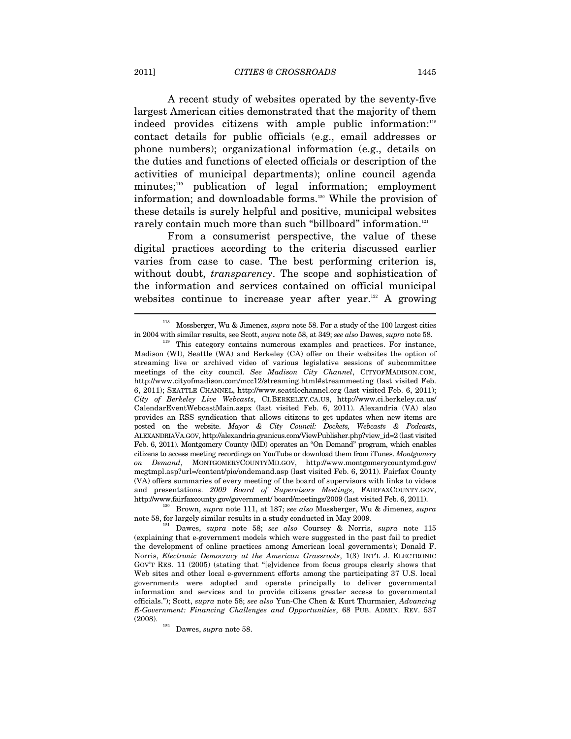A recent study of websites operated by the seventy-five largest American cities demonstrated that the majority of them indeed provides citizens with ample public information:<sup>118</sup> contact details for public officials (e.g., email addresses or phone numbers); organizational information (e.g., details on the duties and functions of elected officials or description of the activities of municipal departments); online council agenda minutes;<sup>119</sup> publication of legal information; employment information; and downloadable forms.<sup>120</sup> While the provision of these details is surely helpful and positive, municipal websites rarely contain much more than such "billboard" information.<sup>121</sup>

From a consumerist perspective, the value of these digital practices according to the criteria discussed earlier varies from case to case. The best performing criterion is, without doubt, *transparency*. The scope and sophistication of the information and services contained on official municipal websites continue to increase year after year.<sup>122</sup> A growing

<sup>118</sup> Mossberger, Wu & Jimenez, *supra* note 58. For a study of the 100 largest cities in 2004 with similar results, see Scott, *supra* note 58, at 349; *see also* Dawes, *supra* note 58. 119 This category contains numerous examples and practices. For instance,

Madison (WI), Seattle (WA) and Berkeley (CA) offer on their websites the option of streaming live or archived video of various legislative sessions of subcommittee meetings of the city council. *See Madison City Channel*, CITYOFMADISON.COM, http://www.cityofmadison.com/mcc12/streaming.html#streammeeting (last visited Feb. 6, 2011); SEATTLE CHANNEL, http://www.seattlechannel.org (last visited Feb. 6, 2011); *City of Berkeley Live Webcasts*, CI.BERKELEY.CA.US, http://www.ci.berkeley.ca.us/ CalendarEventWebcastMain.aspx (last visited Feb. 6, 2011). Alexandria (VA) also provides an RSS syndication that allows citizens to get updates when new items are posted on the website. *Mayor & City Council: Dockets, Webcasts & Podcasts*, ALEXANDRIAVA.GOV, http://alexandria.granicus.com/ViewPublisher.php?view\_id=2 (last visited Feb. 6, 2011). Montgomery County (MD) operates an "On Demand" program, which enables citizens to access meeting recordings on YouTube or download them from iTunes. *Montgomery on Demand*, MONTGOMERYCOUNTYMD.GOV, http://www.montgomerycountymd.gov/ mcgtmpl.asp?url=/content/pio/ondemand.asp (last visited Feb. 6, 2011). Fairfax County (VA) offers summaries of every meeting of the board of supervisors with links to videos and presentations. *2009 Board of Supervisors Meetings*, FAIRFAXCOUNTY.GOV, http://www.fairfaxcounty.gov/government/ board/meetings/2009 (last visited Feb. 6, 2011). 120 Brown, *supra* note 111, at 187; *see also* Mossberger, Wu & Jimenez, *supra* 

note 58, for largely similar results in a study conducted in May 2009. 121 Dawes, *supra* note 58; *see also* Coursey & Norris, *supra* note 115

<sup>(</sup>explaining that e-government models which were suggested in the past fail to predict the development of online practices among American local governments); Donald F. Norris, *Electronic Democracy at the American Grassroots*, 1(3) INT'L J. ELECTRONIC GOV'T RES. 11 (2005) (stating that "[e]vidence from focus groups clearly shows that Web sites and other local e-government efforts among the participating 37 U.S. local governments were adopted and operate principally to deliver governmental information and services and to provide citizens greater access to governmental officials."); Scott, *supra* note 58; *see also* Yun-Che Chen & Kurt Thurmaier, *Advancing E-Government: Financing Challenges and Opportunities*, 68 PUB. ADMIN. REV. 537 (2008). 122 Dawes, *supra* note 58.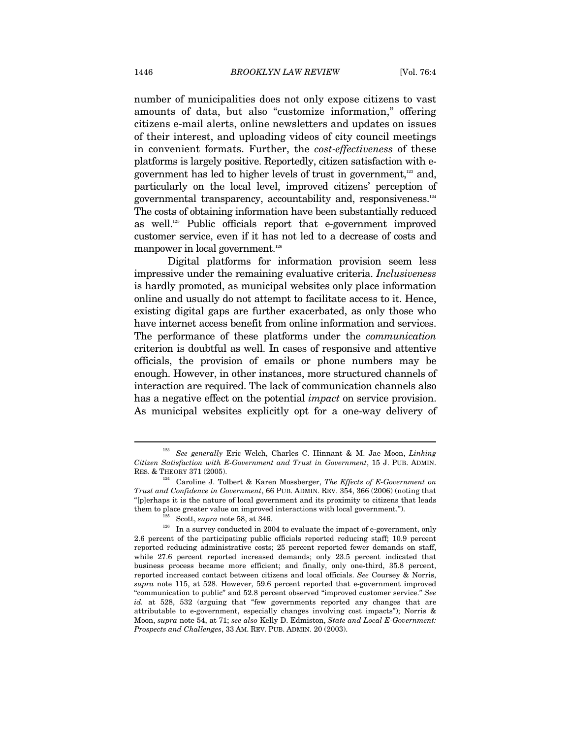number of municipalities does not only expose citizens to vast amounts of data, but also "customize information," offering citizens e-mail alerts, online newsletters and updates on issues of their interest, and uploading videos of city council meetings in convenient formats. Further, the *cost-effectiveness* of these platforms is largely positive. Reportedly, citizen satisfaction with egovernment has led to higher levels of trust in government,<sup>123</sup> and, particularly on the local level, improved citizens' perception of governmental transparency, accountability and, responsiveness.124 The costs of obtaining information have been substantially reduced as well.125 Public officials report that e-government improved customer service, even if it has not led to a decrease of costs and manpower in local government.<sup>126</sup>

Digital platforms for information provision seem less impressive under the remaining evaluative criteria. *Inclusiveness* is hardly promoted, as municipal websites only place information online and usually do not attempt to facilitate access to it. Hence, existing digital gaps are further exacerbated, as only those who have internet access benefit from online information and services. The performance of these platforms under the *communication*  criterion is doubtful as well. In cases of responsive and attentive officials, the provision of emails or phone numbers may be enough. However, in other instances, more structured channels of interaction are required. The lack of communication channels also has a negative effect on the potential *impact* on service provision. As municipal websites explicitly opt for a one-way delivery of

<sup>123</sup> *See generally* Eric Welch, Charles C. Hinnant & M. Jae Moon, *Linking Citizen Satisfaction with E-Government and Trust in Government*, 15 J. PUB. ADMIN.

<sup>&</sup>lt;sup>124</sup> Caroline J. Tolbert & Karen Mossberger, *The Effects of E-Government on Trust and Confidence in Government*, 66 PUB. ADMIN. REV. 354, 366 (2006) (noting that "[p]erhaps it is the nature of local government and its proximity to citizens that leads

them to place greater value on improved interactions with local government.").<br><sup>125</sup> Scott, *supra* note 58, at 346. In a survey conducted in 2004 to evaluate the impact of e-government, only 2.6 percent of the participating public officials reported reducing staff; 10.9 percent reported reducing administrative costs; 25 percent reported fewer demands on staff, while 27.6 percent reported increased demands; only 23.5 percent indicated that business process became more efficient; and finally, only one-third, 35.8 percent, reported increased contact between citizens and local officials. *See* Coursey & Norris, *supra* note 115, at 528. However, 59.6 percent reported that e-government improved "communication to public" and 52.8 percent observed "improved customer service." *See id.* at 528, 532 (arguing that "few governments reported any changes that are attributable to e-government, especially changes involving cost impacts"); Norris & Moon, *supra* note 54, at 71; *see also* Kelly D. Edmiston, *State and Local E-Government: Prospects and Challenges*, 33 AM. REV. PUB. ADMIN. 20 (2003).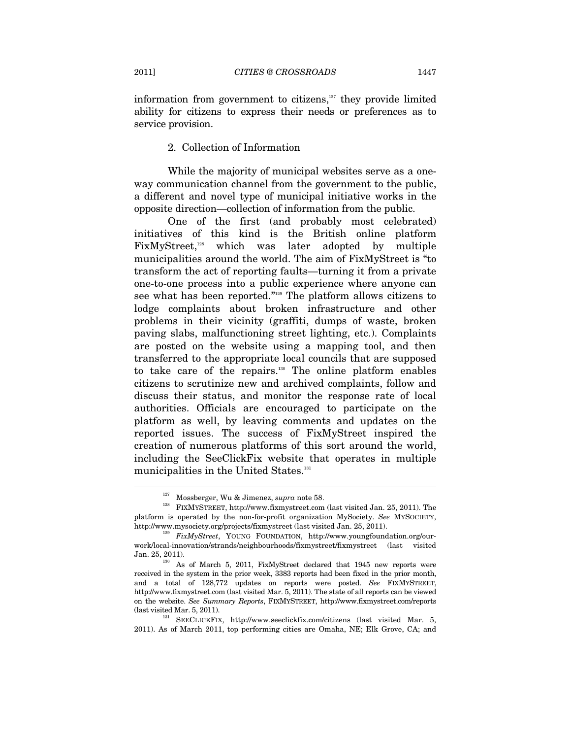information from government to citizens, $127$  they provide limited ability for citizens to express their needs or preferences as to service provision.

# 2. Collection of Information

While the majority of municipal websites serve as a oneway communication channel from the government to the public, a different and novel type of municipal initiative works in the opposite direction—collection of information from the public.

One of the first (and probably most celebrated) initiatives of this kind is the British online platform FixMyStreet,<sup>128</sup> which was later adopted by multiple municipalities around the world. The aim of FixMyStreet is "to transform the act of reporting faults—turning it from a private one-to-one process into a public experience where anyone can see what has been reported."129 The platform allows citizens to lodge complaints about broken infrastructure and other problems in their vicinity (graffiti, dumps of waste, broken paving slabs, malfunctioning street lighting, etc.). Complaints are posted on the website using a mapping tool, and then transferred to the appropriate local councils that are supposed to take care of the repairs.130 The online platform enables citizens to scrutinize new and archived complaints, follow and discuss their status, and monitor the response rate of local authorities. Officials are encouraged to participate on the platform as well, by leaving comments and updates on the reported issues. The success of FixMyStreet inspired the creation of numerous platforms of this sort around the world, including the SeeClickFix website that operates in multiple municipalities in the United States.<sup>131</sup>

<sup>&</sup>lt;sup>127</sup> Mossberger, Wu & Jimenez, *supra* note 58.<br><sup>128</sup> FIXMYSTREET, http://www.fixmystreet.com (last visited Jan. 25, 2011). The platform is operated by the non-for-profit organization MySociety. *See* MYSOCIETY,

http://www.mysociety.org/projects/fixmystreet (last visited Jan. 25, 2011). 129 *FixMyStreet*, YOUNG FOUNDATION, http://www.youngfoundation.org/ourwork/local-innovation/strands/neighbourhoods/fixmystreet/fixmystreet (last visited Jan. 25, 2011).  $\frac{130}{130}$  As of March 5, 2011, FixMyStreet declared that 1945 new reports were

received in the system in the prior week, 3383 reports had been fixed in the prior month, and a total of 128,772 updates on reports were posted. *See* FIXMYSTREET, http://www.fixmystreet.com (last visited Mar. 5, 2011). The state of all reports can be viewed on the website. *See Summary Reports*, FIXMYSTREET, http://www.fixmystreet.com/reports (last visited Mar. 5, 2011). 131 SEECLICKFIX, http://www.seeclickfix.com/citizens (last visited Mar. 5,

<sup>2011).</sup> As of March 2011, top performing cities are Omaha, NE; Elk Grove, CA; and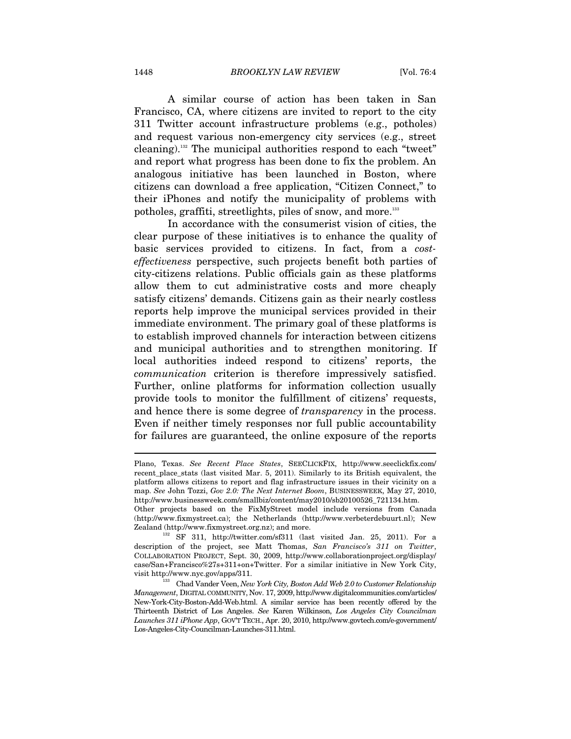A similar course of action has been taken in San Francisco, CA, where citizens are invited to report to the city 311 Twitter account infrastructure problems (e.g., potholes) and request various non-emergency city services (e.g., street cleaning).132 The municipal authorities respond to each "tweet" and report what progress has been done to fix the problem. An analogous initiative has been launched in Boston, where citizens can download a free application, "Citizen Connect," to their iPhones and notify the municipality of problems with potholes, graffiti, streetlights, piles of snow, and more.<sup>133</sup>

In accordance with the consumerist vision of cities, the clear purpose of these initiatives is to enhance the quality of basic services provided to citizens. In fact, from a *costeffectiveness* perspective, such projects benefit both parties of city-citizens relations. Public officials gain as these platforms allow them to cut administrative costs and more cheaply satisfy citizens' demands. Citizens gain as their nearly costless reports help improve the municipal services provided in their immediate environment. The primary goal of these platforms is to establish improved channels for interaction between citizens and municipal authorities and to strengthen monitoring. If local authorities indeed respond to citizens' reports, the *communication* criterion is therefore impressively satisfied. Further, online platforms for information collection usually provide tools to monitor the fulfillment of citizens' requests, and hence there is some degree of *transparency* in the process. Even if neither timely responses nor full public accountability for failures are guaranteed, the online exposure of the reports

 $\overline{a}$ 

Plano, Texas. *See Recent Place States*, SEECLICKFIX, http://www.seeclickfix.com/ recent\_place\_stats (last visited Mar. 5, 2011). Similarly to its British equivalent, the platform allows citizens to report and flag infrastructure issues in their vicinity on a map. *See* John Tozzi, *Gov 2.0: The Next Internet Boom*, BUSINESSWEEK, May 27, 2010, http://www.businessweek.com/smallbiz/content/may2010/sb20100526\_721134.htm.

Other projects based on the FixMyStreet model include versions from Canada (http://www.fixmystreet.ca); the Netherlands (http://www.verbeterdebuurt.nl); New Zealand (http://www.fixmystreet.org.nz); and more.<br><sup>132</sup> SF 311, http://twitter.com/sf311 (last visited Jan. 25, 2011). For a

description of the project, see Matt Thomas, *San Francisco's 311 on Twitter*, COLLABORATION PROJECT, Sept. 30, 2009, http://www.collaborationproject.org/display/ case/San+Francisco%27s+311+on+Twitter. For a similar initiative in New York City, visit http://www.nyc.gov/apps/311. 133 Chad Vander Veen, *New York City, Boston Add Web 2.0 to Customer Relationship* 

*Management*, DIGITAL COMMUNITY, Nov. 17, 2009, http://www.digitalcommunities.com/articles/ New-York-City-Boston-Add-Web.html. A similar service has been recently offered by the Thirteenth District of Los Angeles. *See* Karen Wilkinson, *Los Angeles City Councilman Launches 311 iPhone App*, GOV'T TECH., Apr. 20, 2010, http://www.govtech.com/e-government/ Los-Angeles-City-Councilman-Launches-311.html.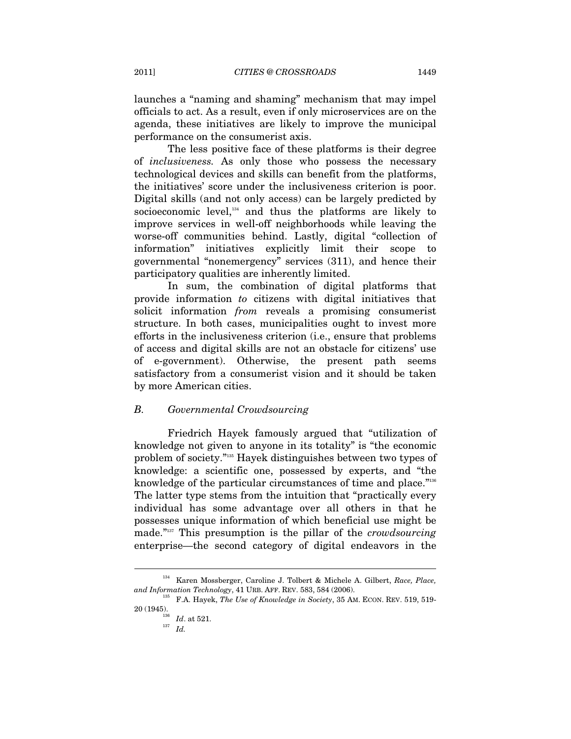launches a "naming and shaming" mechanism that may impel officials to act. As a result, even if only microservices are on the agenda, these initiatives are likely to improve the municipal performance on the consumerist axis.

The less positive face of these platforms is their degree of *inclusiveness.* As only those who possess the necessary technological devices and skills can benefit from the platforms, the initiatives' score under the inclusiveness criterion is poor. Digital skills (and not only access) can be largely predicted by socioeconomic level,<sup>134</sup> and thus the platforms are likely to improve services in well-off neighborhoods while leaving the worse-off communities behind. Lastly, digital "collection of information" initiatives explicitly limit their scope to governmental "nonemergency" services (311), and hence their participatory qualities are inherently limited.

In sum, the combination of digital platforms that provide information *to* citizens with digital initiatives that solicit information *from* reveals a promising consumerist structure. In both cases, municipalities ought to invest more efforts in the inclusiveness criterion (i.e., ensure that problems of access and digital skills are not an obstacle for citizens' use of e-government). Otherwise, the present path seems satisfactory from a consumerist vision and it should be taken by more American cities.

### *B. Governmental Crowdsourcing*

Friedrich Hayek famously argued that "utilization of knowledge not given to anyone in its totality" is "the economic problem of society."135 Hayek distinguishes between two types of knowledge: a scientific one, possessed by experts, and "the knowledge of the particular circumstances of time and place."<sup>136</sup> The latter type stems from the intuition that "practically every individual has some advantage over all others in that he possesses unique information of which beneficial use might be made."137 This presumption is the pillar of the *crowdsourcing* enterprise—the second category of digital endeavors in the

<sup>&</sup>lt;sup>134</sup> Karen Mossberger, Caroline J. Tolbert & Michele A. Gilbert, *Race, Place, and Information Technology*, 41 URB. AFF. REV. 583, 584 (2006).

<sup>&</sup>lt;sup>135</sup> F.A. Hayek, *The Use of Knowledge in Society*, 35 AM. ECON. REV. 519, 519- $20(1945).$ <sup>136</sup> *Id.* at 521.

 $^{137}$   $\,$   $Id.$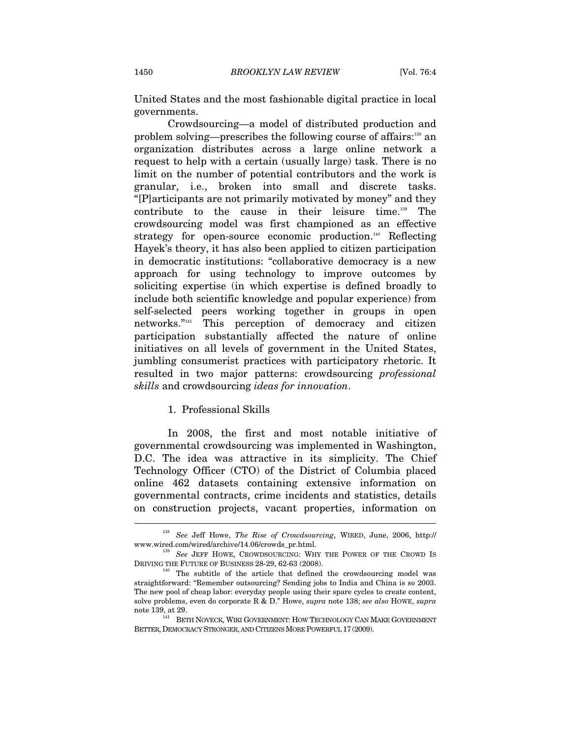United States and the most fashionable digital practice in local governments.

Crowdsourcing—a model of distributed production and problem solving—prescribes the following course of affairs:<sup>138</sup> an organization distributes across a large online network a request to help with a certain (usually large) task. There is no limit on the number of potential contributors and the work is granular, i.e., broken into small and discrete tasks. "[P]articipants are not primarily motivated by money" and they contribute to the cause in their leisure time.139 The crowdsourcing model was first championed as an effective strategy for open-source economic production.<sup>140</sup> Reflecting Hayek's theory, it has also been applied to citizen participation in democratic institutions: "collaborative democracy is a new approach for using technology to improve outcomes by soliciting expertise (in which expertise is defined broadly to include both scientific knowledge and popular experience) from self-selected peers working together in groups in open networks."141 This perception of democracy and citizen participation substantially affected the nature of online initiatives on all levels of government in the United States, jumbling consumerist practices with participatory rhetoric. It resulted in two major patterns: crowdsourcing *professional skills* and crowdsourcing *ideas for innovation*.

#### 1. Professional Skills

In 2008, the first and most notable initiative of governmental crowdsourcing was implemented in Washington, D.C. The idea was attractive in its simplicity. The Chief Technology Officer (CTO) of the District of Columbia placed online 462 datasets containing extensive information on governmental contracts, crime incidents and statistics, details on construction projects, vacant properties, information on

<sup>138</sup> *See* Jeff Howe, *The Rise of Crowdsourcing*, WIRED, June, 2006, http://

www.wired.com/wired/archive/14.06/crowds\_pr.html.<br>
<sup>139</sup> *See* JEFF HOWE, CROWDSOURCING: WHY THE POWER OF THE CROWD IS<br>
DRIVING THE FUTURE OF BUSINESS 28-29, 62-63 (2008).

 $E<sup>140</sup>$  The subtitle of the article that defined the crowdsourcing model was straightforward: "Remember outsourcing? Sending jobs to India and China is so 2003. The new pool of cheap labor: everyday people using their spare cycles to create content, solve problems, even do corporate R & D." Howe, *supra* note 138; *see also* HOWE, *supra* 

note 139, at 29.  $141\quad\,$  BETH NOVECK, WIKI GOVERNMENT: HOW TECHNOLOGY CAN MAKE GOVERNMENT BETTER, DEMOCRACY STRONGER, AND CITIZENS MORE POWERFUL 17 (2009).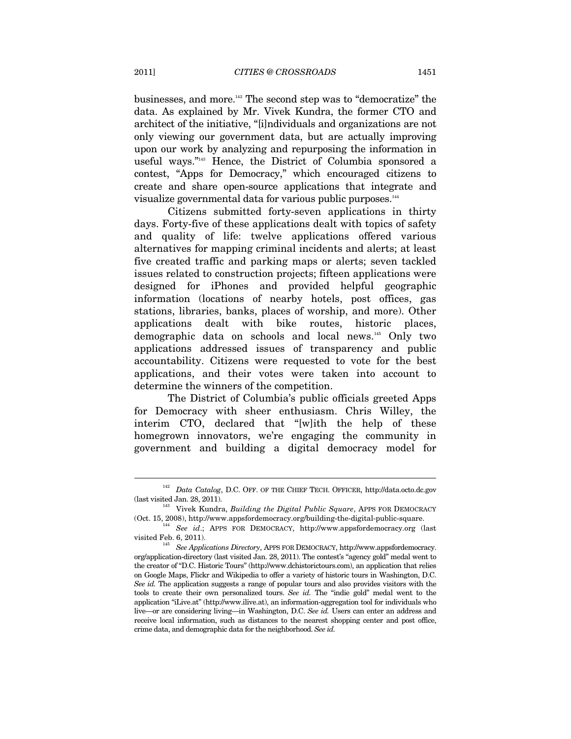businesses, and more.142 The second step was to "democratize" the data. As explained by Mr. Vivek Kundra, the former CTO and architect of the initiative, "[i]ndividuals and organizations are not only viewing our government data, but are actually improving upon our work by analyzing and repurposing the information in useful ways."143 Hence, the District of Columbia sponsored a contest, "Apps for Democracy," which encouraged citizens to create and share open-source applications that integrate and visualize governmental data for various public purposes.144

Citizens submitted forty-seven applications in thirty days. Forty-five of these applications dealt with topics of safety and quality of life: twelve applications offered various alternatives for mapping criminal incidents and alerts; at least five created traffic and parking maps or alerts; seven tackled issues related to construction projects; fifteen applications were designed for iPhones and provided helpful geographic information (locations of nearby hotels, post offices, gas stations, libraries, banks, places of worship, and more). Other applications dealt with bike routes, historic places, demographic data on schools and local news.145 Only two applications addressed issues of transparency and public accountability. Citizens were requested to vote for the best applications, and their votes were taken into account to determine the winners of the competition.

The District of Columbia's public officials greeted Apps for Democracy with sheer enthusiasm. Chris Willey, the interim CTO, declared that "[w]ith the help of these homegrown innovators, we're engaging the community in government and building a digital democracy model for

 $^\mathrm{142}$   $Data$   $Catalog,$  D.C. OFF. OF THE CHIEF TECH. OFFICER, http://data.octo.dc.gov (last visited Jan. 28, 2011).

<sup>&</sup>lt;sup>143</sup> Vivek Kundra, *Building the Digital Public Square*, APPS FOR DEMOCRACY

<sup>(</sup>Oct. 15, 2008), http://www.appsfordemocracy.org/building-the-digital-public-square. 144 *See id*.; APPS FOR DEMOCRACY, http://www.appsfordemocracy.org (last

<sup>&</sup>lt;sup>145</sup> See Applications Directory, APPS FOR DEMOCRACY, http://www.appsfordemocracy. org/application-directory (last visited Jan. 28, 2011). The contest's "agency gold" medal went to the creator of "D.C. Historic Tours" (http://www.dchistorictours.com), an application that relies on Google Maps, Flickr and Wikipedia to offer a variety of historic tours in Washington, D.C. *See id.* The application suggests a range of popular tours and also provides visitors with the tools to create their own personalized tours. *See id.* The "indie gold" medal went to the application "iLive.at" (http://www.ilive.at), an information-aggregation tool for individuals who live—or are considering living—in Washington, D.C. *See id.* Users can enter an address and receive local information, such as distances to the nearest shopping center and post office, crime data, and demographic data for the neighborhood. *See id.*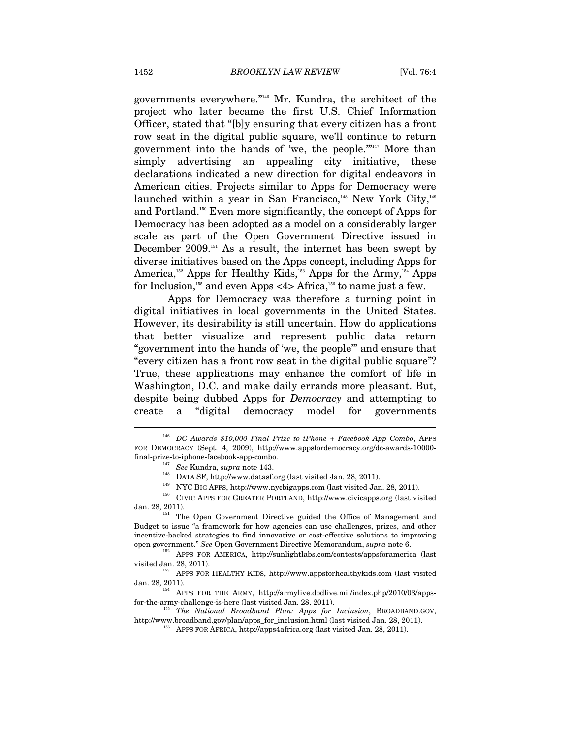governments everywhere."146 Mr. Kundra, the architect of the project who later became the first U.S. Chief Information Officer, stated that "[b]y ensuring that every citizen has a front row seat in the digital public square, we'll continue to return government into the hands of 'we, the people."<sup>147</sup> More than simply advertising an appealing city initiative, these declarations indicated a new direction for digital endeavors in American cities. Projects similar to Apps for Democracy were launched within a year in San Francisco, $148$  New York City, $149$ and Portland.<sup>150</sup> Even more significantly, the concept of Apps for Democracy has been adopted as a model on a considerably larger scale as part of the Open Government Directive issued in December 2009.<sup>151</sup> As a result, the internet has been swept by diverse initiatives based on the Apps concept, including Apps for America,<sup>152</sup> Apps for Healthy Kids,<sup>153</sup> Apps for the Army,<sup>154</sup> Apps for Inclusion,<sup>155</sup> and even Apps <4> Africa,<sup>156</sup> to name just a few.

Apps for Democracy was therefore a turning point in digital initiatives in local governments in the United States. However, its desirability is still uncertain. How do applications that better visualize and represent public data return "government into the hands of 'we, the people'" and ensure that "every citizen has a front row seat in the digital public square"? True, these applications may enhance the comfort of life in Washington, D.C. and make daily errands more pleasant. But, despite being dubbed Apps for *Democracy* and attempting to create a "digital democracy model for governments

<sup>146</sup> *DC Awards \$10,000 Final Prize to iPhone + Facebook App Combo*, APPS FOR DEMOCRACY (Sept. 4, 2009), http://www.appsfordemocracy.org/dc-awards-10000-

 $\begin{array}{ll} \mbox{final-prize-to-iphone-facebook-app-combo.} \\ & \vspace{1.5em} ^{147} \hskip 0.25em \begin{array}{ll} See \hskip 0.25em \textbf{Kundra,} \supra \hskip 0.25em \textbf{not 143.} \\ & \vspace{1.5em} \textbf{DATA SF, http://www.datasf.org (last visited Jan. 28, 2011).} \\ & \vspace{1.5em} ^{149} \hskip 0.25em \textbf{NYC BIG APPS, http://www.nycbigapps.com (last visited Jan. 28, 2011).} \\ & \vspace{1.5em} \end{array$ 

Jan. 28, 2011). The Open Government Directive guided the Office of Management and Budget to issue "a framework for how agencies can use challenges, prizes, and other incentive-backed strategies to find innovative or cost-effective solutions to improving open government." *See* Open Government Directive Memorandum, *supra* note 6. 152 APPS FOR AMERICA, http://sunlightlabs.com/contests/appsforamerica (last

visited Jan. 28, 2011). 153 APPS FOR HEALTHY KIDS, http://www.appsforhealthykids.com (last visited

Jan. 28, 2011).<br><sup>154</sup> APPS FOR THE ARMY, http://armylive.dodlive.mil/index.php/2010/03/appsfor-the-army-challenge-is-here (last visited Jan. 28, 2011). 155 *The National Broadband Plan: Apps for Inclusion*, BROADBAND.GOV,

http://www.broadband.gov/plan/apps\_for\_inclusion.html (last visited Jan. 28, 2011). 156 APPS FOR AFRICA, http://apps4africa.org (last visited Jan. 28, 2011).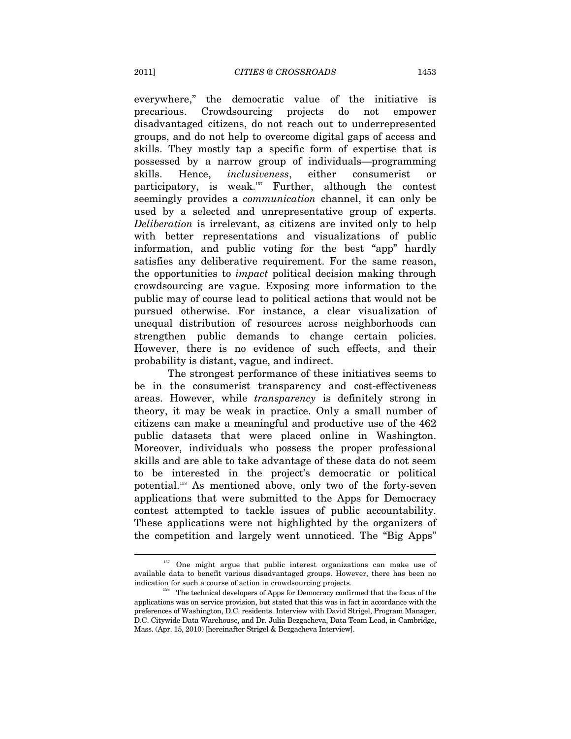everywhere," the democratic value of the initiative is precarious. Crowdsourcing projects do not empower disadvantaged citizens, do not reach out to underrepresented groups, and do not help to overcome digital gaps of access and skills. They mostly tap a specific form of expertise that is possessed by a narrow group of individuals—programming skills. Hence, *inclusiveness*, either consumerist or participatory, is weak.157 Further, although the contest seemingly provides a *communication* channel, it can only be used by a selected and unrepresentative group of experts. *Deliberation* is irrelevant, as citizens are invited only to help with better representations and visualizations of public information, and public voting for the best "app" hardly satisfies any deliberative requirement. For the same reason, the opportunities to *impact* political decision making through crowdsourcing are vague. Exposing more information to the public may of course lead to political actions that would not be pursued otherwise. For instance, a clear visualization of unequal distribution of resources across neighborhoods can strengthen public demands to change certain policies. However, there is no evidence of such effects, and their probability is distant, vague, and indirect.

The strongest performance of these initiatives seems to be in the consumerist transparency and cost-effectiveness areas. However, while *transparency* is definitely strong in theory, it may be weak in practice. Only a small number of citizens can make a meaningful and productive use of the 462 public datasets that were placed online in Washington. Moreover, individuals who possess the proper professional skills and are able to take advantage of these data do not seem to be interested in the project's democratic or political potential.158 As mentioned above, only two of the forty-seven applications that were submitted to the Apps for Democracy contest attempted to tackle issues of public accountability. These applications were not highlighted by the organizers of the competition and largely went unnoticed. The "Big Apps"

<sup>&</sup>lt;sup>157</sup> One might argue that public interest organizations can make use of available data to benefit various disadvantaged groups. However, there has been no indication for such a course of action in crowdsourcing projects.<br><sup>158</sup> The technical developers of Apps for Democracy confirmed that the focus of the

applications was on service provision, but stated that this was in fact in accordance with the preferences of Washington, D.C. residents. Interview with David Strigel, Program Manager, D.C. Citywide Data Warehouse, and Dr. Julia Bezgacheva, Data Team Lead, in Cambridge, Mass. (Apr. 15, 2010) [hereinafter Strigel & Bezgacheva Interview].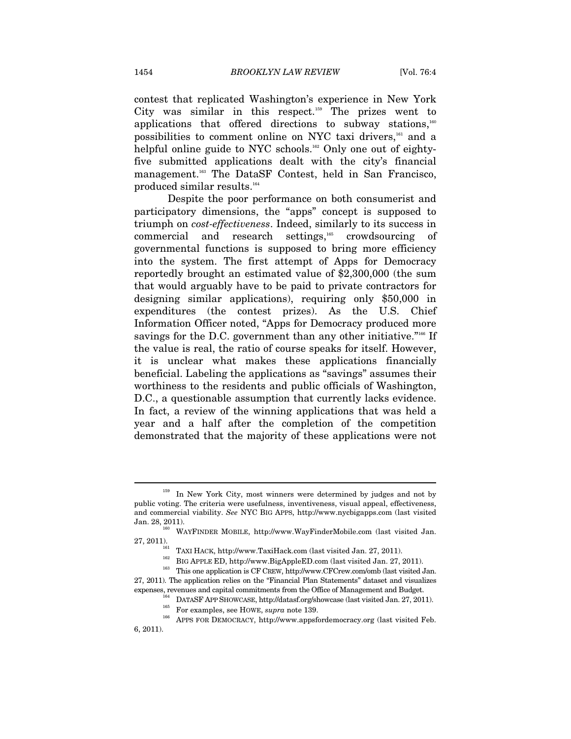contest that replicated Washington's experience in New York City was similar in this respect.<sup>159</sup> The prizes went to applications that offered directions to subway stations, $160$ possibilities to comment online on NYC taxi drivers,<sup>161</sup> and a helpful online guide to NYC schools.<sup>162</sup> Only one out of eightyfive submitted applications dealt with the city's financial management.<sup>163</sup> The DataSF Contest, held in San Francisco, produced similar results.<sup>164</sup>

Despite the poor performance on both consumerist and participatory dimensions, the "apps" concept is supposed to triumph on *cost-effectiveness*. Indeed, similarly to its success in commercial and research settings,<sup>165</sup> crowdsourcing of governmental functions is supposed to bring more efficiency into the system. The first attempt of Apps for Democracy reportedly brought an estimated value of \$2,300,000 (the sum that would arguably have to be paid to private contractors for designing similar applications), requiring only \$50,000 in expenditures (the contest prizes). As the U.S. Chief Information Officer noted, "Apps for Democracy produced more savings for the D.C. government than any other initiative."<sup>166</sup> If the value is real, the ratio of course speaks for itself. However, it is unclear what makes these applications financially beneficial. Labeling the applications as "savings" assumes their worthiness to the residents and public officials of Washington, D.C., a questionable assumption that currently lacks evidence. In fact, a review of the winning applications that was held a year and a half after the completion of the competition demonstrated that the majority of these applications were not

<sup>&</sup>lt;sup>159</sup> In New York City, most winners were determined by judges and not by public voting. The criteria were usefulness, inventiveness, visual appeal, effectiveness, and commercial viability. *See* NYC BIG APPS, http://www.nycbigapps.com (last visited Jan. 28, 2011). <sup>160</sup> WAYFINDER MOBILE, http://www.WayFinderMobile.com (last visited Jan.

<sup>27, 2011).</sup> TAXI HACK, http://www.TaxiHack.com (last visited Jan. 27, 2011). BIG APPLE ED, http://www.BigAppleED.com (last visited Jan. 27, 2011). This one application is CF CREW, http://www.CFCrew.com/omb (last visited Ja 27, 2011). The application relies on the "Financial Plan Statements" dataset and visualizes

<sup>&</sup>lt;sup>164</sup> DATASF APP SHOWCASE, http://datasf.org/showcase (last visited Jan. 27, 2011).<br><sup>165</sup> For examples, see HOWE, *supra* note 139.<br><sup>166</sup> APPS FOR DEMOCRACY, http://www.appsfordemocracy.org (last visited Feb. 6, 2011).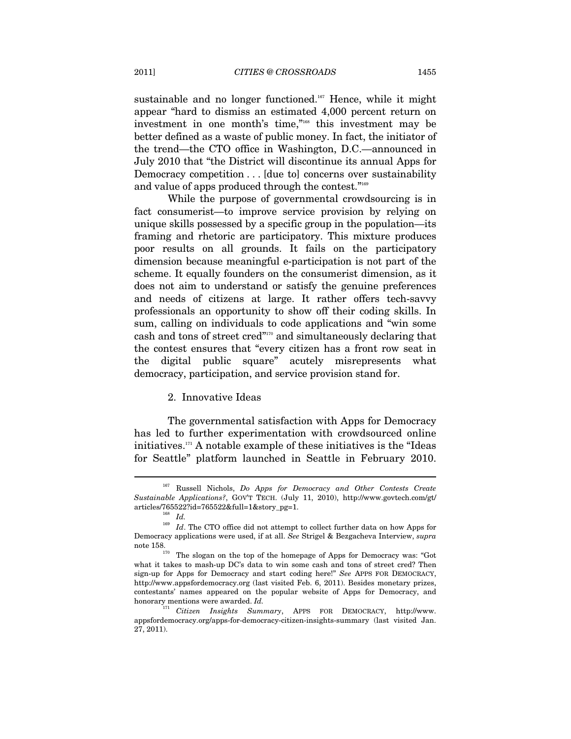sustainable and no longer functioned.<sup>167</sup> Hence, while it might appear "hard to dismiss an estimated 4,000 percent return on investment in one month's time,"168 this investment may be better defined as a waste of public money. In fact, the initiator of the trend—the CTO office in Washington, D.C.—announced in July 2010 that "the District will discontinue its annual Apps for Democracy competition . . . [due to] concerns over sustainability and value of apps produced through the contest."<sup>169</sup>

While the purpose of governmental crowdsourcing is in fact consumerist—to improve service provision by relying on unique skills possessed by a specific group in the population—its framing and rhetoric are participatory. This mixture produces poor results on all grounds. It fails on the participatory dimension because meaningful e-participation is not part of the scheme. It equally founders on the consumerist dimension, as it does not aim to understand or satisfy the genuine preferences and needs of citizens at large. It rather offers tech-savvy professionals an opportunity to show off their coding skills. In sum, calling on individuals to code applications and "win some cash and tons of street cred"170 and simultaneously declaring that the contest ensures that "every citizen has a front row seat in the digital public square" acutely misrepresents what democracy, participation, and service provision stand for.

#### 2. Innovative Ideas

The governmental satisfaction with Apps for Democracy has led to further experimentation with crowdsourced online initiatives.171 A notable example of these initiatives is the "Ideas for Seattle" platform launched in Seattle in February 2010.

<sup>167</sup> Russell Nichols, *Do Apps for Democracy and Other Contests Create Sustainable Applications?*, GOV'T TECH. (July 11, 2010), http://www.govtech.com/gt/ articles/765522?id=765522&full=1&story\_pg=1. 168 *Id.* 

 $^{169}$   $\,$   $Id.$  The CTO office did not attempt to collect further data on how Apps for Democracy applications were used, if at all. *See* Strigel & Bezgacheva Interview, *supra*  note 158.<br><sup>170</sup> The slogan on the top of the homepage of Apps for Democracy was: "Got

what it takes to mash-up DC's data to win some cash and tons of street cred? Then sign-up for Apps for Democracy and start coding here!" *See* APPS FOR DEMOCRACY, http://www.appsfordemocracy.org (last visited Feb. 6, 2011). Besides monetary prizes, contestants' names appeared on the popular website of Apps for Democracy, and honorary mentions were awarded. *Id.*

<sup>171</sup> *Citizen Insights Summary*, APPS FOR DEMOCRACY, http://www. appsfordemocracy.org/apps-for-democracy-citizen-insights-summary (last visited Jan. 27, 2011).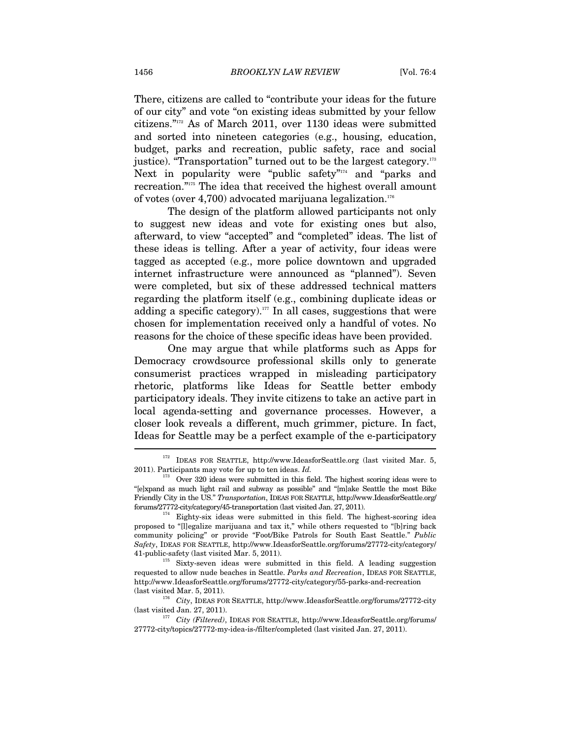There, citizens are called to "contribute your ideas for the future of our city" and vote "on existing ideas submitted by your fellow citizens."172 As of March 2011, over 1130 ideas were submitted and sorted into nineteen categories (e.g., housing, education, budget, parks and recreation, public safety, race and social justice). "Transportation" turned out to be the largest category.<sup>173</sup> Next in popularity were "public safety"<sup>174</sup> and "parks and recreation."175 The idea that received the highest overall amount of votes (over 4,700) advocated marijuana legalization.176

The design of the platform allowed participants not only to suggest new ideas and vote for existing ones but also, afterward, to view "accepted" and "completed" ideas. The list of these ideas is telling. After a year of activity, four ideas were tagged as accepted (e.g., more police downtown and upgraded internet infrastructure were announced as "planned"). Seven were completed, but six of these addressed technical matters regarding the platform itself (e.g., combining duplicate ideas or adding a specific category).<sup>177</sup> In all cases, suggestions that were chosen for implementation received only a handful of votes. No reasons for the choice of these specific ideas have been provided.

One may argue that while platforms such as Apps for Democracy crowdsource professional skills only to generate consumerist practices wrapped in misleading participatory rhetoric, platforms like Ideas for Seattle better embody participatory ideals. They invite citizens to take an active part in local agenda-setting and governance processes. However, a closer look reveals a different, much grimmer, picture. In fact, Ideas for Seattle may be a perfect example of the e-participatory

<sup>172</sup> IDEAS FOR SEATTLE, http://www.IdeasforSeattle.org (last visited Mar. 5, 2011). Participants may vote for up to ten ideas. *Id.*

<sup>&</sup>lt;sup>173</sup> Over 320 ideas were submitted in this field. The highest scoring ideas were to "[e]xpand as much light rail and subway as possible" and "[m]ake Seattle the most Bike Friendly City in the US." *Transportation*, IDEAS FOR SEATTLE, http://www.IdeasforSeattle.org/

forums/27772-city/category/45-transportation (last visited Jan. 27, 2011).<br><sup>174</sup> Eighty-six ideas were submitted in this field. The highest-scoring idea proposed to "[l]egalize marijuana and tax it," while others requested to "[b]ring back community policing" or provide "Foot/Bike Patrols for South East Seattle." *Public Safety*, IDEAS FOR SEATTLE, http://www.IdeasforSeattle.org/forums/27772-city/category/ 41-public-safety (last visited Mar. 5, 2011).  $^{175}$  Sixty-seven ideas were submitted in this field. A leading suggestion

requested to allow nude beaches in Seattle. *Parks and Recreation*, IDEAS FOR SEATTLE, http://www.IdeasforSeattle.org/forums/27772-city/category/55-parks-and-recreation

<sup>(</sup>last visited Mar. 5, 2011). 176 *City*, IDEAS FOR SEATTLE, http://www.IdeasforSeattle.org/forums/27772-city

 $l$  City (Filtered), IDEAS FOR SEATTLE, http://www.IdeasforSeattle.org/forums/ 27772-city/topics/27772-my-idea-is-/filter/completed (last visited Jan. 27, 2011).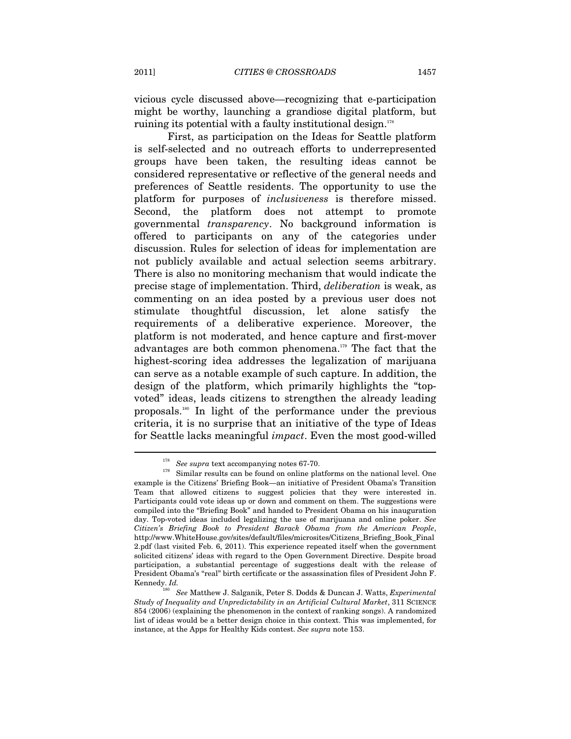vicious cycle discussed above—recognizing that e-participation might be worthy, launching a grandiose digital platform, but ruining its potential with a faulty institutional design.<sup>178</sup>

First, as participation on the Ideas for Seattle platform is self-selected and no outreach efforts to underrepresented groups have been taken, the resulting ideas cannot be considered representative or reflective of the general needs and preferences of Seattle residents. The opportunity to use the platform for purposes of *inclusiveness* is therefore missed. Second, the platform does not attempt to promote governmental *transparency*. No background information is offered to participants on any of the categories under discussion. Rules for selection of ideas for implementation are not publicly available and actual selection seems arbitrary. There is also no monitoring mechanism that would indicate the precise stage of implementation. Third, *deliberation* is weak, as commenting on an idea posted by a previous user does not stimulate thoughtful discussion, let alone satisfy the requirements of a deliberative experience. Moreover, the platform is not moderated, and hence capture and first-mover advantages are both common phenomena.179 The fact that the highest-scoring idea addresses the legalization of marijuana can serve as a notable example of such capture. In addition, the design of the platform, which primarily highlights the "topvoted" ideas, leads citizens to strengthen the already leading proposals.180 In light of the performance under the previous criteria, it is no surprise that an initiative of the type of Ideas for Seattle lacks meaningful *impact*. Even the most good-willed

<sup>&</sup>lt;sup>178</sup> See supra text accompanying notes 67-70.<br><sup>179</sup> Similar results can be found on online platforms on the national level. One example is the Citizens' Briefing Book—an initiative of President Obama's Transition Team that allowed citizens to suggest policies that they were interested in. Participants could vote ideas up or down and comment on them. The suggestions were compiled into the "Briefing Book" and handed to President Obama on his inauguration day. Top-voted ideas included legalizing the use of marijuana and online poker. *See Citizen's Briefing Book to President Barack Obama from the American People*, http://www.WhiteHouse.gov/sites/default/files/microsites/Citizens\_Briefing\_Book\_Final 2.pdf (last visited Feb. 6, 2011). This experience repeated itself when the government solicited citizens' ideas with regard to the Open Government Directive. Despite broad participation, a substantial percentage of suggestions dealt with the release of President Obama's "real" birth certificate or the assassination files of President John F. Kennedy. *Id.* 

<sup>180</sup> *See* Matthew J. Salganik, Peter S. Dodds & Duncan J. Watts, *Experimental Study of Inequality and Unpredictability in an Artificial Cultural Market*, 311 SCIENCE 854 (2006) (explaining the phenomenon in the context of ranking songs). A randomized list of ideas would be a better design choice in this context. This was implemented, for instance, at the Apps for Healthy Kids contest. *See supra* note 153.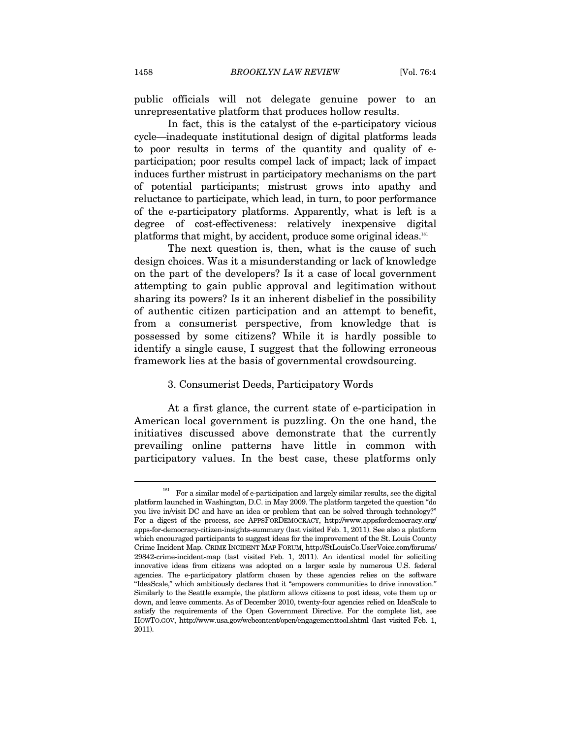public officials will not delegate genuine power to an unrepresentative platform that produces hollow results.

In fact, this is the catalyst of the e-participatory vicious cycle—inadequate institutional design of digital platforms leads to poor results in terms of the quantity and quality of eparticipation; poor results compel lack of impact; lack of impact induces further mistrust in participatory mechanisms on the part of potential participants; mistrust grows into apathy and reluctance to participate, which lead, in turn, to poor performance of the e-participatory platforms. Apparently, what is left is a degree of cost-effectiveness: relatively inexpensive digital platforms that might, by accident, produce some original ideas.<sup>181</sup>

The next question is, then, what is the cause of such design choices. Was it a misunderstanding or lack of knowledge on the part of the developers? Is it a case of local government attempting to gain public approval and legitimation without sharing its powers? Is it an inherent disbelief in the possibility of authentic citizen participation and an attempt to benefit, from a consumerist perspective, from knowledge that is possessed by some citizens? While it is hardly possible to identify a single cause, I suggest that the following erroneous framework lies at the basis of governmental crowdsourcing.

### 3. Consumerist Deeds, Participatory Words

At a first glance, the current state of e-participation in American local government is puzzling. On the one hand, the initiatives discussed above demonstrate that the currently prevailing online patterns have little in common with participatory values. In the best case, these platforms only

 $^{181}$  For a similar model of e-participation and largely similar results, see the digital platform launched in Washington, D.C. in May 2009. The platform targeted the question "do you live in/visit DC and have an idea or problem that can be solved through technology?" For a digest of the process, see APPSFORDEMOCRACY, http://www.appsfordemocracy.org/ apps-for-democracy-citizen-insights-summary (last visited Feb. 1, 2011). See also a platform which encouraged participants to suggest ideas for the improvement of the St. Louis County Crime Incident Map. CRIME INCIDENT MAP FORUM, http://StLouisCo.UserVoice.com/forums/ 29842-crime-incident-map (last visited Feb. 1, 2011). An identical model for soliciting innovative ideas from citizens was adopted on a larger scale by numerous U.S. federal agencies. The e-participatory platform chosen by these agencies relies on the software "IdeaScale," which ambitiously declares that it "empowers communities to drive innovation." Similarly to the Seattle example, the platform allows citizens to post ideas, vote them up or down, and leave comments. As of December 2010, twenty-four agencies relied on IdeaScale to satisfy the requirements of the Open Government Directive. For the complete list, see HOWTO.GOV, http://www.usa.gov/webcontent/open/engagementtool.shtml (last visited Feb. 1, 2011).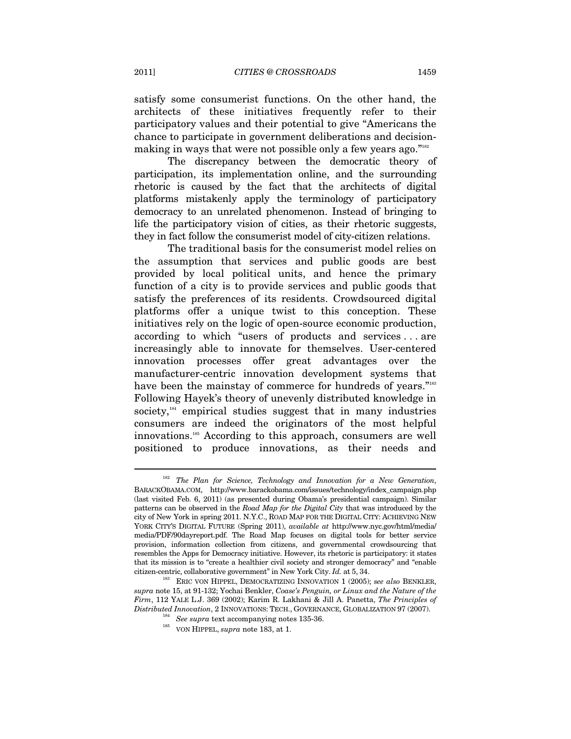satisfy some consumerist functions. On the other hand, the architects of these initiatives frequently refer to their participatory values and their potential to give "Americans the chance to participate in government deliberations and decisionmaking in ways that were not possible only a few years ago."<sup>182</sup>

The discrepancy between the democratic theory of participation, its implementation online, and the surrounding rhetoric is caused by the fact that the architects of digital platforms mistakenly apply the terminology of participatory democracy to an unrelated phenomenon. Instead of bringing to life the participatory vision of cities, as their rhetoric suggests, they in fact follow the consumerist model of city-citizen relations.

The traditional basis for the consumerist model relies on the assumption that services and public goods are best provided by local political units, and hence the primary function of a city is to provide services and public goods that satisfy the preferences of its residents. Crowdsourced digital platforms offer a unique twist to this conception. These initiatives rely on the logic of open-source economic production, according to which "users of products and services . . . are increasingly able to innovate for themselves. User-centered innovation processes offer great advantages over the manufacturer-centric innovation development systems that have been the mainstay of commerce for hundreds of years."183 Following Hayek's theory of unevenly distributed knowledge in society, $184$  empirical studies suggest that in many industries consumers are indeed the originators of the most helpful innovations.185 According to this approach, consumers are well positioned to produce innovations, as their needs and

<sup>182</sup> *The Plan for Science, Technology and Innovation for a New Generation*, BARACKOBAMA.COM, http://www.barackobama.com/issues/technology/index\_campaign.php (last visited Feb. 6, 2011) (as presented during Obama's presidential campaign). Similar patterns can be observed in the *Road Map for the Digital City* that was introduced by the city of New York in spring 2011. N.Y.C., ROAD MAP FOR THE DIGITAL CITY: ACHIEVING NEW YORK CITY'S DIGITAL FUTURE (Spring 2011), *available at* http://www.nyc.gov/html/media/ media/PDF/90dayreport.pdf. The Road Map focuses on digital tools for better service provision, information collection from citizens, and governmental crowdsourcing that resembles the Apps for Democracy initiative. However, its rhetoric is participatory: it states that its mission is to "create a healthier civil society and stronger democracy" and "enable citizen-centric, collaborative government" in New York City. *Id.* at 5, 34. 183 ERIC VON HIPPEL, DEMOCRATIZING INNOVATION 1 (2005); *see also* BENKLER,

*supra* note 15, at 91-132; Yochai Benkler, *Coase's Penguin, or Linux and the Nature of the Firm*, 112 YALE L.J. 369 (2002); Karim R. Lakhani & Jill A. Panetta, *The Principles of Distributed Innovation*, 2 INNOVATIONS: TECH., GOVERNANCE, GLOBALIZATION 97 (2007). 184 *See supra* text accompanying notes 135-36. 185 VON HIPPEL, *supra* note 183, at 1.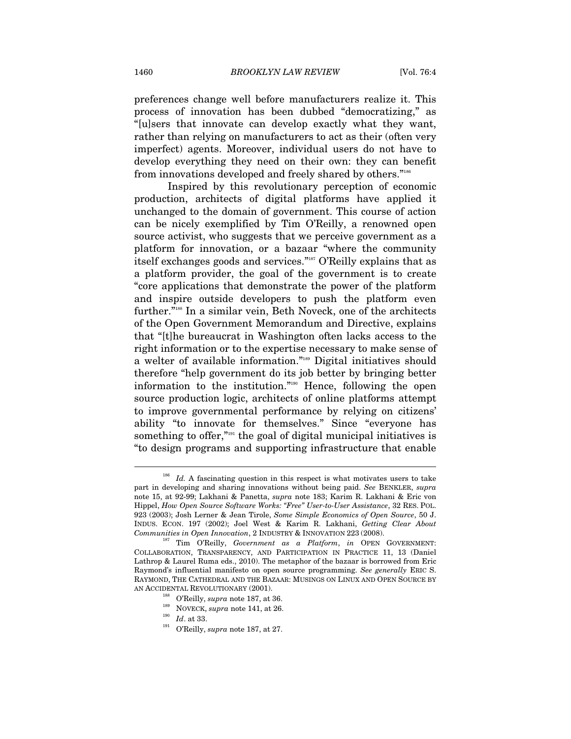preferences change well before manufacturers realize it. This process of innovation has been dubbed "democratizing," as "[u]sers that innovate can develop exactly what they want, rather than relying on manufacturers to act as their (often very imperfect) agents. Moreover, individual users do not have to develop everything they need on their own: they can benefit from innovations developed and freely shared by others."<sup>186</sup>

Inspired by this revolutionary perception of economic production, architects of digital platforms have applied it unchanged to the domain of government. This course of action can be nicely exemplified by Tim O'Reilly, a renowned open source activist, who suggests that we perceive government as a platform for innovation, or a bazaar "where the community itself exchanges goods and services."187 O'Reilly explains that as a platform provider, the goal of the government is to create "core applications that demonstrate the power of the platform and inspire outside developers to push the platform even further."<sup>188</sup> In a similar vein, Beth Noveck, one of the architects of the Open Government Memorandum and Directive, explains that "[t]he bureaucrat in Washington often lacks access to the right information or to the expertise necessary to make sense of a welter of available information."189 Digital initiatives should therefore "help government do its job better by bringing better information to the institution."190 Hence, following the open source production logic, architects of online platforms attempt to improve governmental performance by relying on citizens' ability "to innovate for themselves." Since "everyone has something to offer,"<sup>191</sup> the goal of digital municipal initiatives is "to design programs and supporting infrastructure that enable

- 
- 
- 
- 

<sup>&</sup>lt;sup>186</sup> *Id.* A fascinating question in this respect is what motivates users to take part in developing and sharing innovations without being paid. *See* BENKLER, *supra*  note 15, at 92-99; Lakhani & Panetta, *supra* note 183; Karim R. Lakhani & Eric von Hippel, *How Open Source Software Works: "Free" User-to-User Assistance*, 32 RES. POL. 923 (2003); Josh Lerner & Jean Tirole, *Some Simple Economics of Open Source*, 50 J. INDUS. ECON. 197 (2002); Joel West & Karim R. Lakhani, *Getting Clear About* 

<sup>&</sup>lt;sup>187</sup> Tim O'Reilly, *Government as a Platform*, *in* OPEN GOVERNMENT: COLLABORATION, TRANSPARENCY, AND PARTICIPATION IN PRACTICE 11, 13 (Daniel Lathrop & Laurel Ruma eds., 2010). The metaphor of the bazaar is borrowed from Eric Raymond's influential manifesto on open source programming. *See generally* ERIC S. RAYMOND, THE CATHEDRAL AND THE BAZAAR: MUSINGS ON LINUX AND OPEN SOURCE BY AN ACCIDENTAL REVOLUTIONARY (2001).<br>
<sup>188</sup> O'Reilly, *supra* note 187, at 36.<br>
<sup>190</sup> *Id.* at 33.<br>
<sup>191</sup> O'Reilly, *supra* note 187, at 27.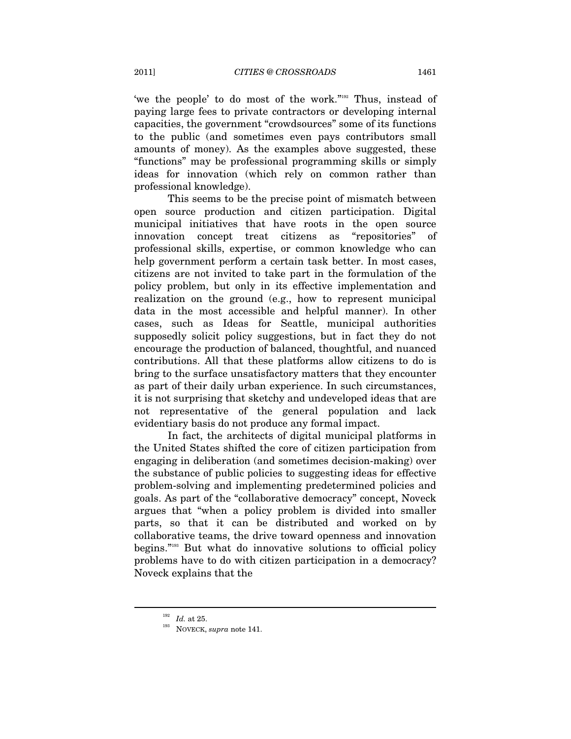'we the people' to do most of the work."192 Thus, instead of paying large fees to private contractors or developing internal capacities, the government "crowdsources" some of its functions to the public (and sometimes even pays contributors small amounts of money). As the examples above suggested, these "functions" may be professional programming skills or simply ideas for innovation (which rely on common rather than professional knowledge).

This seems to be the precise point of mismatch between open source production and citizen participation. Digital municipal initiatives that have roots in the open source innovation concept treat citizens as "repositories" of professional skills, expertise, or common knowledge who can help government perform a certain task better. In most cases, citizens are not invited to take part in the formulation of the policy problem, but only in its effective implementation and realization on the ground (e.g., how to represent municipal data in the most accessible and helpful manner). In other cases, such as Ideas for Seattle, municipal authorities supposedly solicit policy suggestions, but in fact they do not encourage the production of balanced, thoughtful, and nuanced contributions. All that these platforms allow citizens to do is bring to the surface unsatisfactory matters that they encounter as part of their daily urban experience. In such circumstances, it is not surprising that sketchy and undeveloped ideas that are not representative of the general population and lack evidentiary basis do not produce any formal impact.

In fact, the architects of digital municipal platforms in the United States shifted the core of citizen participation from engaging in deliberation (and sometimes decision-making) over the substance of public policies to suggesting ideas for effective problem-solving and implementing predetermined policies and goals. As part of the "collaborative democracy" concept, Noveck argues that "when a policy problem is divided into smaller parts, so that it can be distributed and worked on by collaborative teams, the drive toward openness and innovation begins."193 But what do innovative solutions to official policy problems have to do with citizen participation in a democracy? Noveck explains that the

<sup>192</sup> *Id.* at 25. 193 NOVECK, *supra* note 141.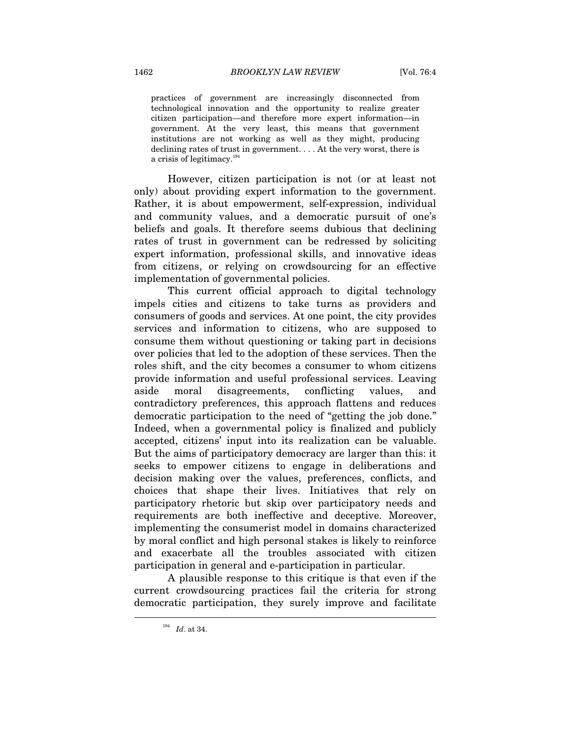practices of government are increasingly disconnected from technological innovation and the opportunity to realize greater citizen participation—and therefore more expert information—in government. At the very least, this means that government institutions are not working as well as they might, producing declining rates of trust in government. . . . At the very worst, there is a crisis of legitimacy.<sup>194</sup>

However, citizen participation is not (or at least not only) about providing expert information to the government. Rather, it is about empowerment, self-expression, individual and community values, and a democratic pursuit of one's beliefs and goals. It therefore seems dubious that declining rates of trust in government can be redressed by soliciting expert information, professional skills, and innovative ideas from citizens, or relying on crowdsourcing for an effective implementation of governmental policies.

This current official approach to digital technology impels cities and citizens to take turns as providers and consumers of goods and services. At one point, the city provides services and information to citizens, who are supposed to consume them without questioning or taking part in decisions over policies that led to the adoption of these services. Then the roles shift, and the city becomes a consumer to whom citizens provide information and useful professional services. Leaving aside moral disagreements, conflicting values, and contradictory preferences, this approach flattens and reduces democratic participation to the need of "getting the job done." Indeed, when a governmental policy is finalized and publicly accepted, citizens' input into its realization can be valuable. But the aims of participatory democracy are larger than this: it seeks to empower citizens to engage in deliberations and decision making over the values, preferences, conflicts, and choices that shape their lives. Initiatives that rely on participatory rhetoric but skip over participatory needs and requirements are both ineffective and deceptive. Moreover, implementing the consumerist model in domains characterized by moral conflict and high personal stakes is likely to reinforce and exacerbate all the troubles associated with citizen participation in general and e-participation in particular.

A plausible response to this critique is that even if the current crowdsourcing practices fail the criteria for strong democratic participation, they surely improve and facilitate

<sup>194</sup> *Id*. at 34.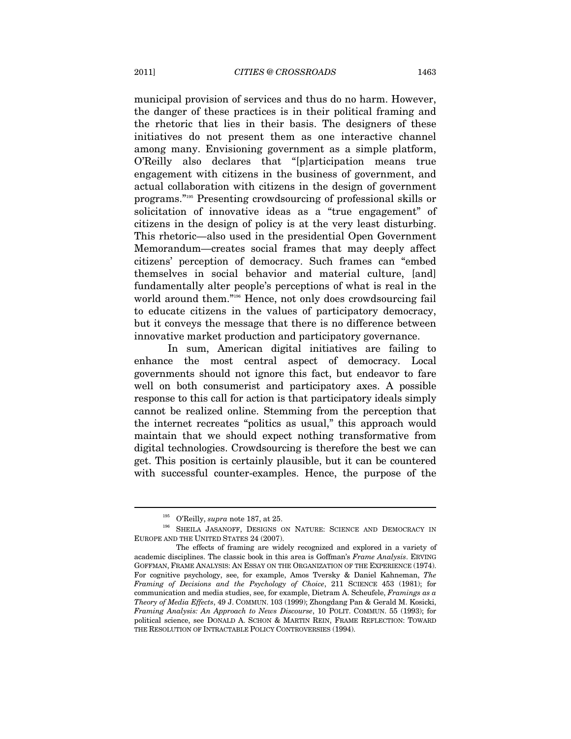municipal provision of services and thus do no harm. However, the danger of these practices is in their political framing and the rhetoric that lies in their basis. The designers of these initiatives do not present them as one interactive channel among many. Envisioning government as a simple platform, O'Reilly also declares that "[p]articipation means true engagement with citizens in the business of government, and actual collaboration with citizens in the design of government programs."195 Presenting crowdsourcing of professional skills or solicitation of innovative ideas as a "true engagement" of citizens in the design of policy is at the very least disturbing. This rhetoric—also used in the presidential Open Government Memorandum—creates social frames that may deeply affect citizens' perception of democracy. Such frames can "embed themselves in social behavior and material culture, [and] fundamentally alter people's perceptions of what is real in the world around them."<sup>196</sup> Hence, not only does crowdsourcing fail to educate citizens in the values of participatory democracy, but it conveys the message that there is no difference between innovative market production and participatory governance.

In sum, American digital initiatives are failing to enhance the most central aspect of democracy. Local governments should not ignore this fact, but endeavor to fare well on both consumerist and participatory axes. A possible response to this call for action is that participatory ideals simply cannot be realized online. Stemming from the perception that the internet recreates "politics as usual," this approach would maintain that we should expect nothing transformative from digital technologies. Crowdsourcing is therefore the best we can get. This position is certainly plausible, but it can be countered with successful counter-examples. Hence, the purpose of the

<sup>&</sup>lt;sup>195</sup> O'Reilly, *supra* note 187, at 25.<br><sup>196</sup> SHEILA JASANOFF, DESIGNS ON NATURE: SCIENCE AND DEMOCRACY IN EUROPE AND THE UNITED STATES 24 (2007).

The effects of framing are widely recognized and explored in a variety of academic disciplines. The classic book in this area is Goffman's *Frame Analysis*. ERVING GOFFMAN, FRAME ANALYSIS: AN ESSAY ON THE ORGANIZATION OF THE EXPERIENCE (1974). For cognitive psychology, see, for example, Amos Tversky & Daniel Kahneman, *The Framing of Decisions and the Psychology of Choice*, 211 SCIENCE 453 (1981); for communication and media studies, see, for example, Dietram A. Scheufele, *Framings as a Theory of Media Effects*, 49 J. COMMUN. 103 (1999); Zhongdang Pan & Gerald M. Kosicki, *Framing Analysis: An Approach to News Discourse*, 10 POLIT. COMMUN. 55 (1993); for political science, see DONALD A. SCHON & MARTIN REIN, FRAME REFLECTION: TOWARD THE RESOLUTION OF INTRACTABLE POLICY CONTROVERSIES (1994).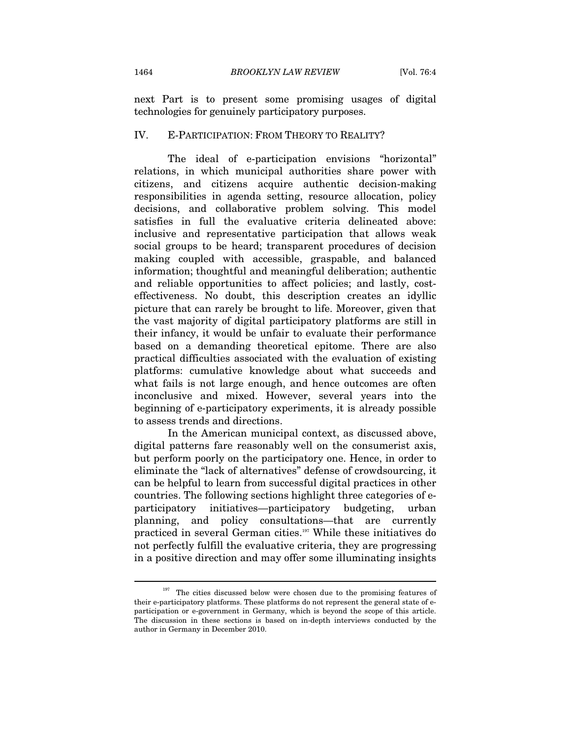next Part is to present some promising usages of digital technologies for genuinely participatory purposes.

### IV. E-PARTICIPATION: FROM THEORY TO REALITY?

The ideal of e-participation envisions "horizontal" relations, in which municipal authorities share power with citizens, and citizens acquire authentic decision-making responsibilities in agenda setting, resource allocation, policy decisions, and collaborative problem solving. This model satisfies in full the evaluative criteria delineated above: inclusive and representative participation that allows weak social groups to be heard; transparent procedures of decision making coupled with accessible, graspable, and balanced information; thoughtful and meaningful deliberation; authentic and reliable opportunities to affect policies; and lastly, costeffectiveness. No doubt, this description creates an idyllic picture that can rarely be brought to life. Moreover, given that the vast majority of digital participatory platforms are still in their infancy, it would be unfair to evaluate their performance based on a demanding theoretical epitome. There are also practical difficulties associated with the evaluation of existing platforms: cumulative knowledge about what succeeds and what fails is not large enough, and hence outcomes are often inconclusive and mixed. However, several years into the beginning of e-participatory experiments, it is already possible to assess trends and directions.

In the American municipal context, as discussed above, digital patterns fare reasonably well on the consumerist axis, but perform poorly on the participatory one. Hence, in order to eliminate the "lack of alternatives" defense of crowdsourcing, it can be helpful to learn from successful digital practices in other countries. The following sections highlight three categories of eparticipatory initiatives—participatory budgeting, urban planning, and policy consultations—that are currently practiced in several German cities.197 While these initiatives do not perfectly fulfill the evaluative criteria, they are progressing in a positive direction and may offer some illuminating insights

 $197$  The cities discussed below were chosen due to the promising features of their e-participatory platforms. These platforms do not represent the general state of eparticipation or e-government in Germany, which is beyond the scope of this article. The discussion in these sections is based on in-depth interviews conducted by the author in Germany in December 2010.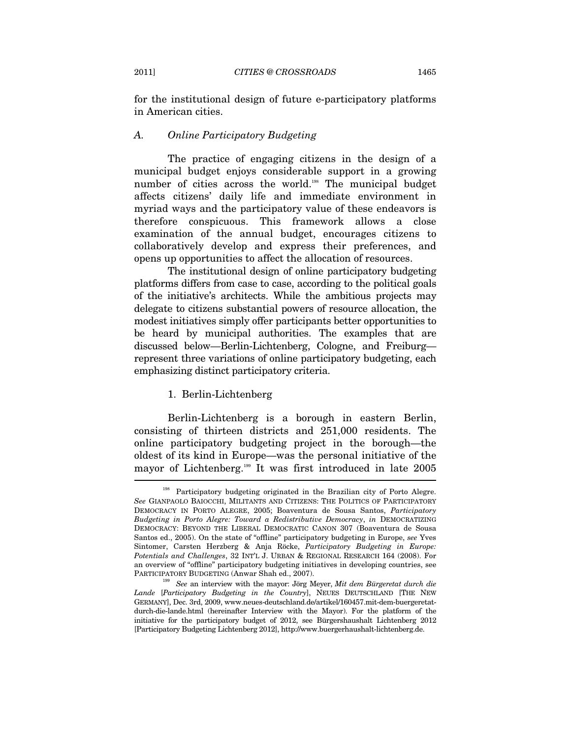for the institutional design of future e-participatory platforms in American cities.

# *A. Online Participatory Budgeting*

The practice of engaging citizens in the design of a municipal budget enjoys considerable support in a growing number of cities across the world.<sup>198</sup> The municipal budget affects citizens' daily life and immediate environment in myriad ways and the participatory value of these endeavors is therefore conspicuous. This framework allows a close examination of the annual budget, encourages citizens to collaboratively develop and express their preferences, and opens up opportunities to affect the allocation of resources.

The institutional design of online participatory budgeting platforms differs from case to case, according to the political goals of the initiative's architects. While the ambitious projects may delegate to citizens substantial powers of resource allocation, the modest initiatives simply offer participants better opportunities to be heard by municipal authorities. The examples that are discussed below—Berlin-Lichtenberg, Cologne, and Freiburg represent three variations of online participatory budgeting, each emphasizing distinct participatory criteria.

# 1. Berlin-Lichtenberg

Berlin-Lichtenberg is a borough in eastern Berlin, consisting of thirteen districts and 251,000 residents. The online participatory budgeting project in the borough—the oldest of its kind in Europe—was the personal initiative of the mayor of Lichtenberg.199 It was first introduced in late 2005

<sup>&</sup>lt;sup>198</sup> Participatory budgeting originated in the Brazilian city of Porto Alegre. *See* GIANPAOLO BAIOCCHI, MILITANTS AND CITIZENS: THE POLITICS OF PARTICIPATORY DEMOCRACY IN PORTO ALEGRE, 2005; Boaventura de Sousa Santos, *Participatory Budgeting in Porto Alegre: Toward a Redistributive Democracy*, *in* DEMOCRATIZING DEMOCRACY: BEYOND THE LIBERAL DEMOCRATIC CANON 307 (Boaventura de Sousa Santos ed., 2005). On the state of "offline" participatory budgeting in Europe, *see* Yves Sintomer, Carsten Herzberg & Anja Röcke, *Participatory Budgeting in Europe: Potentials and Challenges*, 32 INT'L J. URBAN & REGIONAL RESEARCH 164 (2008). For an overview of "offline" participatory budgeting initiatives in developing countries, see PARTICIPATORY BUDGETING (Anwar Shah ed., 2007). 199 *See* an interview with the mayor: Jörg Meyer, *Mit dem Bürgeretat durch die* 

*Lande* [*Participatory Budgeting in the Country*], NEUES DEUTSCHLAND [THE NEW GERMANY], Dec. 3rd, 2009, www.neues-deutschland.de/artikel/160457.mit-dem-buergeretatdurch-die-lande.html (hereinafter Interview with the Mayor). For the platform of the initiative for the participatory budget of 2012, see Bürgershaushalt Lichtenberg 2012 [Participatory Budgeting Lichtenberg 2012], http://www.buergerhaushalt-lichtenberg.de.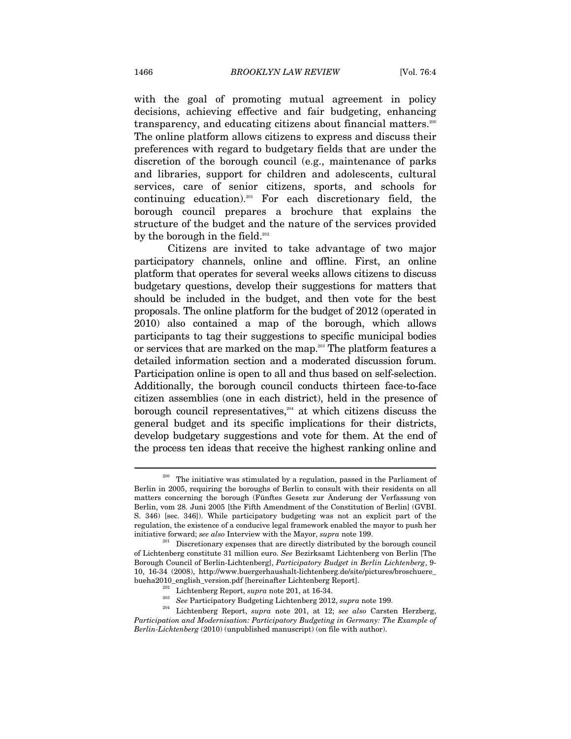with the goal of promoting mutual agreement in policy decisions, achieving effective and fair budgeting, enhancing transparency, and educating citizens about financial matters.<sup>200</sup> The online platform allows citizens to express and discuss their preferences with regard to budgetary fields that are under the discretion of the borough council (e.g., maintenance of parks and libraries, support for children and adolescents, cultural services, care of senior citizens, sports, and schools for continuing education).201 For each discretionary field, the borough council prepares a brochure that explains the structure of the budget and the nature of the services provided by the borough in the field.<sup>202</sup>

Citizens are invited to take advantage of two major participatory channels, online and offline. First, an online platform that operates for several weeks allows citizens to discuss budgetary questions, develop their suggestions for matters that should be included in the budget, and then vote for the best proposals. The online platform for the budget of 2012 (operated in 2010) also contained a map of the borough, which allows participants to tag their suggestions to specific municipal bodies or services that are marked on the map.<sup>203</sup> The platform features a detailed information section and a moderated discussion forum. Participation online is open to all and thus based on self-selection. Additionally, the borough council conducts thirteen face-to-face citizen assemblies (one in each district), held in the presence of borough council representatives, $204$  at which citizens discuss the general budget and its specific implications for their districts, develop budgetary suggestions and vote for them. At the end of the process ten ideas that receive the highest ranking online and

The initiative was stimulated by a regulation, passed in the Parliament of Berlin in 2005, requiring the boroughs of Berlin to consult with their residents on all matters concerning the borough (Fünftes Gesetz zur Änderung der Verfassung von Berlin, vom 28. Juni 2005 [the Fifth Amendment of the Constitution of Berlin] (GVBI. S. 346) [sec. 346]). While participatory budgeting was not an explicit part of the regulation, the existence of a conducive legal framework enabled the mayor to push her initiative forward; *see also* Interview with the Mayor, *supra* note 199. 201 Discretionary expenses that are directly distributed by the borough council

of Lichtenberg constitute 31 million euro. *See* Bezirksamt Lichtenberg von Berlin [The Borough Council of Berlin-Lichtenberg], *Participatory Budget in Berlin Lichtenberg*, 9- 10, 16-34 (2008), http://www.buergerhaushalt-lichtenberg.de/site/pictures/broschuere\_

bueha $2010$ \_english\_version.pdf [hereinafter Lichtenberg Report].<br>  $\frac{202}{202}$  Lichtenberg Report, *supra* note 201, at 16-34.<br>  $\frac{203}{204}$  *See* Participatory Budgeting Lichtenberg 2012, *supra* note 199.<br>
Lichtenber *Participation and Modernisation: Participatory Budgeting in Germany: The Example of Berlin-Lichtenberg* (2010) (unpublished manuscript) (on file with author).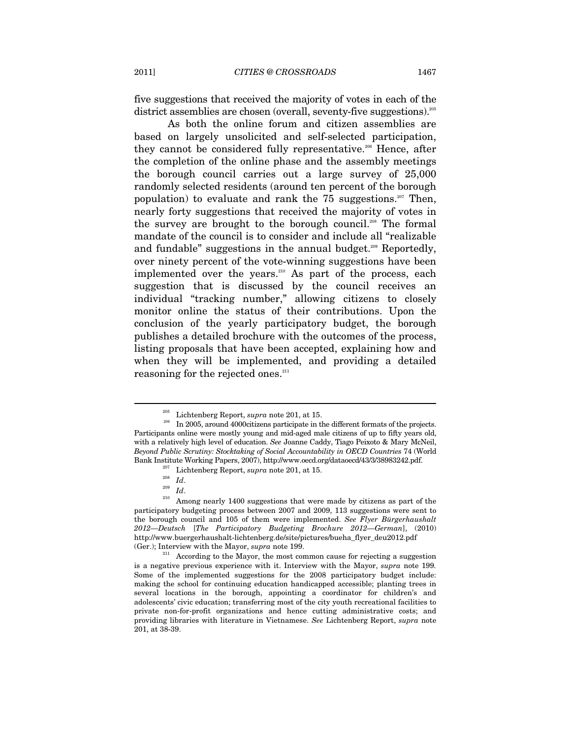five suggestions that received the majority of votes in each of the district assemblies are chosen (overall, seventy-five suggestions).<sup>205</sup>

As both the online forum and citizen assemblies are based on largely unsolicited and self-selected participation, they cannot be considered fully representative.<sup>206</sup> Hence, after the completion of the online phase and the assembly meetings the borough council carries out a large survey of 25,000 randomly selected residents (around ten percent of the borough population) to evaluate and rank the  $75$  suggestions.<sup>207</sup> Then, nearly forty suggestions that received the majority of votes in the survey are brought to the borough council.<sup>208</sup> The formal mandate of the council is to consider and include all "realizable and fundable" suggestions in the annual budget.<sup>209</sup> Reportedly, over ninety percent of the vote-winning suggestions have been implemented over the years.<sup>210</sup> As part of the process, each suggestion that is discussed by the council receives an individual "tracking number," allowing citizens to closely monitor online the status of their contributions. Upon the conclusion of the yearly participatory budget, the borough publishes a detailed brochure with the outcomes of the process, listing proposals that have been accepted, explaining how and when they will be implemented, and providing a detailed reasoning for the rejected ones.<sup>211</sup>

<sup>&</sup>lt;sup>205</sup> Lichtenberg Report, *supra* note 201, at 15.  $\frac{1}{206}$  In 2005, around 4000citizens participate in the different formats of the projects. Participants online were mostly young and mid-aged male citizens of up to fifty years old, with a relatively high level of education. *See* Joanne Caddy, Tiago Peixoto & Mary McNeil, *Beyond Public Scrutiny: Stocktaking of Social Accountability in OECD Countries* 74 (World Bank Institute Working Papers, 2007), http://www.oecd.org/dataoecd/43/3/38983242.pdf.<br>
<sup>207</sup> Lichtenberg Report, *supra* note 201, at 15.<br>
<sup>208</sup> *Id.*<br>
<sup>209</sup> *Id.*<br>
<sup>209</sup> Among nearly 1400 suggestions that were made by ci

participatory budgeting process between 2007 and 2009, 113 suggestions were sent to the borough council and 105 of them were implemented. *See Flyer Bürgerhaushalt 2012—Deutsch* [*The Participatory Budgeting Brochure 2012—German*], (2010) http://www.buergerhaushalt-lichtenberg.de/site/pictures/bueha\_flyer\_deu2012.pdf

<sup>(</sup>Ger.); Interview with the Mayor, *supra* note 199.<br><sup>211</sup> According to the Mayor, the most common cause for rejecting a suggestion is a negative previous experience with it. Interview with the Mayor, *supra* note 199*.*  Some of the implemented suggestions for the 2008 participatory budget include: making the school for continuing education handicapped accessible; planting trees in several locations in the borough, appointing a coordinator for children's and adolescents' civic education; transferring most of the city youth recreational facilities to private non-for-profit organizations and hence cutting administrative costs; and providing libraries with literature in Vietnamese. *See* Lichtenberg Report, *supra* note 201, at 38-39.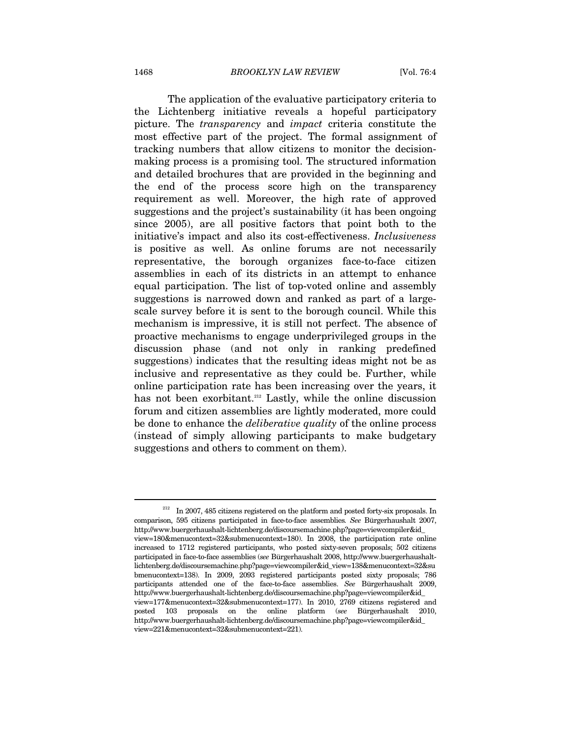The application of the evaluative participatory criteria to the Lichtenberg initiative reveals a hopeful participatory picture. The *transparency* and *impact* criteria constitute the most effective part of the project. The formal assignment of tracking numbers that allow citizens to monitor the decisionmaking process is a promising tool. The structured information and detailed brochures that are provided in the beginning and the end of the process score high on the transparency requirement as well. Moreover, the high rate of approved suggestions and the project's sustainability (it has been ongoing since 2005), are all positive factors that point both to the initiative's impact and also its cost-effectiveness. *Inclusiveness*  is positive as well. As online forums are not necessarily representative, the borough organizes face-to-face citizen assemblies in each of its districts in an attempt to enhance equal participation. The list of top-voted online and assembly suggestions is narrowed down and ranked as part of a largescale survey before it is sent to the borough council. While this mechanism is impressive, it is still not perfect. The absence of proactive mechanisms to engage underprivileged groups in the discussion phase (and not only in ranking predefined suggestions) indicates that the resulting ideas might not be as inclusive and representative as they could be. Further, while online participation rate has been increasing over the years, it has not been exorbitant.<sup>212</sup> Lastly, while the online discussion forum and citizen assemblies are lightly moderated, more could be done to enhance the *deliberative quality* of the online process (instead of simply allowing participants to make budgetary suggestions and others to comment on them).

 $212$  In 2007, 485 citizens registered on the platform and posted forty-six proposals. In comparison, 595 citizens participated in face-to-face assemblies*. See* Bürgerhaushalt 2007, http://www.buergerhaushalt-lichtenberg.de/discoursemachine.php?page=viewcompiler&id\_ view=180&menucontext=32&submenucontext=180). In 2008, the participation rate online increased to 1712 registered participants, who posted sixty-seven proposals; 502 citizens participated in face-to-face assemblies (*see* Bürgerhaushalt 2008, http://www.buergerhaushaltlichtenberg.de/discoursemachine.php?page=viewcompiler&id\_view=138&menucontext=32&su bmenucontext=138). In 2009, 2093 registered participants posted sixty proposals; 786 participants attended one of the face-to-face assemblies. *See* Bürgerhaushalt 2009, http://www.buergerhaushalt-lichtenberg.de/discoursemachine.php?page=viewcompiler&id\_ view=177&menucontext=32&submenucontext=177). In 2010, 2769 citizens registered and posted 103 proposals on the online platform (*see* Bürgerhaushalt 2010, http://www.buergerhaushalt-lichtenberg.de/discoursemachine.php?page=viewcompiler&id\_ view=221&menucontext=32&submenucontext=221).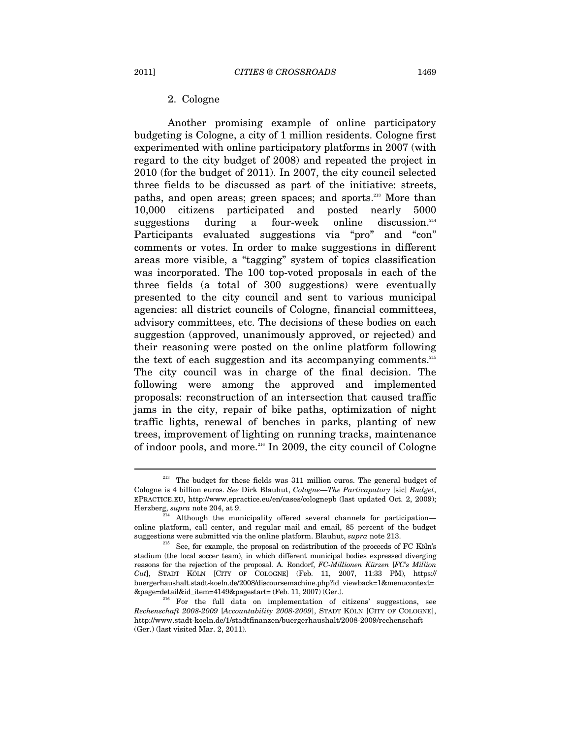Another promising example of online participatory budgeting is Cologne, a city of 1 million residents. Cologne first experimented with online participatory platforms in 2007 (with regard to the city budget of 2008) and repeated the project in 2010 (for the budget of 2011). In 2007, the city council selected three fields to be discussed as part of the initiative: streets, paths, and open areas; green spaces; and sports.<sup>213</sup> More than 10,000 citizens participated and posted nearly 5000 suggestions during a four-week online discussion.<sup>214</sup> Participants evaluated suggestions via "pro" and "con" comments or votes. In order to make suggestions in different areas more visible, a "tagging" system of topics classification was incorporated. The 100 top-voted proposals in each of the three fields (a total of 300 suggestions) were eventually presented to the city council and sent to various municipal agencies: all district councils of Cologne, financial committees, advisory committees, etc. The decisions of these bodies on each suggestion (approved, unanimously approved, or rejected) and their reasoning were posted on the online platform following the text of each suggestion and its accompanying comments.<sup>215</sup> The city council was in charge of the final decision. The following were among the approved and implemented proposals: reconstruction of an intersection that caused traffic jams in the city, repair of bike paths, optimization of night traffic lights, renewal of benches in parks, planting of new trees, improvement of lighting on running tracks, maintenance of indoor pools, and more.216 In 2009, the city council of Cologne

The budget for these fields was 311 million euros. The general budget of Cologne is 4 billion euros. *See* Dirk Blauhut, *Cologne—The Particapatory* [sic] *Budget*, EPRACTICE.EU, http://www.epractice.eu/en/cases/colognepb (last updated Oct. 2, 2009); Herzberg, *supra* note 204, at 9.<br><sup>214</sup> Although the municipality offered several channels for participation—

online platform, call center, and regular mail and email, 85 percent of the budget

suggestions were submitted via the online platform. Blauhut, *supra* note 213. 215 See, for example, the proposal on redistribution of the proceeds of FC Köln's stadium (the local soccer team), in which different municipal bodies expressed diverging reasons for the rejection of the proposal. A. Rondorf, *FC-Millionen Kürzen* [*FC's Million Cut*], STADT KÖLN [CITY OF COLOGNE] (Feb. 11, 2007, 11:33 PM), https:// buergerhaushalt.stadt-koeln.de/2008/discoursemachine.php?id\_viewback=1&menucontext= &page=detail&id\_item=4149&pagestart= (Feb. 11, 2007) (Ger.). 216 For the full data on implementation of citizens' suggestions, see

*Rechenschaft 2008-2009* [*Accountability 2008-2009*], STADT KÖLN [CITY OF COLOGNE], http://www.stadt-koeln.de/1/stadtfinanzen/buergerhaushalt/2008-2009/rechenschaft (Ger.) (last visited Mar. 2, 2011).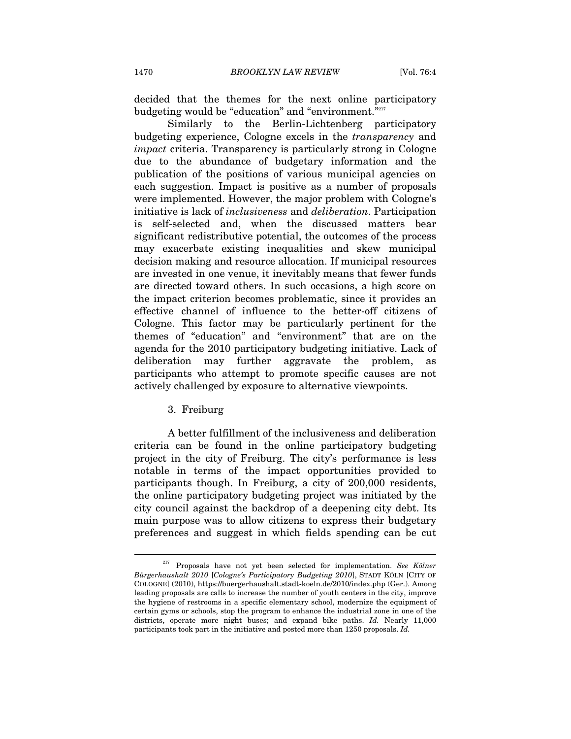decided that the themes for the next online participatory budgeting would be "education" and "environment."217

Similarly to the Berlin-Lichtenberg participatory budgeting experience, Cologne excels in the *transparency* and *impact* criteria. Transparency is particularly strong in Cologne due to the abundance of budgetary information and the publication of the positions of various municipal agencies on each suggestion. Impact is positive as a number of proposals were implemented. However, the major problem with Cologne's initiative is lack of *inclusiveness* and *deliberation*. Participation is self-selected and, when the discussed matters bear significant redistributive potential, the outcomes of the process may exacerbate existing inequalities and skew municipal decision making and resource allocation. If municipal resources are invested in one venue, it inevitably means that fewer funds are directed toward others. In such occasions, a high score on the impact criterion becomes problematic, since it provides an effective channel of influence to the better-off citizens of Cologne. This factor may be particularly pertinent for the themes of "education" and "environment" that are on the agenda for the 2010 participatory budgeting initiative. Lack of deliberation may further aggravate the problem, as participants who attempt to promote specific causes are not actively challenged by exposure to alternative viewpoints.

3. Freiburg

A better fulfillment of the inclusiveness and deliberation criteria can be found in the online participatory budgeting project in the city of Freiburg. The city's performance is less notable in terms of the impact opportunities provided to participants though. In Freiburg, a city of 200,000 residents, the online participatory budgeting project was initiated by the city council against the backdrop of a deepening city debt. Its main purpose was to allow citizens to express their budgetary preferences and suggest in which fields spending can be cut

<sup>217</sup> Proposals have not yet been selected for implementation. *See Kölner Bürgerhaushalt 2010* [*Cologne's Participatory Budgeting 2010*], STADT KÖLN [CITY OF COLOGNE] (2010), https://buergerhaushalt.stadt-koeln.de/2010/index.php (Ger.). Among leading proposals are calls to increase the number of youth centers in the city, improve the hygiene of restrooms in a specific elementary school, modernize the equipment of certain gyms or schools, stop the program to enhance the industrial zone in one of the districts, operate more night buses; and expand bike paths. *Id.* Nearly 11,000 participants took part in the initiative and posted more than 1250 proposals. *Id.*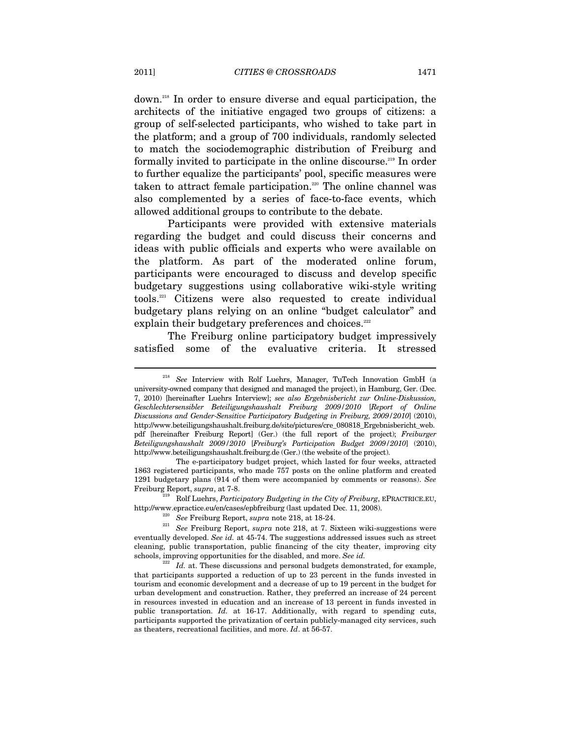down.218 In order to ensure diverse and equal participation, the architects of the initiative engaged two groups of citizens: a group of self-selected participants, who wished to take part in the platform; and a group of 700 individuals, randomly selected to match the sociodemographic distribution of Freiburg and formally invited to participate in the online discourse.<sup>219</sup> In order to further equalize the participants' pool, specific measures were taken to attract female participation.<sup>220</sup> The online channel was also complemented by a series of face-to-face events, which allowed additional groups to contribute to the debate.

Participants were provided with extensive materials regarding the budget and could discuss their concerns and ideas with public officials and experts who were available on the platform. As part of the moderated online forum, participants were encouraged to discuss and develop specific budgetary suggestions using collaborative wiki-style writing tools.221 Citizens were also requested to create individual budgetary plans relying on an online "budget calculator" and explain their budgetary preferences and choices.<sup>222</sup>

The Freiburg online participatory budget impressively satisfied some of the evaluative criteria. It stressed

<sup>218</sup> *See* Interview with Rolf Luehrs, Manager, TuTech Innovation GmbH (a university-owned company that designed and managed the project), in Hamburg, Ger. (Dec. 7, 2010) [hereinafter Luehrs Interview]; *see also Ergebnisbericht zur Online-Diskussion, Geschlechtersensibler Beteiligungshaushalt Freiburg 2009/2010* [*Report of Online Discussions and Gender-Sensitive Participatory Budgeting in Freiburg, 2009/2010*] (2010), http://www.beteiligungshaushalt.freiburg.de/site/pictures/cre\_080818\_Ergebnisbericht\_web. pdf [hereinafter Freiburg Report] (Ger.) (the full report of the project); *Freiburger Beteiligungshaushalt 2009/2010* [*Freiburg's Participation Budget 2009/2010*] (2010), http://www.beteiligungshaushalt.freiburg.de (Ger.) (the website of the project).

The e-participatory budget project, which lasted for four weeks, attracted 1863 registered participants, who made 757 posts on the online platform and created 1291 budgetary plans (914 of them were accompanied by comments or reasons). *See* 

Freiburg Report, *supra*, at 7-8.<br>
2<sup>219</sup> Rolf Luehrs, *Participatory Budgeting in the City of Freiburg*, EPRACTRICE.EU,<br>
http://www.epractice.eu/en/cases/epbfreiburg (last updated Dec. 11, 2008).

<sup>&</sup>lt;sup>220</sup> See Freiburg Report, *supra* note 218, at 18-24.<br><sup>221</sup> See Freiburg Report, *supra* note 218, at 7. Sixteen wiki-suggestions were eventually developed. *See id.* at 45-74. The suggestions addressed issues such as street cleaning, public transportation, public financing of the city theater, improving city schools, improving opportunities for the disabled, and more. *See id.* 222 *Id.* at. These discussions and personal budgets demonstrated, for example,

that participants supported a reduction of up to 23 percent in the funds invested in tourism and economic development and a decrease of up to 19 percent in the budget for urban development and construction. Rather, they preferred an increase of 24 percent in resources invested in education and an increase of 13 percent in funds invested in public transportation. *Id.* at 16-17. Additionally, with regard to spending cuts, participants supported the privatization of certain publicly-managed city services, such as theaters, recreational facilities, and more. *Id*. at 56-57.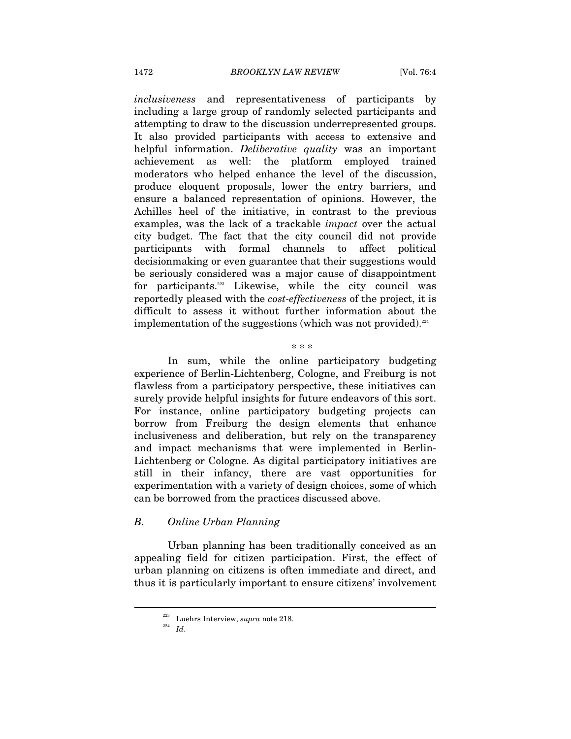*inclusiveness* and representativeness of participants by including a large group of randomly selected participants and attempting to draw to the discussion underrepresented groups. It also provided participants with access to extensive and helpful information. *Deliberative quality* was an important achievement as well: the platform employed trained moderators who helped enhance the level of the discussion, produce eloquent proposals, lower the entry barriers, and ensure a balanced representation of opinions. However, the Achilles heel of the initiative, in contrast to the previous examples, was the lack of a trackable *impact* over the actual city budget. The fact that the city council did not provide participants with formal channels to affect political decisionmaking or even guarantee that their suggestions would be seriously considered was a major cause of disappointment for participants.<sup>223</sup> Likewise, while the city council was reportedly pleased with the *cost-effectiveness* of the project, it is difficult to assess it without further information about the implementation of the suggestions (which was not provided). $224$ 

In sum, while the online participatory budgeting experience of Berlin-Lichtenberg, Cologne, and Freiburg is not flawless from a participatory perspective, these initiatives can surely provide helpful insights for future endeavors of this sort. For instance, online participatory budgeting projects can borrow from Freiburg the design elements that enhance inclusiveness and deliberation, but rely on the transparency and impact mechanisms that were implemented in Berlin-Lichtenberg or Cologne. As digital participatory initiatives are still in their infancy, there are vast opportunities for experimentation with a variety of design choices, some of which can be borrowed from the practices discussed above.

\* \* \*

#### *B. Online Urban Planning*

Urban planning has been traditionally conceived as an appealing field for citizen participation. First, the effect of urban planning on citizens is often immediate and direct, and thus it is particularly important to ensure citizens' involvement

<sup>223</sup> Luehrs Interview, *supra* note 218. 224 *Id*.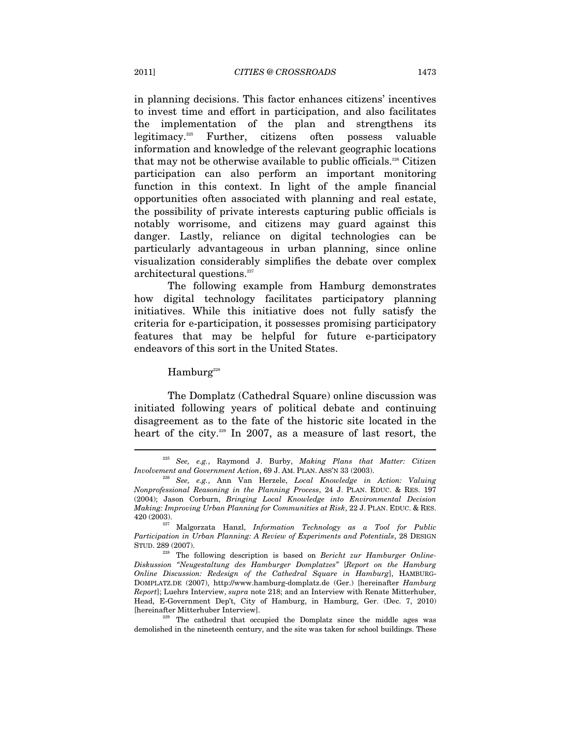in planning decisions. This factor enhances citizens' incentives to invest time and effort in participation, and also facilitates the implementation of the plan and strengthens its legitimacy.225 Further, citizens often possess valuable information and knowledge of the relevant geographic locations that may not be otherwise available to public officials.226 Citizen participation can also perform an important monitoring function in this context. In light of the ample financial opportunities often associated with planning and real estate, the possibility of private interests capturing public officials is notably worrisome, and citizens may guard against this danger. Lastly, reliance on digital technologies can be particularly advantageous in urban planning, since online visualization considerably simplifies the debate over complex architectural questions.<sup>227</sup>

The following example from Hamburg demonstrates how digital technology facilitates participatory planning initiatives. While this initiative does not fully satisfy the criteria for e-participation, it possesses promising participatory features that may be helpful for future e-participatory endeavors of this sort in the United States.

Hamburg<sup>228</sup>

The Domplatz (Cathedral Square) online discussion was initiated following years of political debate and continuing disagreement as to the fate of the historic site located in the heart of the city.<sup>229</sup> In 2007, as a measure of last resort, the

<sup>225</sup> *See, e.g.*, Raymond J. Burby, *Making Plans that Matter: Citizen Involvement and Government Action*, 69 J. AM. PLAN. ASS'N 33 (2003). 226 *See, e.g.*, Ann Van Herzele, *Local Knowledge in Action: Valuing* 

*Nonprofessional Reasoning in the Planning Process*, 24 J. PLAN. EDUC. & RES. 197 (2004); Jason Corburn, *Bringing Local Knowledge into Environmental Decision Making: Improving Urban Planning for Communities at Risk*, 22 J. PLAN. EDUC. & RES.

<sup>420 (2003). 227</sup> Malgorzata Hanzl, *Information Technology as a Tool for Public Participation in Urban Planning: A Review of Experiments and Potentials*, 28 DESIGN STUD. 289 (2007). 228 The following description is based on *Bericht zur Hamburger Online-*

*Diskussion "Neugestaltung des Hamburger Domplatzes"* [*Report on the Hamburg Online Discussion: Redesign of the Cathedral Square in Hamburg*], HAMBURG-DOMPLATZ.DE (2007), http://www.hamburg-domplatz.de (Ger.) [hereinafter *Hamburg Report*]; Luehrs Interview, *supra* note 218; and an Interview with Renate Mitterhuber, Head, E-Government Dep't, City of Hamburg, in Hamburg, Ger. (Dec. 7, 2010) [hereinafter Mitterhuber Interview]. 229 The cathedral that occupied the Domplatz since the middle ages was

demolished in the nineteenth century, and the site was taken for school buildings. These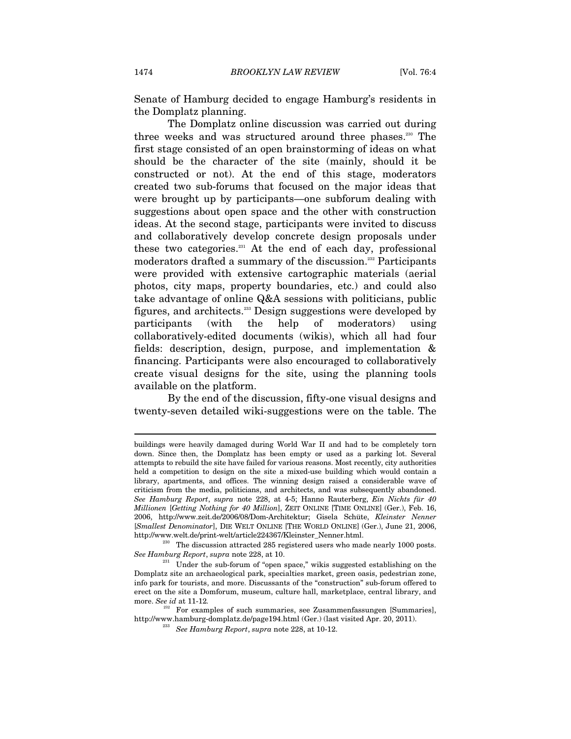Senate of Hamburg decided to engage Hamburg's residents in the Domplatz planning.

The Domplatz online discussion was carried out during three weeks and was structured around three phases.<sup>230</sup> The first stage consisted of an open brainstorming of ideas on what should be the character of the site (mainly, should it be constructed or not). At the end of this stage, moderators created two sub-forums that focused on the major ideas that were brought up by participants—one subforum dealing with suggestions about open space and the other with construction ideas. At the second stage, participants were invited to discuss and collaboratively develop concrete design proposals under these two categories. $231$  At the end of each day, professional moderators drafted a summary of the discussion.<sup>232</sup> Participants were provided with extensive cartographic materials (aerial photos, city maps, property boundaries, etc.) and could also take advantage of online Q&A sessions with politicians, public figures, and architects.233 Design suggestions were developed by participants (with the help of moderators) using collaboratively-edited documents (wikis), which all had four fields: description, design, purpose, and implementation & financing. Participants were also encouraged to collaboratively create visual designs for the site, using the planning tools available on the platform.

By the end of the discussion, fifty-one visual designs and twenty-seven detailed wiki-suggestions were on the table. The

 $\overline{a}$ 

buildings were heavily damaged during World War II and had to be completely torn down. Since then, the Domplatz has been empty or used as a parking lot. Several attempts to rebuild the site have failed for various reasons. Most recently, city authorities held a competition to design on the site a mixed-use building which would contain a library, apartments, and offices. The winning design raised a considerable wave of criticism from the media, politicians, and architects, and was subsequently abandoned. *See Hamburg Report*, *supra* note 228, at 4-5; Hanno Rauterberg, *Ein Nichts für 40 Millionen* [*Getting Nothing for 40 Million*], ZEIT ONLINE [TIME ONLINE] (Ger.), Feb. 16, 2006, http://www.zeit.de/2006/08/Dom-Architektur; Gisela Schüte, *Kleinster Nenner*  [*Smallest Denominator*], DIE WELT ONLINE [THE WORLD ONLINE] (Ger.), June 21, 2006,

http://www.welt.de/print-welt/article224367/Kleinster\_Nenner.html. 230 The discussion attracted 285 registered users who made nearly 1000 posts. *See Hamburg Report, supra* note 228, at 10.<br><sup>231</sup> Under the sub-forum of "open space," wikis suggested establishing on the

Domplatz site an archaeological park, specialties market, green oasis, pedestrian zone, info park for tourists, and more. Discussants of the "construction" sub-forum offered to erect on the site a Domforum, museum, culture hall, marketplace, central library, and more. *See id* at 11-12*.* 

 $232$  For examples of such summaries, see Zusammenfassungen [Summaries], http://www.hamburg-domplatz.de/page194.html (Ger.) (last visited Apr. 20, 2011). 233 *See Hamburg Report*, *supra* note 228, at 10-12.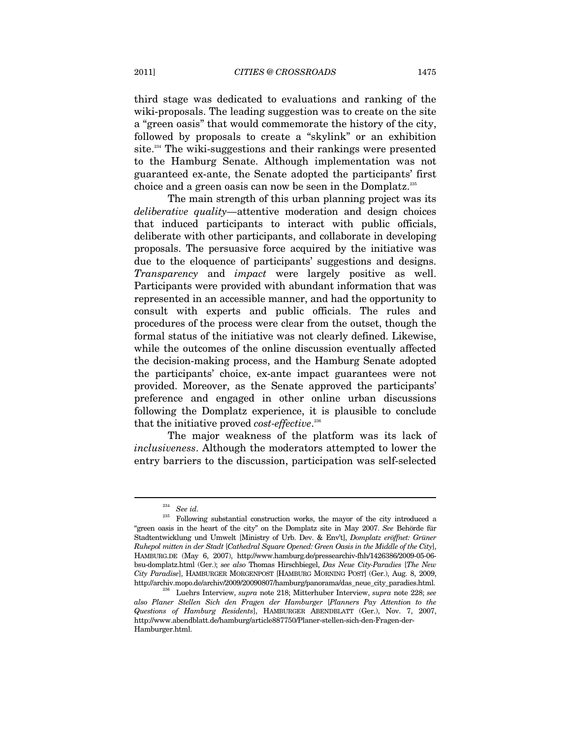third stage was dedicated to evaluations and ranking of the wiki-proposals. The leading suggestion was to create on the site a "green oasis" that would commemorate the history of the city, followed by proposals to create a "skylink" or an exhibition site.<sup>234</sup> The wiki-suggestions and their rankings were presented to the Hamburg Senate. Although implementation was not guaranteed ex-ante, the Senate adopted the participants' first choice and a green oasis can now be seen in the Domplatz.235

The main strength of this urban planning project was its *deliberative quality—*attentive moderation and design choices that induced participants to interact with public officials, deliberate with other participants, and collaborate in developing proposals. The persuasive force acquired by the initiative was due to the eloquence of participants' suggestions and designs. *Transparency* and *impact* were largely positive as well. Participants were provided with abundant information that was represented in an accessible manner, and had the opportunity to consult with experts and public officials. The rules and procedures of the process were clear from the outset, though the formal status of the initiative was not clearly defined. Likewise, while the outcomes of the online discussion eventually affected the decision-making process, and the Hamburg Senate adopted the participants' choice, ex-ante impact guarantees were not provided. Moreover, as the Senate approved the participants' preference and engaged in other online urban discussions following the Domplatz experience, it is plausible to conclude that the initiative proved *cost-effective*. 236

The major weakness of the platform was its lack of *inclusiveness*. Although the moderators attempted to lower the entry barriers to the discussion, participation was self-selected

 $\frac{^{234}}{^{235}}$  *See id.* 

<sup>235</sup> Following substantial construction works, the mayor of the city introduced a "green oasis in the heart of the city" on the Domplatz site in May 2007. *See* Behörde für Stadtentwicklung und Umwelt [Ministry of Urb. Dev. & Env't], *Domplatz eröffnet: Grüner Ruhepol mitten in der Stadt* [*Cathedral Square Opened: Green Oasis in the Middle of the City*], HAMBURG.DE (May 6, 2007), http://www.hamburg.de/pressearchiv-fhh/1426386/2009-05-06 bsu-domplatz.html (Ger.); *see also* Thomas Hirschbiegel, *Das Neue City-Paradies* [*The New City Paradise*], HAMBURGER MORGENPOST [HAMBURG MORNING POST] (Ger.), Aug. 8, 2009, http://archiv.mopo.de/archiv/2009/20090807/hamburg/panorama/das\_neue\_city\_paradies.html. 236 Luehrs Interview, *supra* note 218; Mitterhuber Interview, *supra* note 228; *see* 

*also Planer Stellen Sich den Fragen der Hamburger* [*Planners Pay Attention to the Questions of Hamburg Residents*], HAMBURGER ABENDBLATT (Ger.), Nov. 7, 2007, http://www.abendblatt.de/hamburg/article887750/Planer-stellen-sich-den-Fragen-der-Hamburger.html.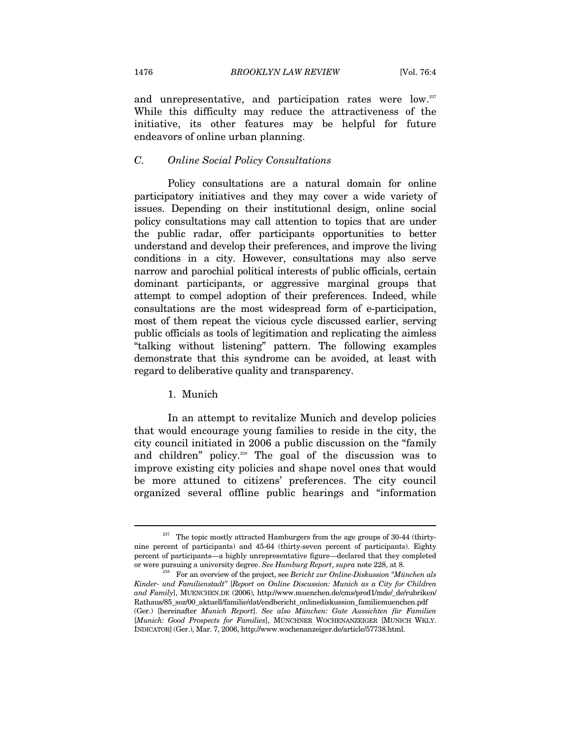and unrepresentative, and participation rates were low.<sup>237</sup> While this difficulty may reduce the attractiveness of the initiative, its other features may be helpful for future endeavors of online urban planning.

# *C. Online Social Policy Consultations*

Policy consultations are a natural domain for online participatory initiatives and they may cover a wide variety of issues. Depending on their institutional design, online social policy consultations may call attention to topics that are under the public radar, offer participants opportunities to better understand and develop their preferences, and improve the living conditions in a city. However, consultations may also serve narrow and parochial political interests of public officials, certain dominant participants, or aggressive marginal groups that attempt to compel adoption of their preferences. Indeed, while consultations are the most widespread form of e-participation, most of them repeat the vicious cycle discussed earlier, serving public officials as tools of legitimation and replicating the aimless "talking without listening" pattern. The following examples demonstrate that this syndrome can be avoided, at least with regard to deliberative quality and transparency.

# 1. Munich

In an attempt to revitalize Munich and develop policies that would encourage young families to reside in the city, the city council initiated in 2006 a public discussion on the "family and children" policy.238 The goal of the discussion was to improve existing city policies and shape novel ones that would be more attuned to citizens' preferences. The city council organized several offline public hearings and "information

<sup>237</sup> The topic mostly attracted Hamburgers from the age groups of 30-44 (thirtynine percent of participants) and 45-64 (thirty-seven percent of participants). Eighty percent of participants—a highly unrepresentative figure—declared that they completed or were pursuing a university degree. *See Hamburg Report*, *supra* note 228, at 8.<br><sup>238</sup> For an overview of the project, see *Bericht zur Online-Diskussion "München als* 

*Kinder- und Familienstadt"* [*Report on Online Discussion: Munich as a City for Children and Family*], MUENCHEN.DE (2006), http://www.muenchen.de/cms/prod1/mde/\_de/rubriken/ Rathaus/85\_soz/00\_aktuell/familie/dat/endbericht\_onlinediskussion\_familiemuenchen.pdf (Ger.) [hereinafter *Munich Report*]. *See also München: Gute Aussichten für Familien*  [*Munich: Good Prospects for Families*], MÜNCHNER WOCHENANZEIGER [MUNICH WKLY. INDICATOR] (Ger.), Mar. 7, 2006, http://www.wochenanzeiger.de/article/57738.html.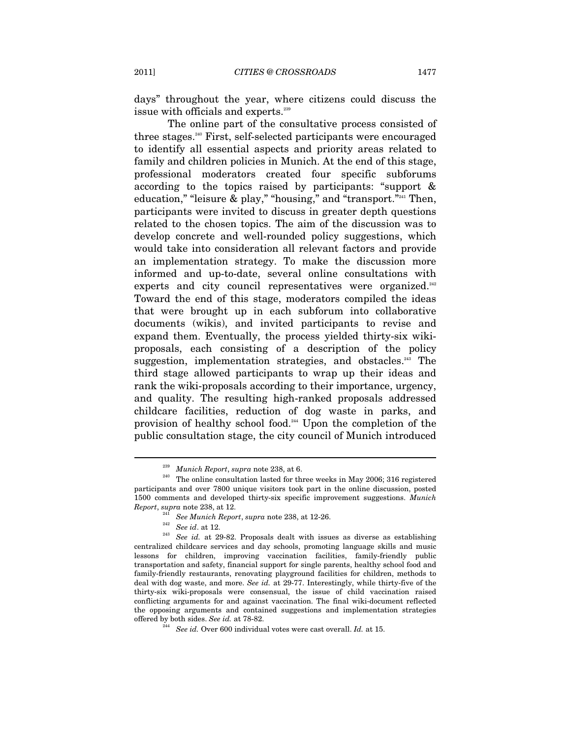days" throughout the year, where citizens could discuss the issue with officials and experts.<sup>239</sup>

The online part of the consultative process consisted of three stages.240 First, self-selected participants were encouraged to identify all essential aspects and priority areas related to family and children policies in Munich. At the end of this stage, professional moderators created four specific subforums according to the topics raised by participants: "support & education," "leisure & play," "housing," and "transport."<sup>241</sup> Then, participants were invited to discuss in greater depth questions related to the chosen topics. The aim of the discussion was to develop concrete and well-rounded policy suggestions, which would take into consideration all relevant factors and provide an implementation strategy. To make the discussion more informed and up-to-date, several online consultations with experts and city council representatives were organized.<sup>242</sup> Toward the end of this stage, moderators compiled the ideas that were brought up in each subforum into collaborative documents (wikis), and invited participants to revise and expand them. Eventually, the process yielded thirty-six wikiproposals, each consisting of a description of the policy suggestion, implementation strategies, and obstacles.<sup>243</sup> The third stage allowed participants to wrap up their ideas and rank the wiki-proposals according to their importance, urgency, and quality. The resulting high-ranked proposals addressed childcare facilities, reduction of dog waste in parks, and provision of healthy school food.<sup>244</sup> Upon the completion of the public consultation stage, the city council of Munich introduced

<sup>&</sup>lt;sup>239</sup> Munich Report, *supra* note 238, at 6.<br><sup>240</sup> The online consultation lasted for three weeks in May 2006; 316 registered participants and over 7800 unique visitors took part in the online discussion, posted 1500 comments and developed thirty-six specific improvement suggestions. *Munich* 

Report, supra note 238, at 12.<br>
<sup>241</sup> See Munich Report, supra note 238, at 12-26.<br>
<sup>242</sup> See id. at 12.<br>
<sup>243</sup> See id. at 29-82. Proposals dealt with issues as diverse as establishing centralized childcare services and day schools, promoting language skills and music lessons for children, improving vaccination facilities, family-friendly public transportation and safety, financial support for single parents, healthy school food and family-friendly restaurants, renovating playground facilities for children, methods to deal with dog waste, and more. *See id.* at 29-77. Interestingly, while thirty-five of the thirty-six wiki-proposals were consensual, the issue of child vaccination raised conflicting arguments for and against vaccination. The final wiki-document reflected the opposing arguments and contained suggestions and implementation strategies offered by both sides. *See id.* at 78-82. 244 *See id.* Over 600 individual votes were cast overall. *Id.* at 15.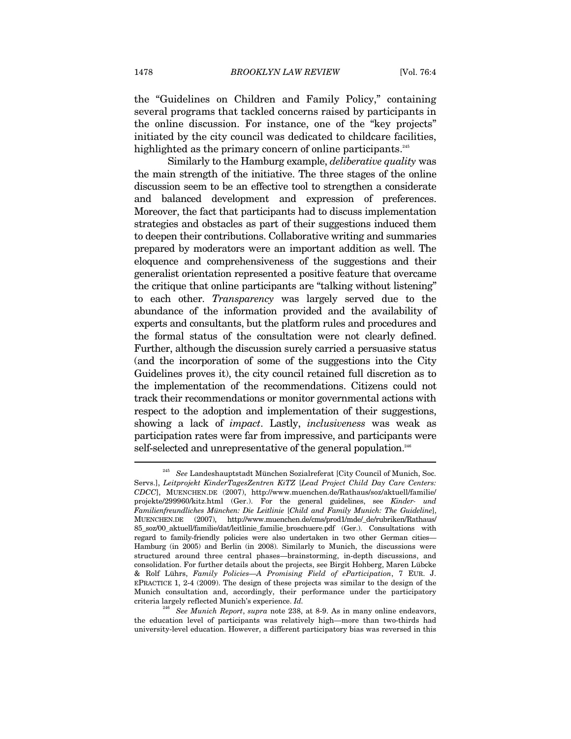the "Guidelines on Children and Family Policy," containing several programs that tackled concerns raised by participants in the online discussion. For instance, one of the "key projects" initiated by the city council was dedicated to childcare facilities, highlighted as the primary concern of online participants.<sup>245</sup>

Similarly to the Hamburg example, *deliberative quality* was the main strength of the initiative. The three stages of the online discussion seem to be an effective tool to strengthen a considerate and balanced development and expression of preferences. Moreover, the fact that participants had to discuss implementation strategies and obstacles as part of their suggestions induced them to deepen their contributions. Collaborative writing and summaries prepared by moderators were an important addition as well. The eloquence and comprehensiveness of the suggestions and their generalist orientation represented a positive feature that overcame the critique that online participants are "talking without listening" to each other. *Transparency* was largely served due to the abundance of the information provided and the availability of experts and consultants, but the platform rules and procedures and the formal status of the consultation were not clearly defined. Further, although the discussion surely carried a persuasive status (and the incorporation of some of the suggestions into the City Guidelines proves it), the city council retained full discretion as to the implementation of the recommendations. Citizens could not track their recommendations or monitor governmental actions with respect to the adoption and implementation of their suggestions, showing a lack of *impact*. Lastly, *inclusiveness* was weak as participation rates were far from impressive, and participants were self-selected and unrepresentative of the general population.<sup>246</sup>

<sup>245</sup> *See* Landeshauptstadt München Sozialreferat [City Council of Munich, Soc. Servs.], *Leitprojekt KinderTagesZentren KiTZ* [*Lead Project Child Day Care Centers: CDCC*], MUENCHEN.DE (2007), http://www.muenchen.de/Rathaus/soz/aktuell/familie/ projekte/299960/kitz.html (Ger.). For the general guidelines, see *Kinder- und Familienfreundliches München: Die Leitlinie* [*Child and Family Munich: The Guideline*], MUENCHEN.DE (2007), http://www.muenchen.de/cms/prod1/mde/\_de/rubriken/Rathaus/ 85\_soz/00\_aktuell/familie/dat/leitlinie\_familie\_broschuere.pdf (Ger.). Consultations with regard to family-friendly policies were also undertaken in two other German cities— Hamburg (in 2005) and Berlin (in 2008). Similarly to Munich, the discussions were structured around three central phases—brainstorming, in-depth discussions, and consolidation. For further details about the projects, see Birgit Hohberg, Maren Lübcke & Rolf Lührs, *Family Policies—A Promising Field of eParticipation*, 7 EUR. J. EPRACTICE 1, 2-4 (2009). The design of these projects was similar to the design of the Munich consultation and, accordingly, their performance under the participatory criteria largely reflected Munich's experience. *Id.*

<sup>246</sup> *See Munich Report*, *supra* note 238, at 8-9. As in many online endeavors, the education level of participants was relatively high—more than two-thirds had university-level education. However, a different participatory bias was reversed in this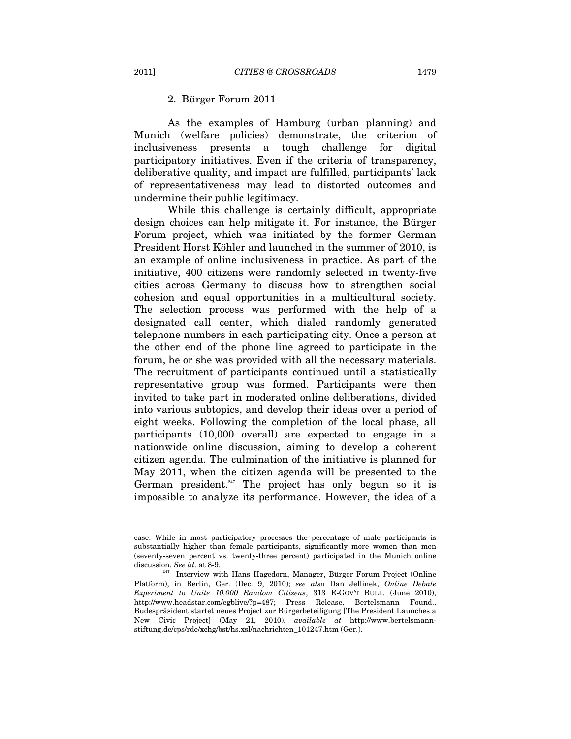### 2. Bürger Forum 2011

As the examples of Hamburg (urban planning) and Munich (welfare policies) demonstrate, the criterion of inclusiveness presents a tough challenge for digital participatory initiatives. Even if the criteria of transparency, deliberative quality, and impact are fulfilled, participants' lack of representativeness may lead to distorted outcomes and undermine their public legitimacy.

While this challenge is certainly difficult, appropriate design choices can help mitigate it. For instance, the Bürger Forum project, which was initiated by the former German President Horst Köhler and launched in the summer of 2010, is an example of online inclusiveness in practice. As part of the initiative, 400 citizens were randomly selected in twenty-five cities across Germany to discuss how to strengthen social cohesion and equal opportunities in a multicultural society. The selection process was performed with the help of a designated call center, which dialed randomly generated telephone numbers in each participating city. Once a person at the other end of the phone line agreed to participate in the forum, he or she was provided with all the necessary materials. The recruitment of participants continued until a statistically representative group was formed. Participants were then invited to take part in moderated online deliberations, divided into various subtopics, and develop their ideas over a period of eight weeks. Following the completion of the local phase, all participants (10,000 overall) are expected to engage in a nationwide online discussion, aiming to develop a coherent citizen agenda. The culmination of the initiative is planned for May 2011, when the citizen agenda will be presented to the German president. $247$  The project has only begun so it is impossible to analyze its performance. However, the idea of a

 $\overline{a}$ 

case. While in most participatory processes the percentage of male participants is substantially higher than female participants, significantly more women than men (seventy-seven percent vs. twenty-three percent) participated in the Munich online

discussion. *See id.* at 8-9.<br><sup>247</sup> Interview with Hans Hagedorn, Manager, Bürger Forum Project (Online Platform), in Berlin, Ger. (Dec. 9, 2010); *see also* Dan Jellinek, *Online Debate Experiment to Unite 10,000 Random Citizens*, 313 E-GOV'T BULL. (June 2010), http://www.headstar.com/egblive/?p=487; Press Release, Bertelsmann Found., Budespräsident startet neues Project zur Bürgerbeteiligung [The President Launches a New Civic Project] (May 21, 2010), *available at* http://www.bertelsmannstiftung.de/cps/rde/xchg/bst/hs.xsl/nachrichten\_101247.htm (Ger.).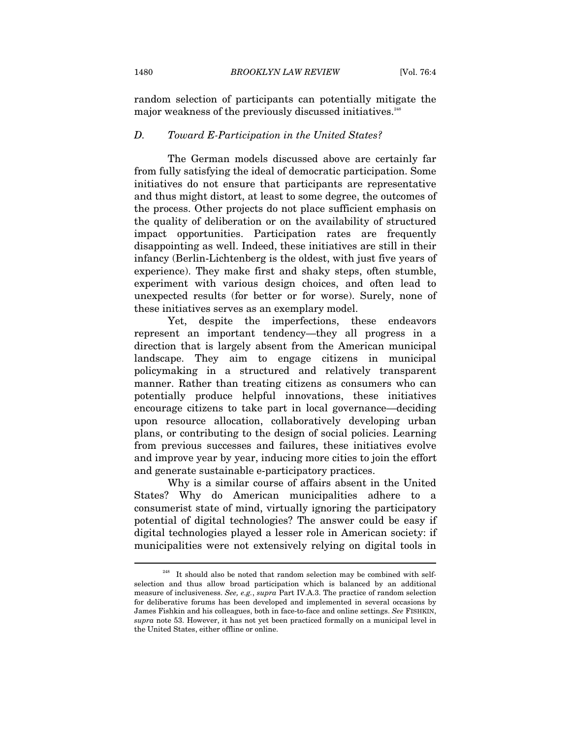random selection of participants can potentially mitigate the major weakness of the previously discussed initiatives.<sup>248</sup>

# *D. Toward E-Participation in the United States?*

The German models discussed above are certainly far from fully satisfying the ideal of democratic participation. Some initiatives do not ensure that participants are representative and thus might distort, at least to some degree, the outcomes of the process. Other projects do not place sufficient emphasis on the quality of deliberation or on the availability of structured impact opportunities. Participation rates are frequently disappointing as well. Indeed, these initiatives are still in their infancy (Berlin-Lichtenberg is the oldest, with just five years of experience). They make first and shaky steps, often stumble, experiment with various design choices, and often lead to unexpected results (for better or for worse). Surely, none of these initiatives serves as an exemplary model.

Yet, despite the imperfections, these endeavors represent an important tendency—they all progress in a direction that is largely absent from the American municipal landscape. They aim to engage citizens in municipal policymaking in a structured and relatively transparent manner. Rather than treating citizens as consumers who can potentially produce helpful innovations, these initiatives encourage citizens to take part in local governance—deciding upon resource allocation, collaboratively developing urban plans, or contributing to the design of social policies. Learning from previous successes and failures, these initiatives evolve and improve year by year, inducing more cities to join the effort and generate sustainable e-participatory practices.

Why is a similar course of affairs absent in the United States? Why do American municipalities adhere to a consumerist state of mind, virtually ignoring the participatory potential of digital technologies? The answer could be easy if digital technologies played a lesser role in American society: if municipalities were not extensively relying on digital tools in

 $248$  It should also be noted that random selection may be combined with selfselection and thus allow broad participation which is balanced by an additional measure of inclusiveness. *See, e.g.*, *supra* Part IV.A.3. The practice of random selection for deliberative forums has been developed and implemented in several occasions by James Fishkin and his colleagues, both in face-to-face and online settings. *See* FISHKIN, *supra* note 53. However, it has not yet been practiced formally on a municipal level in the United States, either offline or online.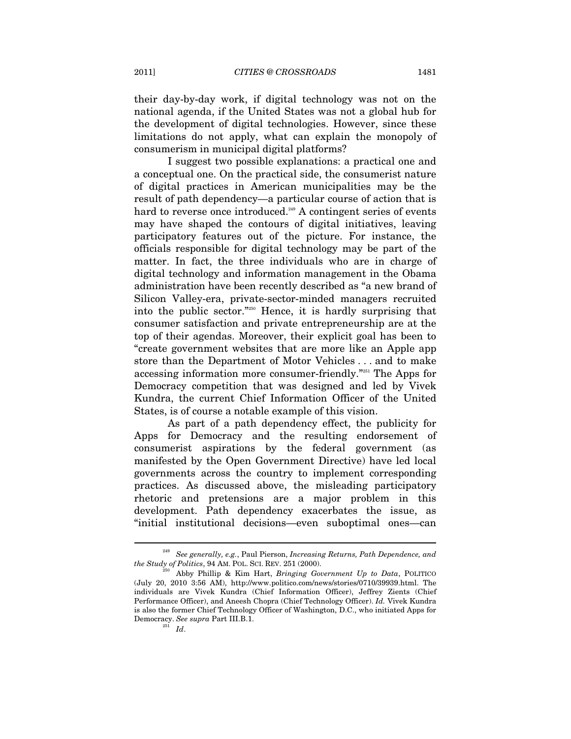their day-by-day work, if digital technology was not on the national agenda, if the United States was not a global hub for the development of digital technologies. However, since these limitations do not apply, what can explain the monopoly of consumerism in municipal digital platforms?

I suggest two possible explanations: a practical one and a conceptual one. On the practical side, the consumerist nature of digital practices in American municipalities may be the result of path dependency—a particular course of action that is hard to reverse once introduced.<sup>249</sup> A contingent series of events may have shaped the contours of digital initiatives, leaving participatory features out of the picture. For instance, the officials responsible for digital technology may be part of the matter. In fact, the three individuals who are in charge of digital technology and information management in the Obama administration have been recently described as "a new brand of Silicon Valley-era, private-sector-minded managers recruited into the public sector."250 Hence, it is hardly surprising that consumer satisfaction and private entrepreneurship are at the top of their agendas. Moreover, their explicit goal has been to "create government websites that are more like an Apple app store than the Department of Motor Vehicles . . . and to make accessing information more consumer-friendly."251 The Apps for Democracy competition that was designed and led by Vivek Kundra, the current Chief Information Officer of the United States, is of course a notable example of this vision.

As part of a path dependency effect, the publicity for Apps for Democracy and the resulting endorsement of consumerist aspirations by the federal government (as manifested by the Open Government Directive) have led local governments across the country to implement corresponding practices. As discussed above, the misleading participatory rhetoric and pretensions are a major problem in this development. Path dependency exacerbates the issue, as "initial institutional decisions—even suboptimal ones—can

<sup>249</sup> *See generally, e.g.*, Paul Pierson, *Increasing Returns, Path Dependence, and the Study of Politics*, 94 AM. POL. SCI. REV. 251 (2000).<br><sup>250</sup> Abby Phillip & Kim Hart, *Bringing Government Up to Data*, POLITICO

<sup>(</sup>July 20, 2010 3:56 AM), http://www.politico.com/news/stories/0710/39939.html. The individuals are Vivek Kundra (Chief Information Officer), Jeffrey Zients (Chief Performance Officer), and Aneesh Chopra (Chief Technology Officer). *Id.* Vivek Kundra is also the former Chief Technology Officer of Washington, D.C., who initiated Apps for Democracy. *See supra* Part III.B.1. 251 *Id*.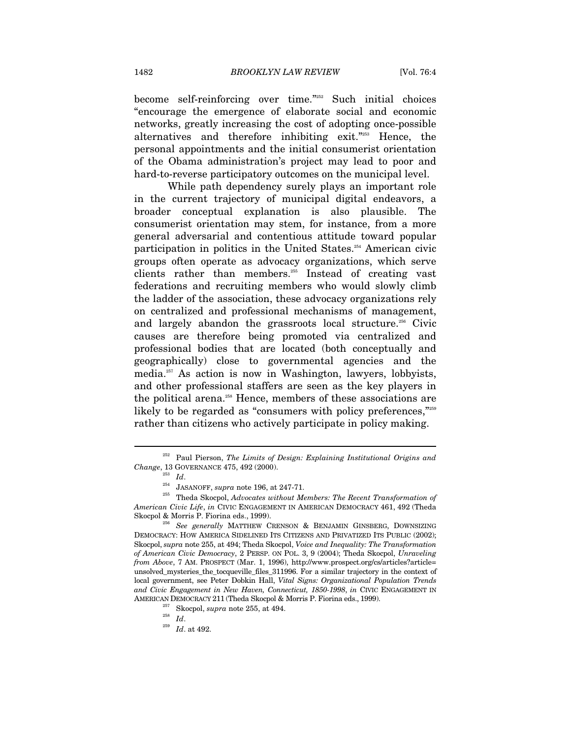become self-reinforcing over time."252 Such initial choices "encourage the emergence of elaborate social and economic networks, greatly increasing the cost of adopting once-possible alternatives and therefore inhibiting exit."253 Hence, the personal appointments and the initial consumerist orientation of the Obama administration's project may lead to poor and hard-to-reverse participatory outcomes on the municipal level.

While path dependency surely plays an important role in the current trajectory of municipal digital endeavors, a broader conceptual explanation is also plausible. The consumerist orientation may stem, for instance, from a more general adversarial and contentious attitude toward popular participation in politics in the United States.254 American civic groups often operate as advocacy organizations, which serve clients rather than members.255 Instead of creating vast federations and recruiting members who would slowly climb the ladder of the association, these advocacy organizations rely on centralized and professional mechanisms of management, and largely abandon the grassroots local structure.<sup>256</sup> Civic causes are therefore being promoted via centralized and professional bodies that are located (both conceptually and geographically) close to governmental agencies and the media.257 As action is now in Washington, lawyers, lobbyists, and other professional staffers are seen as the key players in the political arena.<sup>258</sup> Hence, members of these associations are likely to be regarded as "consumers with policy preferences,"259 rather than citizens who actively participate in policy making.

<sup>&</sup>lt;sup>252</sup> Paul Pierson, *The Limits of Design: Explaining Institutional Origins and Change*, 13 GOVERNANCE 475, 492 (2000).

<sup>&</sup>lt;sup>253</sup> Id.<br><sup>254</sup> JASANOFF, *supra* note 196, at 247-71.<br><sup>255</sup> Theda Skocpol, *Advocates without Members: The Recent Transformation of American Civic Life*, *in* CIVIC ENGAGEMENT IN AMERICAN DEMOCRACY 461, 492 (Theda

<sup>&</sup>lt;sup>256</sup> See generally MATTHEW CRENSON & BENJAMIN GINSBERG, DOWNSIZING DEMOCRACY: HOW AMERICA SIDELINED ITS CITIZENS AND PRIVATIZED ITS PUBLIC (2002); Skocpol, *supra* note 255, at 494; Theda Skocpol, *Voice and Inequality: The Transformation of American Civic Democracy*, 2 PERSP. ON POL. 3, 9 (2004); Theda Skocpol, *Unraveling from Above*, 7 AM. PROSPECT (Mar. 1, 1996), http://www.prospect.org/cs/articles?article= unsolved mysteries the tocqueville files 311996. For a similar trajectory in the context of local government, see Peter Dobkin Hall, *Vital Signs: Organizational Population Trends and Civic Engagement in New Haven, Connecticut, 1850-1998*, *in* CIVIC ENGAGEMENT IN AMERICAN DEMOCRACY 211 (Theda Skocpol & Morris P. Fiorina eds., 1999).<br><sup>257</sup> Skocpol, *supra* note 255, at 494.<br>*Id. 11* At 492.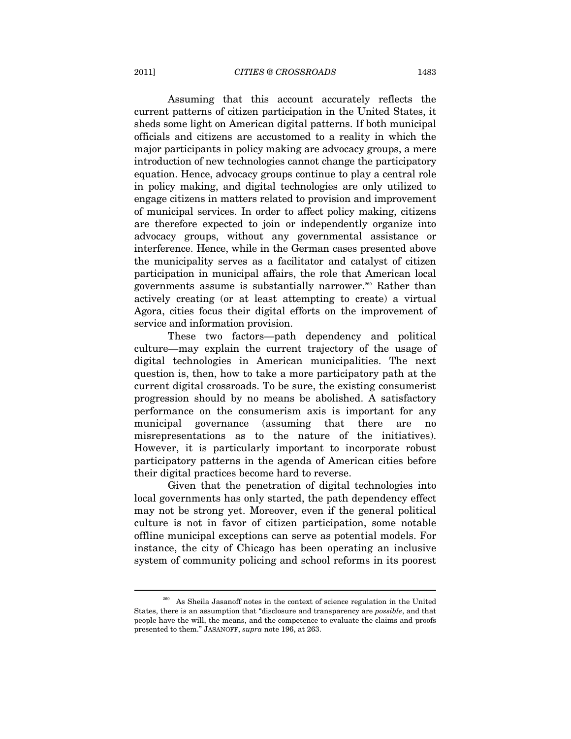Assuming that this account accurately reflects the current patterns of citizen participation in the United States, it sheds some light on American digital patterns. If both municipal officials and citizens are accustomed to a reality in which the major participants in policy making are advocacy groups, a mere introduction of new technologies cannot change the participatory equation. Hence, advocacy groups continue to play a central role in policy making, and digital technologies are only utilized to engage citizens in matters related to provision and improvement of municipal services. In order to affect policy making, citizens are therefore expected to join or independently organize into advocacy groups, without any governmental assistance or interference. Hence, while in the German cases presented above the municipality serves as a facilitator and catalyst of citizen participation in municipal affairs, the role that American local governments assume is substantially narrower.<sup>260</sup> Rather than actively creating (or at least attempting to create) a virtual Agora, cities focus their digital efforts on the improvement of service and information provision.

These two factors—path dependency and political culture—may explain the current trajectory of the usage of digital technologies in American municipalities. The next question is, then, how to take a more participatory path at the current digital crossroads. To be sure, the existing consumerist progression should by no means be abolished. A satisfactory performance on the consumerism axis is important for any municipal governance (assuming that there are no misrepresentations as to the nature of the initiatives). However, it is particularly important to incorporate robust participatory patterns in the agenda of American cities before their digital practices become hard to reverse.

Given that the penetration of digital technologies into local governments has only started, the path dependency effect may not be strong yet. Moreover, even if the general political culture is not in favor of citizen participation, some notable offline municipal exceptions can serve as potential models. For instance, the city of Chicago has been operating an inclusive system of community policing and school reforms in its poorest

 $^{260}\,$  As Sheila Jasanoff notes in the context of science regulation in the United States, there is an assumption that "disclosure and transparency are *possible*, and that people have the will, the means, and the competence to evaluate the claims and proofs presented to them." JASANOFF, *supra* note 196, at 263.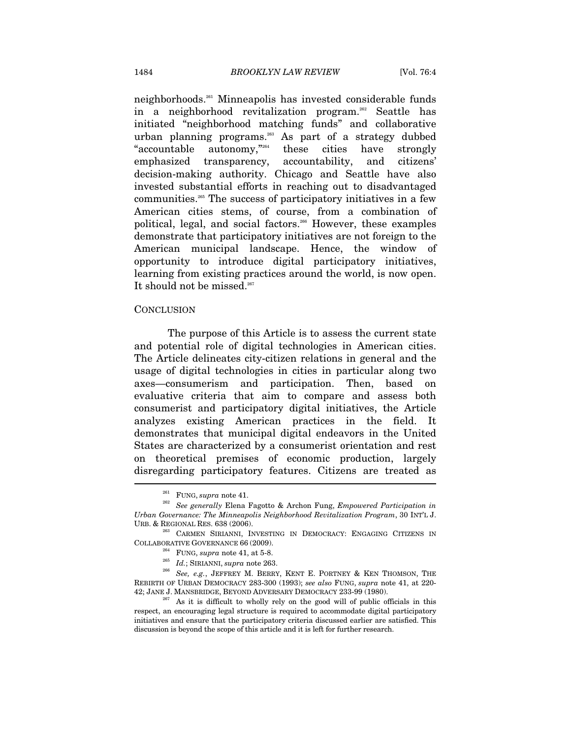neighborhoods.261 Minneapolis has invested considerable funds in a neighborhood revitalization program.262 Seattle has initiated "neighborhood matching funds" and collaborative urban planning programs.<sup>263</sup> As part of a strategy dubbed "accountable autonomy,"264 these cities have strongly emphasized transparency, accountability, and citizens' decision-making authority. Chicago and Seattle have also invested substantial efforts in reaching out to disadvantaged communities.265 The success of participatory initiatives in a few American cities stems, of course, from a combination of political, legal, and social factors.266 However, these examples demonstrate that participatory initiatives are not foreign to the American municipal landscape. Hence, the window of opportunity to introduce digital participatory initiatives, learning from existing practices around the world, is now open. It should not be missed.<sup>267</sup>

## **CONCLUSION**

The purpose of this Article is to assess the current state and potential role of digital technologies in American cities. The Article delineates city-citizen relations in general and the usage of digital technologies in cities in particular along two axes—consumerism and participation. Then, based on evaluative criteria that aim to compare and assess both consumerist and participatory digital initiatives, the Article analyzes existing American practices in the field. It demonstrates that municipal digital endeavors in the United States are characterized by a consumerist orientation and rest on theoretical premises of economic production, largely disregarding participatory features. Citizens are treated as

<sup>261</sup> FUNG, *supra* note 41. 262 *See generally* Elena Fagotto & Archon Fung, *Empowered Participation in Urban Governance: The Minneapolis Neighborhood Revitalization Program*, 30 INT'L J.

<sup>&</sup>lt;sup>263</sup> CARMEN SIRIANNI, INVESTING IN DEMOCRACY: ENGAGING CITIZENS IN COLLABORATIVE GOVERNANCE 66 (2009).<br><sup>264</sup> FUNG, *supra* note 41, at 5-8.<br><sup>265</sup> *Id.*; SIRIANNI, *supra* note 263.<br><sup>266</sup> *See, e.g.*, JEFFREY M. BERRY, KENT E. PORTNEY & KEN THOMSON, THE

REBIRTH OF URBAN DEMOCRACY 283-300 (1993); *see also* FUNG, *supra* note 41, at 220- 42; JANE J. MANSBRIDGE, BEYOND ADVERSARY DEMOCRACY 233-99 (1980).<br><sup>267</sup> As it is difficult to wholly rely on the good will of public officials in this

respect, an encouraging legal structure is required to accommodate digital participatory initiatives and ensure that the participatory criteria discussed earlier are satisfied. This discussion is beyond the scope of this article and it is left for further research.